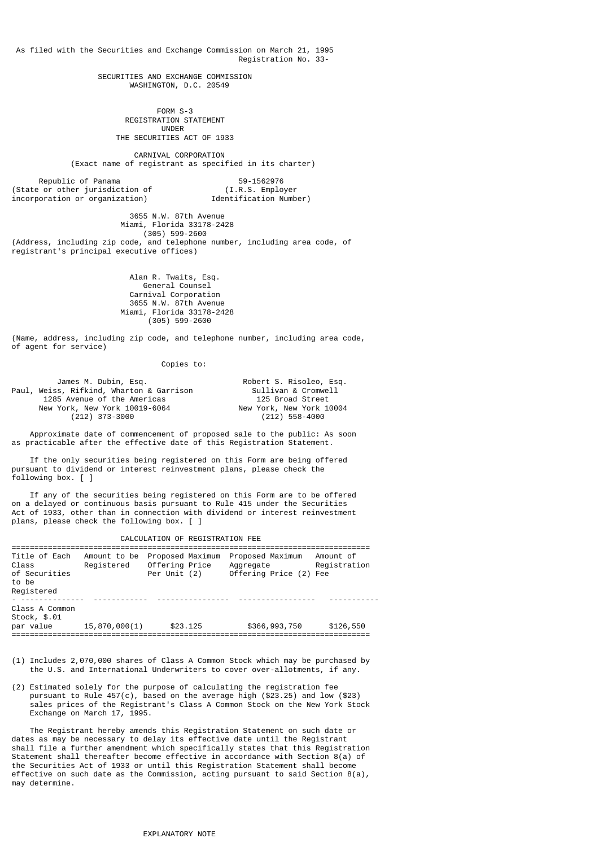As filed with the Securities and Exchange Commission on March 21, 1995 Registration No. 33-

> SECURITIES AND EXCHANGE COMMISSION WASHINGTON, D.C. 20549

 FORM S-3 REGISTRATION STATEMENT UNDER THE SECURITIES ACT OF 1933

> CARNIVAL CORPORATION (Exact name of registrant as specified in its charter)

Republic of Panama<br>e or other iurisdiction of the Control of the Section of the Control of the Section of the Section of the Section of (State  $or$  other jurisdiction of incorporation or organization) Identification Number)

 3655 N.W. 87th Avenue Miami, Florida 33178-2428 (305) 599-2600 (Address, including zip code, and telephone number, including area code, of registrant's principal executive offices)

> Alan R. Twaits, Esq. General Counsel Carnival Corporation 3655 N.W. 87th Avenue Miami, Florida 33178-2428 (305) 599-2600

(Name, address, including zip code, and telephone number, including area code, of agent for service)

### Copies to:

| James M. Dubin, Esq.                     | Robert S. Risoleo, Esq.  |
|------------------------------------------|--------------------------|
| Paul, Weiss, Rifkind, Wharton & Garrison | Sullivan & Cromwell      |
| 1285 Avenue of the Americas              | 125 Broad Street         |
| New York, New York 10019-6064            | New York, New York 10004 |
| $(212)$ 373-3000                         | $(212)$ 558-4000         |

 Approximate date of commencement of proposed sale to the public: As soon as practicable after the effective date of this Registration Statement.

 If the only securities being registered on this Form are being offered pursuant to dividend or interest reinvestment plans, please check the following box. [ ]

 If any of the securities being registered on this Form are to be offered on a delayed or continuous basis pursuant to Rule 415 under the Securities Act of 1933, other than in connection with dividend or interest reinvestment plans, please check the following box. [ ]

| CALCULATION OF REGISTRATION FEE |
|---------------------------------|
|---------------------------------|

| Title of Each<br>Class<br>of Securities<br>to be<br>Registered | Amount to be<br>Registered | Proposed Maximum<br>Offering Price<br>Per Unit (2) | Proposed Maximum<br>Aggregate<br>Offering Price (2) Fee | Amount of<br>Registration |
|----------------------------------------------------------------|----------------------------|----------------------------------------------------|---------------------------------------------------------|---------------------------|
| Class A Common<br>Stock, \$.01<br>par value                    | 15,870,000(1)              | \$23,125                                           | \$366,993,750                                           | \$126,550                 |

(1) Includes 2,070,000 shares of Class A Common Stock which may be purchased by the U.S. and International Underwriters to cover over-allotments, if any.

(2) Estimated solely for the purpose of calculating the registration fee pursuant to Rule 457(c), based on the average high (\$23.25) and low (\$23) sales prices of the Registrant's Class A Common Stock on the New York Stock Exchange on March 17, 1995.

 The Registrant hereby amends this Registration Statement on such date or dates as may be necessary to delay its effective date until the Registrant shall file a further amendment which specifically states that this Registration Statement shall thereafter become effective in accordance with Section 8(a) of the Securities Act of 1933 or until this Registration Statement shall become effective on such date as the Commission, acting pursuant to said Section 8(a), may determine.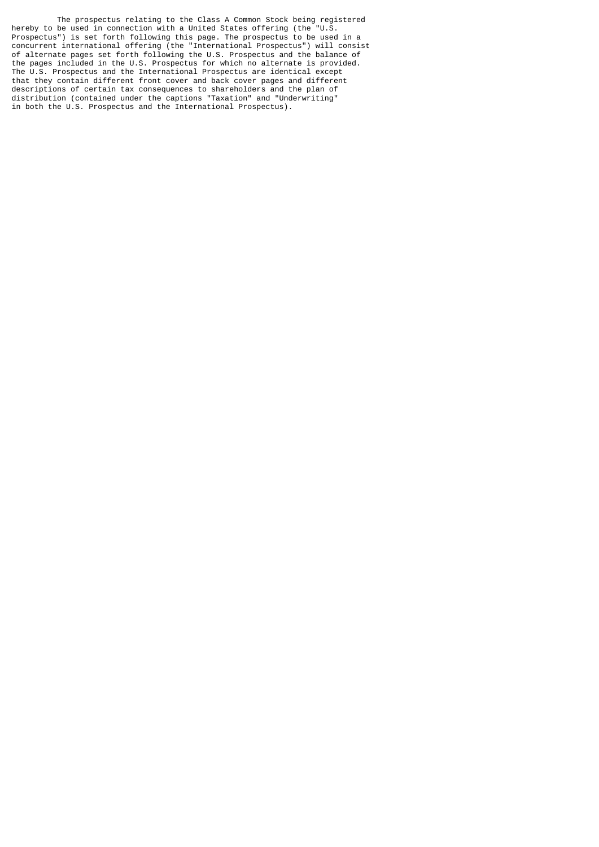The prospectus relating to the Class A Common Stock being registered hereby to be used in connection with a United States offering (the "U.S. Prospectus") is set forth following this page. The prospectus to be used in a concurrent international offering (the "International Prospectus") will consist of alternate pages set forth following the U.S. Prospectus and the balance of the pages included in the U.S. Prospectus for which no alternate is provided. The U.S. Prospectus and the International Prospectus are identical except that they contain different front cover and back cover pages and different descriptions of certain tax consequences to shareholders and the plan of distribution (contained under the captions "Taxation" and "Underwriting" in both the U.S. Prospectus and the International Prospectus).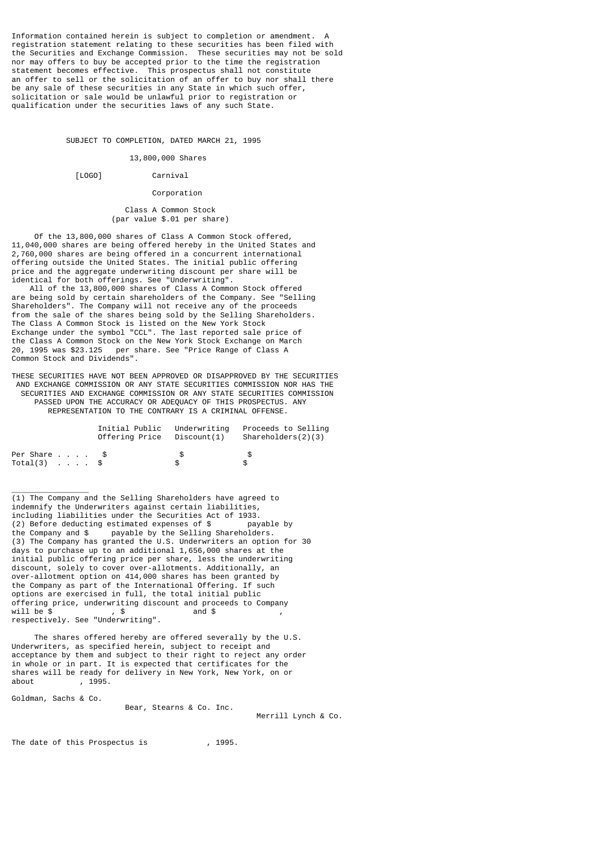Information contained herein is subject to completion or amendment. A registration statement relating to these securities has been filed with the Securities and Exchange Commission. These securities may not be sold nor may offers to buy be accepted prior to the time the registration statement becomes effective. This prospectus shall not constitute an offer to sell or the solicitation of an offer to buy nor shall there be any sale of these securities in any State in which such offer, solicitation or sale would be unlawful prior to registration or qualification under the securities laws of any such State.

SUBJECT TO COMPLETION, DATED MARCH 21, 1995

# 13,800,000 Shares

[LOGO] Carnival

# Corporation

 Class A Common Stock (par value \$.01 per share)

 Of the 13,800,000 shares of Class A Common Stock offered, 11,040,000 shares are being offered hereby in the United States and 2,760,000 shares are being offered in a concurrent international offering outside the United States. The initial public offering price and the aggregate underwriting discount per share will be identical for both offerings. See "Underwriting".

 All of the 13,800,000 shares of Class A Common Stock offered are being sold by certain shareholders of the Company. See "Selling Shareholders". The Company will not receive any of the proceeds from the sale of the shares being sold by the Selling Shareholders. The Class A Common Stock is listed on the New York Stock Exchange under the symbol "CCL". The last reported sale price of the Class A Common Stock on the New York Stock Exchange on March 20, 1995 was \$23.125 per share. See "Price Range of Class A Common Stock and Dividends".

THESE SECURITIES HAVE NOT BEEN APPROVED OR DISAPPROVED BY THE SECURITIES AND EXCHANGE COMMISSION OR ANY STATE SECURITIES COMMISSION NOR HAS THE SECURITIES AND EXCHANGE COMMISSION OR ANY STATE SECURITIES COMMISSION PASSED UPON THE ACCURACY OR ADEQUACY OF THIS PROSPECTUS. ANY REPRESENTATION TO THE CONTRARY IS A CRIMINAL OFFENSE.

|               |  |  | Initial Public Underwriting<br>Offering Price Discount(1) |    | Proceeds to Selling<br>Shareholders(2)(3) |
|---------------|--|--|-----------------------------------------------------------|----|-------------------------------------------|
| Per Share \$  |  |  |                                                           | £. | . ዌ                                       |
| $Total(3)$ \$ |  |  |                                                           |    | £.                                        |

\_\_\_\_\_\_\_\_\_\_\_\_\_\_\_\_\_ (1) The Company and the Selling Shareholders have agreed to indemnify the Underwriters against certain liabilities, including liabilities under the Securities Act of 1933.<br>(2) Before deducting estimated expenses of \$payable by (2) Before deducting estimated expenses of  $$$ the Company and \$ payable by the Selling Shareholders. (3) The Company has granted the U.S. Underwriters an option for 30 days to purchase up to an additional 1,656,000 shares at the initial public offering price per share, less the underwriting discount, solely to cover over-allotments. Additionally, an over-allotment option on 414,000 shares has been granted by the Company as part of the International Offering. If such options are exercised in full, the total initial public offering price, underwriting discount and proceeds to Company  $will be$  \$ respectively. See "Underwriting".

 The shares offered hereby are offered severally by the U.S. Underwriters, as specified herein, subject to receipt and acceptance by them and subject to their right to reject any order in whole or in part. It is expected that certificates for the shares will be ready for delivery in New York, New York, on or about , 1995.

Goldman, Sachs & Co.

Bear, Stearns & Co. Inc.

Merrill Lynch & Co.

The date of this Prospectus is , 1995.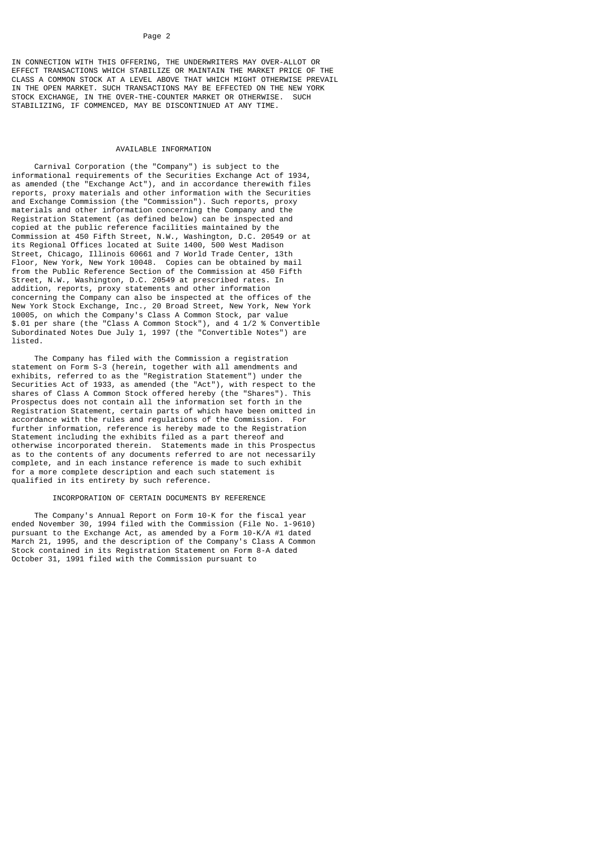IN CONNECTION WITH THIS OFFERING, THE UNDERWRITERS MAY OVER-ALLOT OR EFFECT TRANSACTIONS WHICH STABILIZE OR MAINTAIN THE MARKET PRICE OF THE CLASS A COMMON STOCK AT A LEVEL ABOVE THAT WHICH MIGHT OTHERWISE PREVAIL IN THE OPEN MARKET. SUCH TRANSACTIONS MAY BE EFFECTED ON THE NEW YORK STOCK EXCHANGE, IN THE OVER-THE-COUNTER MARKET OR OTHERWISE. SUCH STOCK EXCHANGE, IN THE OVER-THE-COUNTER MARKET OR OTHERWISE. SUCH STABILIZING, IF COMMENCED, MAY BE DISCONTINUED AT ANY TIME.

### AVATI ABLE TNEORMATION

 Carnival Corporation (the "Company") is subject to the informational requirements of the Securities Exchange Act of 1934, as amended (the "Exchange Act"), and in accordance therewith files reports, proxy materials and other information with the Securities and Exchange Commission (the "Commission"). Such reports, proxy materials and other information concerning the Company and the Registration Statement (as defined below) can be inspected and copied at the public reference facilities maintained by the Commission at 450 Fifth Street, N.W., Washington, D.C. 20549 or at its Regional Offices located at Suite 1400, 500 West Madison Street, Chicago, Illinois 60661 and 7 World Trade Center, 13th Floor, New York, New York 10048. Copies can be obtained by mail from the Public Reference Section of the Commission at 450 Fifth Street, N.W., Washington, D.C. 20549 at prescribed rates. In addition, reports, proxy statements and other information concerning the Company can also be inspected at the offices of the New York Stock Exchange, Inc., 20 Broad Street, New York, New York 10005, on which the Company's Class A Common Stock, par value \$.01 per share (the "Class A Common Stock"), and 4 1/2 % Convertible Subordinated Notes Due July 1, 1997 (the "Convertible Notes") are listed.

 The Company has filed with the Commission a registration statement on Form S-3 (herein, together with all amendments and exhibits, referred to as the "Registration Statement") under the Securities Act of 1933, as amended (the "Act"), with respect to the shares of Class A Common Stock offered hereby (the "Shares"). This Prospectus does not contain all the information set forth in the Registration Statement, certain parts of which have been omitted in accordance with the rules and regulations of the Commission. For further information, reference is hereby made to the Registration Statement including the exhibits filed as a part thereof and otherwise incorporated therein. Statements made in this Prospectus as to the contents of any documents referred to are not necessarily complete, and in each instance reference is made to such exhibit for a more complete description and each such statement is qualified in its entirety by such reference.

### INCORPORATION OF CERTAIN DOCUMENTS BY REFERENCE

 The Company's Annual Report on Form 10-K for the fiscal year ended November 30, 1994 filed with the Commission (File No. 1-9610) pursuant to the Exchange Act, as amended by a Form 10-K/A #1 dated March 21, 1995, and the description of the Company's Class A Common Stock contained in its Registration Statement on Form 8-A dated October 31, 1991 filed with the Commission pursuant to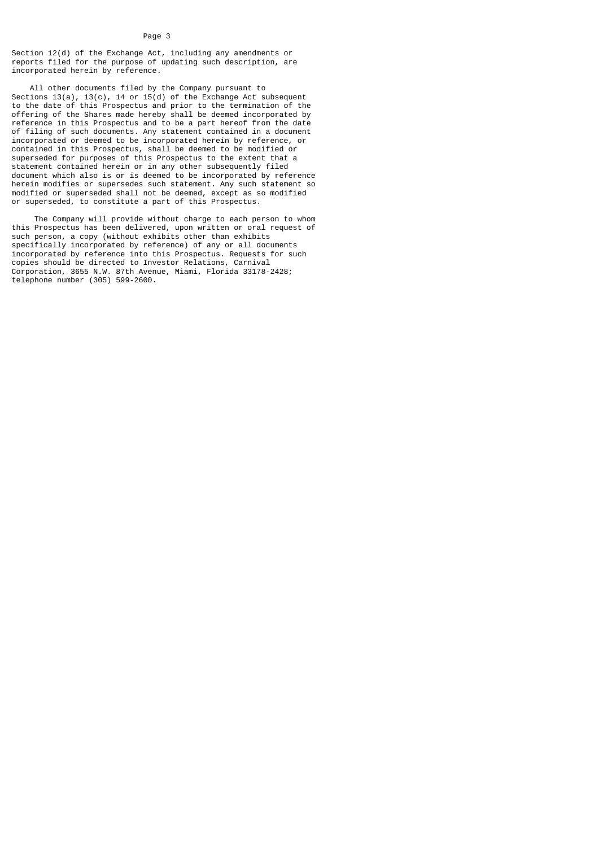Section 12(d) of the Exchange Act, including any amendments or reports filed for the purpose of updating such description, are incorporated herein by reference.

 All other documents filed by the Company pursuant to Sections 13(a), 13(c), 14 or 15(d) of the Exchange Act subsequent to the date of this Prospectus and prior to the termination of the offering of the Shares made hereby shall be deemed incorporated by reference in this Prospectus and to be a part hereof from the date of filing of such documents. Any statement contained in a document incorporated or deemed to be incorporated herein by reference, or contained in this Prospectus, shall be deemed to be modified or superseded for purposes of this Prospectus to the extent that a statement contained herein or in any other subsequently filed document which also is or is deemed to be incorporated by reference herein modifies or supersedes such statement. Any such statement so modified or superseded shall not be deemed, except as so modified or superseded, to constitute a part of this Prospectus.

 The Company will provide without charge to each person to whom this Prospectus has been delivered, upon written or oral request of such person, a copy (without exhibits other than exhibits specifically incorporated by reference) of any or all documents incorporated by reference into this Prospectus. Requests for such copies should be directed to Investor Relations, Carnival Corporation, 3655 N.W. 87th Avenue, Miami, Florida 33178-2428; telephone number (305) 599-2600.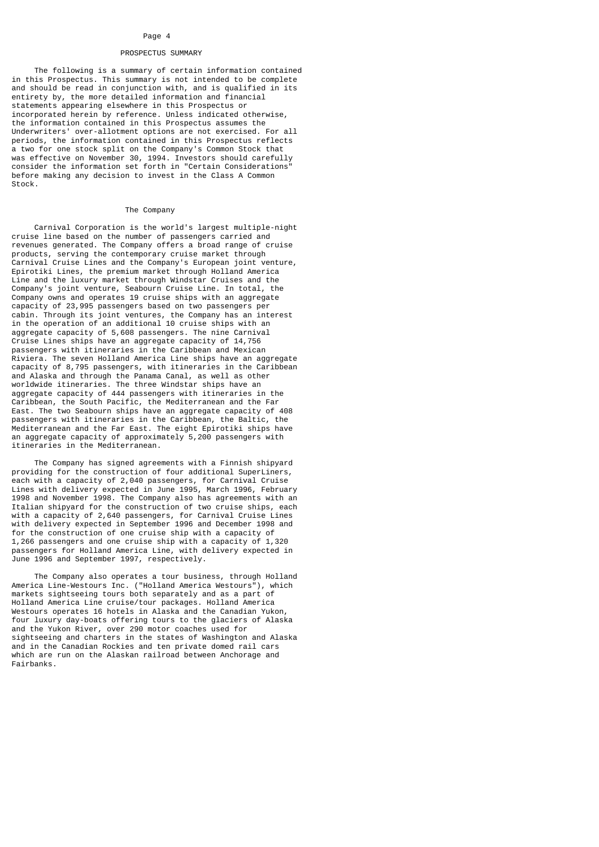### PROSPECTUS SUMMARY

 The following is a summary of certain information contained in this Prospectus. This summary is not intended to be complete and should be read in conjunction with, and is qualified in its entirety by, the more detailed information and financial statements appearing elsewhere in this Prospectus or incorporated herein by reference. Unless indicated otherwise, the information contained in this Prospectus assumes the Underwriters' over-allotment options are not exercised. For all periods, the information contained in this Prospectus reflects a two for one stock split on the Company's Common Stock that was effective on November 30, 1994. Investors should carefully consider the information set forth in "Certain Considerations" before making any decision to invest in the Class A Common Stock.

### The Company

 Carnival Corporation is the world's largest multiple-night cruise line based on the number of passengers carried and revenues generated. The Company offers a broad range of cruise products, serving the contemporary cruise market through Carnival Cruise Lines and the Company's European joint venture, Epirotiki Lines, the premium market through Holland America Line and the luxury market through Windstar Cruises and the Company's joint venture, Seabourn Cruise Line. In total, the Company owns and operates 19 cruise ships with an aggregate capacity of 23,995 passengers based on two passengers per cabin. Through its joint ventures, the Company has an interest in the operation of an additional 10 cruise ships with an aggregate capacity of 5,608 passengers. The nine Carnival Cruise Lines ships have an aggregate capacity of 14,756 passengers with itineraries in the Caribbean and Mexican Riviera. The seven Holland America Line ships have an aggregate capacity of 8,795 passengers, with itineraries in the Caribbean and Alaska and through the Panama Canal, as well as other worldwide itineraries. The three Windstar ships have an aggregate capacity of 444 passengers with itineraries in the Caribbean, the South Pacific, the Mediterranean and the Far East. The two Seabourn ships have an aggregate capacity of 408 passengers with itineraries in the Caribbean, the Baltic, the Mediterranean and the Far East. The eight Epirotiki ships have an aggregate capacity of approximately 5,200 passengers with itineraries in the Mediterranean.

 The Company has signed agreements with a Finnish shipyard providing for the construction of four additional SuperLiners, each with a capacity of 2,040 passengers, for Carnival Cruise Lines with delivery expected in June 1995, March 1996, February 1998 and November 1998. The Company also has agreements with an Italian shipyard for the construction of two cruise ships, each with a capacity of 2,640 passengers, for Carnival Cruise Lines with delivery expected in September 1996 and December 1998 and for the construction of one cruise ship with a capacity of 1,266 passengers and one cruise ship with a capacity of 1,320 passengers for Holland America Line, with delivery expected in June 1996 and September 1997, respectively.

 The Company also operates a tour business, through Holland America Line-Westours Inc. ("Holland America Westours"), which markets sightseeing tours both separately and as a part of Holland America Line cruise/tour packages. Holland America Westours operates 16 hotels in Alaska and the Canadian Yukon, four luxury day-boats offering tours to the glaciers of Alaska and the Yukon River, over 290 motor coaches used for sightseeing and charters in the states of Washington and Alaska and in the Canadian Rockies and ten private domed rail cars which are run on the Alaskan railroad between Anchorage and Fairbanks.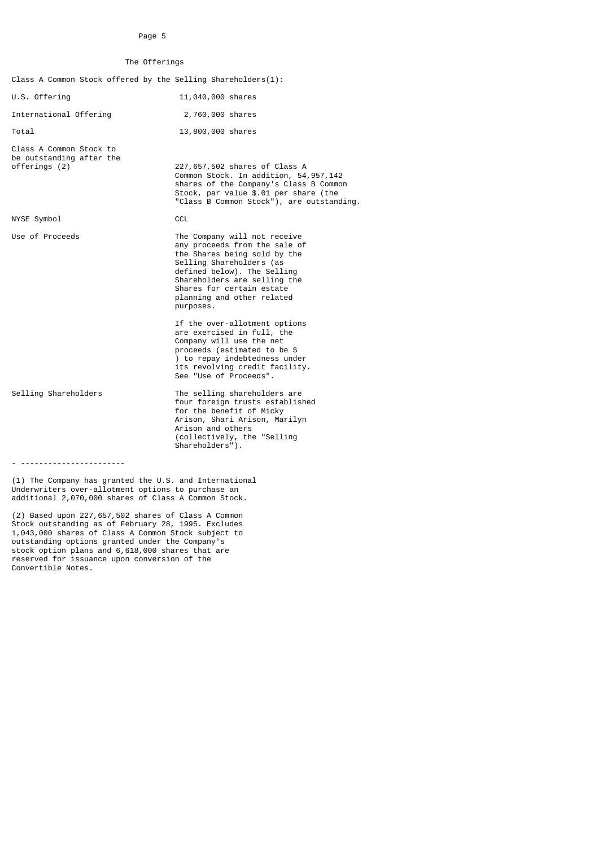# The Offerings

| Class A Common Stock offered by the Selling Shareholders $(1)$ :     |                                                                                                                                                                                                                                                                  |
|----------------------------------------------------------------------|------------------------------------------------------------------------------------------------------------------------------------------------------------------------------------------------------------------------------------------------------------------|
| U.S. Offering                                                        | 11,040,000 shares                                                                                                                                                                                                                                                |
| International Offering                                               | 2,760,000 shares                                                                                                                                                                                                                                                 |
| Total                                                                | 13,800,000 shares                                                                                                                                                                                                                                                |
| Class A Common Stock to<br>be outstanding after the<br>offerings (2) | 227,657,502 shares of Class A<br>Common Stock. In addition, 54, 957, 142<br>shares of the Company's Class B Common<br>Stock, par value \$.01 per share (the<br>"Class B Common Stock"), are outstanding.                                                         |
| NYSE Symbol                                                          | <b>CCL</b>                                                                                                                                                                                                                                                       |
| Use of Proceeds                                                      | The Company will not receive<br>any proceeds from the sale of<br>the Shares being sold by the<br>Selling Shareholders (as<br>defined below). The Selling<br>Shareholders are selling the<br>Shares for certain estate<br>planning and other related<br>purposes. |
|                                                                      | If the over-allotment options<br>are exercised in full, the<br>Company will use the net<br>proceeds (estimated to be \$<br>) to repay indebtedness under<br>its revolving credit facility.<br>See "Use of Proceeds".                                             |
| Selling Shareholders                                                 | The selling shareholders are<br>four foreign trusts established<br>for the benefit of Micky<br>Arison, Shari Arison, Marilyn<br>Arison and others<br>(collectively, the "Selling<br>Shareholders").                                                              |
|                                                                      |                                                                                                                                                                                                                                                                  |

(1) The Company has granted the U.S. and International Underwriters over-allotment options to purchase an additional 2,070,000 shares of Class A Common Stock.

(2) Based upon 227,657,502 shares of Class A Common Stock outstanding as of February 28, 1995. Excludes 1,043,000 shares of Class A Common Stock subject to outstanding options granted under the Company's stock option plans and 6,618,000 shares that are reserved for issuance upon conversion of the Convertible Notes.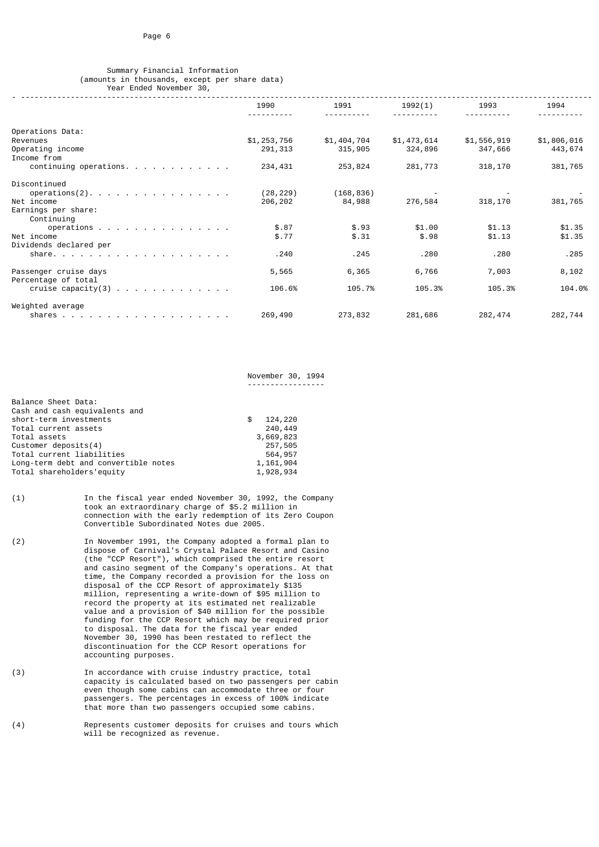# Summary Financial Information (amounts in thousands, except per share data) Year Ended November 30,

|                                                                 | 1990        | 1991        | 1992(1)     | 1993        | 1994        |
|-----------------------------------------------------------------|-------------|-------------|-------------|-------------|-------------|
|                                                                 |             |             |             |             |             |
| Operations Data:                                                |             |             |             |             |             |
| Revenues                                                        | \$1,253,756 | \$1,404,704 | \$1,473,614 | \$1,556,919 | \$1,806,016 |
| Operating income                                                | 291, 313    | 315,905     | 324,896     | 347,666     | 443,674     |
| Income from                                                     |             |             |             |             |             |
| continuing operations. $\cdots$                                 | 234,431     | 253,824     | 281,773     | 318,170     | 381,765     |
| Discontinued                                                    |             |             |             |             |             |
| operations $(2)$ .                                              | (28, 229)   | (168, 836)  |             |             |             |
| Net income                                                      | 206,202     | 84,988      | 276,584     | 318,170     | 381,765     |
| Earnings per share:                                             |             |             |             |             |             |
| Continuing                                                      |             |             |             |             |             |
| operations $\cdots$ $\cdots$ $\cdots$ $\cdots$ $\cdots$         | \$.87       | \$.93       | \$1.00      | \$1.13      | \$1.35      |
| Net income                                                      | \$.77       | \$.31       | \$.98       | \$1.13      | \$1.35      |
| Dividends declared per                                          |             |             |             |             |             |
|                                                                 | .240        | .245        | .280        | .280        | .285        |
| Passenger cruise days                                           | 5,565       | 6,365       | 6,766       | 7,003       | 8,102       |
| Percentage of total                                             |             |             |             |             |             |
| cruise capacity(3) $\ldots$ $\ldots$ $\ldots$ $\ldots$ $\ldots$ | 106.6%      | 105.7%      | 105.3%      | 105.3%      | 104.0%      |
| Weighted average                                                |             |             |             |             |             |
|                                                                 | 269,490     | 273,832     | 281,686     | 282,474     | 282,744     |

November 30, 1994

- ------------------------------------------------------------------------------------------------------------------------------

| Balance Sheet Data:                  |               |
|--------------------------------------|---------------|
| Cash and cash equivalents and        |               |
| short-term investments               | \$<br>124,220 |
| Total current assets                 | 240,449       |
| Total assets                         | 3,669,823     |
| Customer deposits $(4)$              | 257,505       |
| Total current liabilities            | 564,957       |
| Long-term debt and convertible notes | 1,161,904     |
| Total shareholders'equity            | 1,928,934     |

- (1) In the fiscal year ended November 30, 1992, the Company took an extraordinary charge of \$5.2 million in connection with the early redemption of its Zero Coupon Convertible Subordinated Notes due 2005.
- (2) In November 1991, the Company adopted a formal plan to dispose of Carnival's Crystal Palace Resort and Casino (the "CCP Resort"), which comprised the entire resort and casino segment of the Company's operations. At that time, the Company recorded a provision for the loss on disposal of the CCP Resort of approximately \$135 million, representing a write-down of \$95 million to record the property at its estimated net realizable value and a provision of \$40 million for the possible funding for the CCP Resort which may be required prior to disposal. The data for the fiscal year ended November 30, 1990 has been restated to reflect the discontinuation for the CCP Resort operations for accounting purposes.
- (3) In accordance with cruise industry practice, total capacity is calculated based on two passengers per cabin even though some cabins can accommodate three or four passengers. The percentages in excess of 100% indicate that more than two passengers occupied some cabins.
- (4) Represents customer deposits for cruises and tours which will be recognized as revenue.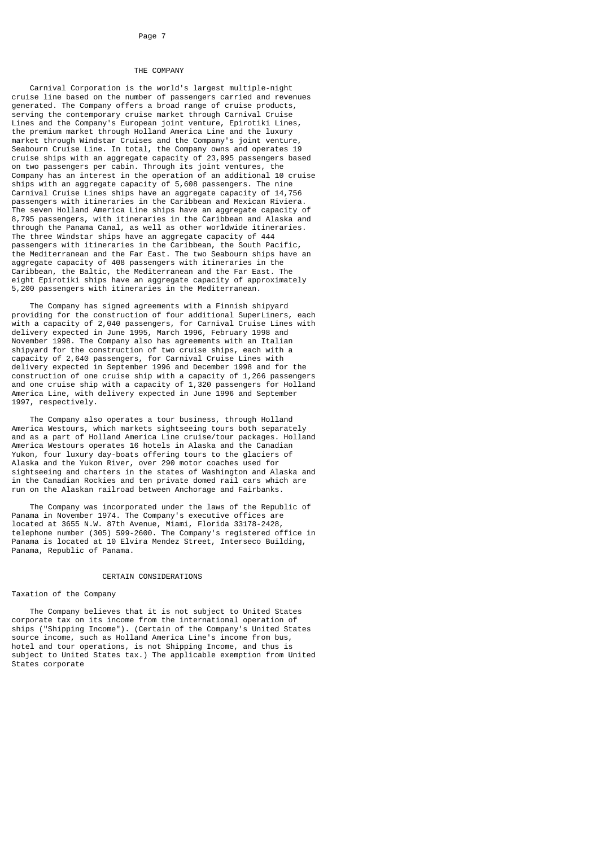# THE COMPANY

 Carnival Corporation is the world's largest multiple-night cruise line based on the number of passengers carried and revenues generated. The Company offers a broad range of cruise products, serving the contemporary cruise market through Carnival Cruise Lines and the Company's European joint venture, Epirotiki Lines, the premium market through Holland America Line and the luxury market through Windstar Cruises and the Company's joint venture, Seabourn Cruise Line. In total, the Company owns and operates 19 cruise ships with an aggregate capacity of 23,995 passengers based on two passengers per cabin. Through its joint ventures, the Company has an interest in the operation of an additional 10 cruise ships with an aggregate capacity of 5,608 passengers. The nine Carnival Cruise Lines ships have an aggregate capacity of 14,756 passengers with itineraries in the Caribbean and Mexican Riviera. The seven Holland America Line ships have an aggregate capacity of 8,795 passengers, with itineraries in the Caribbean and Alaska and through the Panama Canal, as well as other worldwide itineraries. The three Windstar ships have an aggregate capacity of 444 passengers with itineraries in the Caribbean, the South Pacific, the Mediterranean and the Far East. The two Seabourn ships have an aggregate capacity of 408 passengers with itineraries in the Caribbean, the Baltic, the Mediterranean and the Far East. The eight Epirotiki ships have an aggregate capacity of approximately 5,200 passengers with itineraries in the Mediterranean.

 The Company has signed agreements with a Finnish shipyard providing for the construction of four additional SuperLiners, each with a capacity of 2,040 passengers, for Carnival Cruise Lines with delivery expected in June 1995, March 1996, February 1998 and November 1998. The Company also has agreements with an Italian shipyard for the construction of two cruise ships, each with a capacity of 2,640 passengers, for Carnival Cruise Lines with delivery expected in September 1996 and December 1998 and for the construction of one cruise ship with a capacity of 1,266 passengers and one cruise ship with a capacity of 1,320 passengers for Holland America Line, with delivery expected in June 1996 and September 1997, respectively.

 The Company also operates a tour business, through Holland America Westours, which markets sightseeing tours both separately and as a part of Holland America Line cruise/tour packages. Holland America Westours operates 16 hotels in Alaska and the Canadian Yukon, four luxury day-boats offering tours to the glaciers of Alaska and the Yukon River, over 290 motor coaches used for sightseeing and charters in the states of Washington and Alaska and in the Canadian Rockies and ten private domed rail cars which are run on the Alaskan railroad between Anchorage and Fairbanks.

 The Company was incorporated under the laws of the Republic of Panama in November 1974. The Company's executive offices are located at 3655 N.W. 87th Avenue, Miami, Florida 33178-2428, telephone number (305) 599-2600. The Company's registered office in Panama is located at 10 Elvira Mendez Street, Interseco Building, Panama, Republic of Panama.

# CERTAIN CONSIDERATIONS

#### Taxation of the Company

 The Company believes that it is not subject to United States corporate tax on its income from the international operation of ships ("Shipping Income"). (Certain of the Company's United States source income, such as Holland America Line's income from bus, hotel and tour operations, is not Shipping Income, and thus is subject to United States tax.) The applicable exemption from United States corporate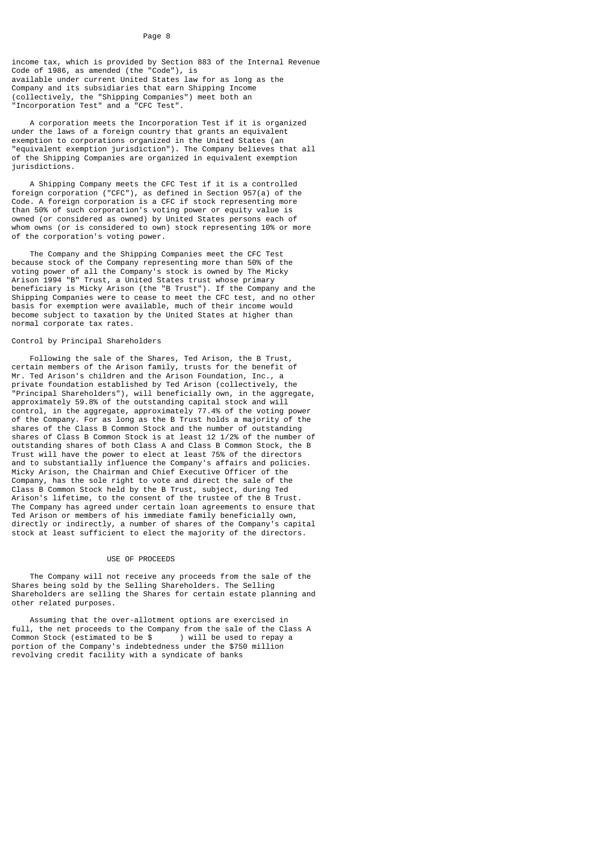income tax, which is provided by Section 883 of the Internal Revenue Code of 1986, as amended (the "Code"), is available under current United States law for as long as the Company and its subsidiaries that earn Shipping Income (collectively, the "Shipping Companies") meet both an "Incorporation Test" and a "CFC Test".

 A corporation meets the Incorporation Test if it is organized under the laws of a foreign country that grants an equivalent exemption to corporations organized in the United States (an "equivalent exemption jurisdiction"). The Company believes that all of the Shipping Companies are organized in equivalent exemption jurisdictions.

 A Shipping Company meets the CFC Test if it is a controlled foreign corporation ("CFC"), as defined in Section 957(a) of the Code. A foreign corporation is a CFC if stock representing more than 50% of such corporation's voting power or equity value is owned (or considered as owned) by United States persons each of whom owns (or is considered to own) stock representing 10% or more of the corporation's voting power.

 The Company and the Shipping Companies meet the CFC Test because stock of the Company representing more than 50% of the voting power of all the Company's stock is owned by The Micky Arison 1994 "B" Trust, a United States trust whose primary beneficiary is Micky Arison (the "B Trust"). If the Company and the Shipping Companies were to cease to meet the CFC test, and no other basis for exemption were available, much of their income would become subject to taxation by the United States at higher than normal corporate tax rates.

### Control by Principal Shareholders

 Following the sale of the Shares, Ted Arison, the B Trust, certain members of the Arison family, trusts for the benefit of Mr. Ted Arison's children and the Arison Foundation, Inc., a private foundation established by Ted Arison (collectively, the "Principal Shareholders"), will beneficially own, in the aggregate, approximately 59.8% of the outstanding capital stock and will control, in the aggregate, approximately 77.4% of the voting power of the Company. For as long as the B Trust holds a majority of the shares of the Class B Common Stock and the number of outstanding shares of Class B Common Stock is at least 12 1/2% of the number of outstanding shares of both Class A and Class B Common Stock, the B Trust will have the power to elect at least 75% of the directors and to substantially influence the Company's affairs and policies. Micky Arison, the Chairman and Chief Executive Officer of the Company, has the sole right to vote and direct the sale of the Class B Common Stock held by the B Trust, subject, during Ted Arison's lifetime, to the consent of the trustee of the B Trust. The Company has agreed under certain loan agreements to ensure that Ted Arison or members of his immediate family beneficially own, directly or indirectly, a number of shares of the Company's capital stock at least sufficient to elect the majority of the directors.

# USE OF PROCEEDS

 The Company will not receive any proceeds from the sale of the Shares being sold by the Selling Shareholders. The Selling Shareholders are selling the Shares for certain estate planning and other related purposes.

 Assuming that the over-allotment options are exercised in full, the net proceeds to the Company from the sale of the Class A Common Stock (estimated to be \$ ) will be used to repay a portion of the Company's indebtedness under the \$750 million revolving credit facility with a syndicate of banks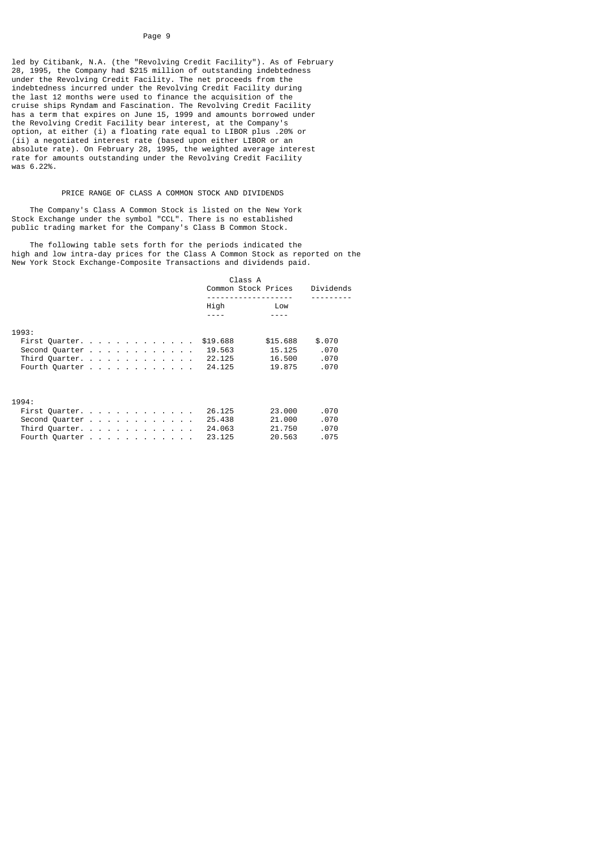led by Citibank, N.A. (the "Revolving Credit Facility"). As of February 28, 1995, the Company had \$215 million of outstanding indebtedness under the Revolving Credit Facility. The net proceeds from the indebtedness incurred under the Revolving Credit Facility during the last 12 months were used to finance the acquisition of the cruise ships Ryndam and Fascination. The Revolving Credit Facility has a term that expires on June 15, 1999 and amounts borrowed under the Revolving Credit Facility bear interest, at the Company's option, at either (i) a floating rate equal to LIBOR plus .20% or (ii) a negotiated interest rate (based upon either LIBOR or an absolute rate). On February 28, 1995, the weighted average interest rate for amounts outstanding under the Revolving Credit Facility was 6.22%.

# PRICE RANGE OF CLASS A COMMON STOCK AND DIVIDENDS

 The Company's Class A Common Stock is listed on the New York Stock Exchange under the symbol "CCL". There is no established public trading market for the Company's Class B Common Stock.

 The following table sets forth for the periods indicated the high and low intra-day prices for the Class A Common Stock as reported on the New York Stock Exchange-Composite Transactions and dividends paid.

|       |                | Class A              |           |  |  |  |
|-------|----------------|----------------------|-----------|--|--|--|
|       |                | Common Stock Prices  | Dividends |  |  |  |
|       |                | <u>.</u>             |           |  |  |  |
|       |                | High<br>Low          |           |  |  |  |
|       |                |                      |           |  |  |  |
| 1993: |                |                      |           |  |  |  |
|       | First Quarter. | \$19.688<br>\$15,688 | \$.070    |  |  |  |
|       |                |                      |           |  |  |  |
|       | Second Quarter | 19.563<br>15.125     | .070      |  |  |  |
|       | Third Quarter. | 22.125<br>16.500     | .070      |  |  |  |
|       | Fourth Quarter | 24,125<br>19.875     | .070      |  |  |  |
|       |                |                      |           |  |  |  |
|       |                |                      |           |  |  |  |
| 1994: |                |                      |           |  |  |  |
|       | First Quarter. | 23.000<br>26.125     | .070      |  |  |  |
|       | Second Quarter | 21.000<br>25,438     | .070      |  |  |  |
|       | Third Quarter. | 24,063<br>21.750     | .070      |  |  |  |
|       | Fourth Quarter | 23.125<br>20.563     | .075      |  |  |  |
|       |                |                      |           |  |  |  |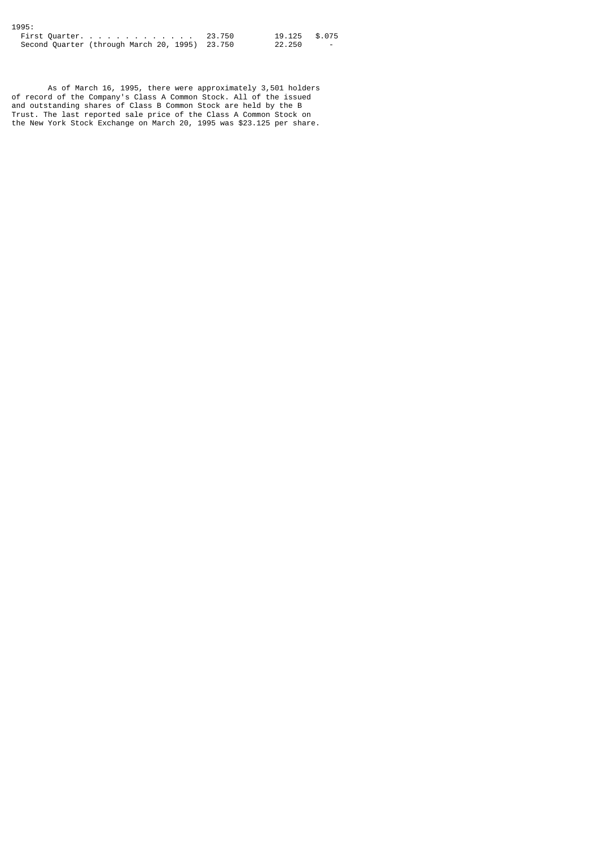| 1995:                                          |               |                          |
|------------------------------------------------|---------------|--------------------------|
| First Quarter. 23.750                          | 19.125 \$.075 |                          |
| Second Quarter (through March 20, 1995) 23.750 | 22.250        | $\overline{\phantom{0}}$ |

 As of March 16, 1995, there were approximately 3,501 holders of record of the Company's Class A Common Stock. All of the issued and outstanding shares of Class B Common Stock are held by the B Trust. The last reported sale price of the Class A Common Stock on the New York Stock Exchange on March 20, 1995 was \$23.125 per share.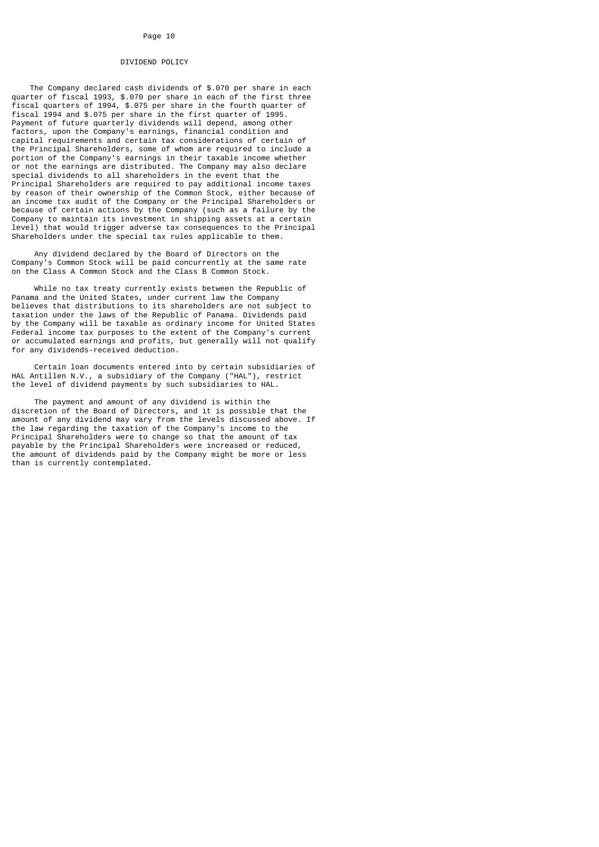# DIVIDEND POLICY

 The Company declared cash dividends of \$.070 per share in each quarter of fiscal 1993, \$.070 per share in each of the first three fiscal quarters of 1994, \$.075 per share in the fourth quarter of fiscal 1994 and \$.075 per share in the first quarter of 1995. Payment of future quarterly dividends will depend, among other factors, upon the Company's earnings, financial condition and capital requirements and certain tax considerations of certain of the Principal Shareholders, some of whom are required to include a portion of the Company's earnings in their taxable income whether or not the earnings are distributed. The Company may also declare special dividends to all shareholders in the event that the Principal Shareholders are required to pay additional income taxes by reason of their ownership of the Common Stock, either because of an income tax audit of the Company or the Principal Shareholders or because of certain actions by the Company (such as a failure by the Company to maintain its investment in shipping assets at a certain level) that would trigger adverse tax consequences to the Principal Shareholders under the special tax rules applicable to them.

 Any dividend declared by the Board of Directors on the Company's Common Stock will be paid concurrently at the same rate on the Class A Common Stock and the Class B Common Stock.

 While no tax treaty currently exists between the Republic of Panama and the United States, under current law the Company believes that distributions to its shareholders are not subject to taxation under the laws of the Republic of Panama. Dividends paid by the Company will be taxable as ordinary income for United States Federal income tax purposes to the extent of the Company's current or accumulated earnings and profits, but generally will not qualify for any dividends-received deduction.

 Certain loan documents entered into by certain subsidiaries of HAL Antillen N.V., a subsidiary of the Company ("HAL"), restrict the level of dividend payments by such subsidiaries to HAL.

 The payment and amount of any dividend is within the discretion of the Board of Directors, and it is possible that the amount of any dividend may vary from the levels discussed above. If the law regarding the taxation of the Company's income to the Principal Shareholders were to change so that the amount of tax payable by the Principal Shareholders were increased or reduced, the amount of dividends paid by the Company might be more or less than is currently contemplated.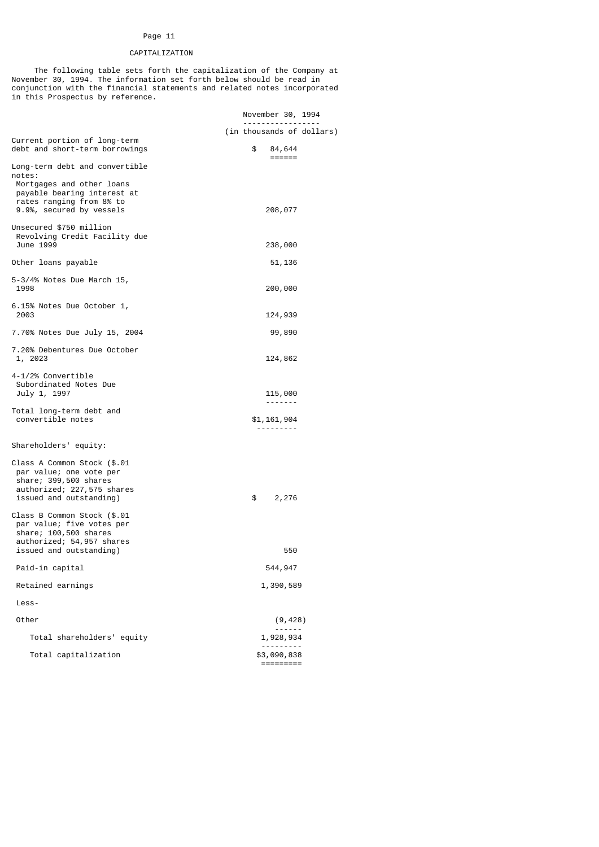# CAPITALIZATION

 The following table sets forth the capitalization of the Company at November 30, 1994. The information set forth below should be read in conjunction with the financial statements and related notes incorporated in this Prospectus by reference.

|                                                                                                               | November 30, 1994<br>-----------------  |  |
|---------------------------------------------------------------------------------------------------------------|-----------------------------------------|--|
|                                                                                                               | (in thousands of dollars)               |  |
| Current portion of long-term<br>debt and short-term borrowings                                                | \$<br>84,644<br>$=$ $=$ $=$ $=$ $=$ $=$ |  |
| Long-term debt and convertible<br>notes:                                                                      |                                         |  |
| Mortgages and other loans                                                                                     |                                         |  |
| payable bearing interest at<br>rates ranging from 8% to                                                       |                                         |  |
| 9.9%, secured by vessels                                                                                      | 208,077                                 |  |
| Unsecured \$750 million<br>Revolving Credit Facility due<br>June 1999                                         | 238,000                                 |  |
| Other loans payable                                                                                           | 51,136                                  |  |
| 5-3/4% Notes Due March 15,<br>1998                                                                            | 200,000                                 |  |
| 6.15% Notes Due October 1,<br>2003                                                                            | 124,939                                 |  |
| 7.70% Notes Due July 15, 2004                                                                                 | 99,890                                  |  |
| 7.20% Debentures Due October<br>1, 2023                                                                       | 124,862                                 |  |
| 4-1/2% Convertible                                                                                            |                                         |  |
| Subordinated Notes Due<br>July 1, 1997                                                                        | 115,000                                 |  |
| Total long-term debt and                                                                                      |                                         |  |
| convertible notes                                                                                             | \$1,161,904                             |  |
| Shareholders' equity:                                                                                         |                                         |  |
| Class A Common Stock (\$.01<br>par value; one vote per<br>share; 399,500 shares<br>authorized; 227,575 shares |                                         |  |
| issued and outstanding)                                                                                       | \$<br>2,276                             |  |
| Class B Common Stock (\$.01<br>par value; five votes per<br>share; 100,500 shares                             |                                         |  |
| authorized; 54,957 shares<br>issued and outstanding)                                                          | 550                                     |  |
| Paid-in capital                                                                                               | 544,947                                 |  |
| Retained earnings                                                                                             | 1,390,589                               |  |
| Less-                                                                                                         |                                         |  |
| Other                                                                                                         | (9, 428)                                |  |
| Total shareholders' equity                                                                                    | $\overline{a}$<br>1,928,934             |  |
| Total capitalization                                                                                          | \$3,090,838<br>=========                |  |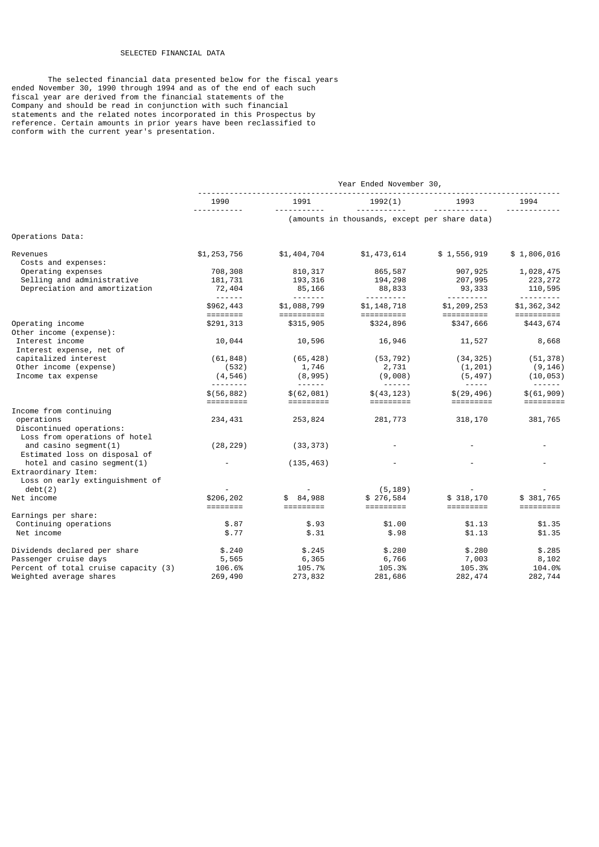# SELECTED FINANCIAL DATA

 The selected financial data presented below for the fiscal years ended November 30, 1990 through 1994 and as of the end of each such fiscal year are derived from the financial statements of the Company and should be read in conjunction with such financial statements and the related notes incorporated in this Prospectus by reference. Certain amounts in prior years have been reclassified to conform with the current year's presentation.

|                                                           | Year Ended November 30,                  |                                                                                                                                                                                                                                                                                                                                                                                                                                                 |                                                                                                                                                                                                                                                                                                                                                                                                                                                                                                                    |                                        |                                                          |  |
|-----------------------------------------------------------|------------------------------------------|-------------------------------------------------------------------------------------------------------------------------------------------------------------------------------------------------------------------------------------------------------------------------------------------------------------------------------------------------------------------------------------------------------------------------------------------------|--------------------------------------------------------------------------------------------------------------------------------------------------------------------------------------------------------------------------------------------------------------------------------------------------------------------------------------------------------------------------------------------------------------------------------------------------------------------------------------------------------------------|----------------------------------------|----------------------------------------------------------|--|
|                                                           | 1990                                     | 1991                                                                                                                                                                                                                                                                                                                                                                                                                                            | 1992(1)                                                                                                                                                                                                                                                                                                                                                                                                                                                                                                            | 1993                                   | 1994                                                     |  |
|                                                           | .                                        |                                                                                                                                                                                                                                                                                                                                                                                                                                                 | (amounts in thousands, except per share data)                                                                                                                                                                                                                                                                                                                                                                                                                                                                      | .                                      |                                                          |  |
| Operations Data:                                          |                                          |                                                                                                                                                                                                                                                                                                                                                                                                                                                 |                                                                                                                                                                                                                                                                                                                                                                                                                                                                                                                    |                                        |                                                          |  |
| Revenues<br>Costs and expenses:                           | \$1,253,756                              | \$1,404,704                                                                                                                                                                                                                                                                                                                                                                                                                                     | \$1,473,614                                                                                                                                                                                                                                                                                                                                                                                                                                                                                                        | \$1,556,919                            | \$1,806,016                                              |  |
| Operating expenses                                        | 708,308                                  | 810, 317                                                                                                                                                                                                                                                                                                                                                                                                                                        | 865,587                                                                                                                                                                                                                                                                                                                                                                                                                                                                                                            | 907,925                                | 1,028,475                                                |  |
| Selling and administrative                                | 181,731                                  | 193,316                                                                                                                                                                                                                                                                                                                                                                                                                                         | 194,298                                                                                                                                                                                                                                                                                                                                                                                                                                                                                                            | 207,995                                | 223, 272                                                 |  |
| Depreciation and amortization                             | 72,404                                   | 85,166<br>$- - - - - - - -$                                                                                                                                                                                                                                                                                                                                                                                                                     | 88,833                                                                                                                                                                                                                                                                                                                                                                                                                                                                                                             | 93,333                                 | 110,595                                                  |  |
|                                                           | \$962,443<br>========                    | \$1,088,799<br>==========                                                                                                                                                                                                                                                                                                                                                                                                                       | <u> - - - - - - - -</u><br>\$1,148,718<br>==========                                                                                                                                                                                                                                                                                                                                                                                                                                                               | <u> - - - - - - - -</u><br>\$1,209,253 | <u> - - - - - - - -</u><br>\$1,362,342<br>$=$ ========== |  |
| Operating income<br>Other income (expense):               | \$291,313                                | \$315,905                                                                                                                                                                                                                                                                                                                                                                                                                                       | \$324,896                                                                                                                                                                                                                                                                                                                                                                                                                                                                                                          | \$347,666                              | \$443,674                                                |  |
| Interest income<br>Interest expense, net of               | 10,044                                   | 10,596                                                                                                                                                                                                                                                                                                                                                                                                                                          | 16,946                                                                                                                                                                                                                                                                                                                                                                                                                                                                                                             | 11,527                                 | 8,668                                                    |  |
| capitalized interest                                      | (61, 848)                                | (65, 428)                                                                                                                                                                                                                                                                                                                                                                                                                                       | (53, 792)                                                                                                                                                                                                                                                                                                                                                                                                                                                                                                          | (34, 325)                              | (51, 378)                                                |  |
| Other income (expense)                                    | (532)                                    | 1,746                                                                                                                                                                                                                                                                                                                                                                                                                                           | 2,731                                                                                                                                                                                                                                                                                                                                                                                                                                                                                                              | (1, 201)                               | (9, 146)                                                 |  |
| Income tax expense                                        | (4, 546)                                 | (8, 995)                                                                                                                                                                                                                                                                                                                                                                                                                                        | (9,008)                                                                                                                                                                                                                                                                                                                                                                                                                                                                                                            | (5, 497)                               | (10, 053)                                                |  |
|                                                           | \$(56, 882)<br>=========                 | $- - - - - -$<br>\$(62,081)<br>=========                                                                                                                                                                                                                                                                                                                                                                                                        | $\begin{array}{cccccccccccccc} \multicolumn{2}{c}{} & \multicolumn{2}{c}{} & \multicolumn{2}{c}{} & \multicolumn{2}{c}{} & \multicolumn{2}{c}{} & \multicolumn{2}{c}{} & \multicolumn{2}{c}{} & \multicolumn{2}{c}{} & \multicolumn{2}{c}{} & \multicolumn{2}{c}{} & \multicolumn{2}{c}{} & \multicolumn{2}{c}{} & \multicolumn{2}{c}{} & \multicolumn{2}{c}{} & \multicolumn{2}{c}{} & \multicolumn{2}{c}{} & \multicolumn{2}{c}{} & \multicolumn{2}{c}{} & \multicolumn{2}{c}{} & \$<br>\$(43, 123)<br>========= | \$(29, 496)<br>=========               | \$(61, 909)                                              |  |
| Income from continuing                                    |                                          |                                                                                                                                                                                                                                                                                                                                                                                                                                                 |                                                                                                                                                                                                                                                                                                                                                                                                                                                                                                                    |                                        |                                                          |  |
| operations                                                | 234,431                                  | 253,824                                                                                                                                                                                                                                                                                                                                                                                                                                         | 281,773                                                                                                                                                                                                                                                                                                                                                                                                                                                                                                            | 318,170                                | 381,765                                                  |  |
| Discontinued operations:<br>Loss from operations of hotel |                                          |                                                                                                                                                                                                                                                                                                                                                                                                                                                 |                                                                                                                                                                                                                                                                                                                                                                                                                                                                                                                    |                                        |                                                          |  |
| and casino segment $(1)$<br>Estimated loss on disposal of | (28, 229)                                | (33, 373)                                                                                                                                                                                                                                                                                                                                                                                                                                       |                                                                                                                                                                                                                                                                                                                                                                                                                                                                                                                    |                                        |                                                          |  |
| hotel and casino segment $(1)$<br>Extraordinary Item:     |                                          | (135, 463)                                                                                                                                                                                                                                                                                                                                                                                                                                      |                                                                                                                                                                                                                                                                                                                                                                                                                                                                                                                    |                                        |                                                          |  |
| Loss on early extinguishment of                           |                                          |                                                                                                                                                                                                                                                                                                                                                                                                                                                 |                                                                                                                                                                                                                                                                                                                                                                                                                                                                                                                    |                                        |                                                          |  |
| debt(2)                                                   |                                          |                                                                                                                                                                                                                                                                                                                                                                                                                                                 | (5, 189)                                                                                                                                                                                                                                                                                                                                                                                                                                                                                                           |                                        |                                                          |  |
| Net income                                                | \$206,202<br>$=$ $=$ $=$ $=$ $=$ $=$ $=$ | \$84,988<br>$\begin{array}{cccccc} \texttt{m} & \texttt{m} & \texttt{m} & \texttt{m} & \texttt{m} & \texttt{m} & \texttt{m} & \texttt{m} & \texttt{m} & \texttt{m} & \texttt{m} & \texttt{m} & \texttt{m} & \texttt{m} & \texttt{m} & \texttt{m} & \texttt{m} & \texttt{m} & \texttt{m} & \texttt{m} & \texttt{m} & \texttt{m} & \texttt{m} & \texttt{m} & \texttt{m} & \texttt{m} & \texttt{m} & \texttt{m} & \texttt{m} & \texttt{m} & \text$ | \$276,584<br>=========                                                                                                                                                                                                                                                                                                                                                                                                                                                                                             | \$318,170                              | \$381,765<br>=========                                   |  |
| Earnings per share:                                       |                                          |                                                                                                                                                                                                                                                                                                                                                                                                                                                 |                                                                                                                                                                                                                                                                                                                                                                                                                                                                                                                    |                                        |                                                          |  |
| Continuing operations                                     | \$.87                                    | \$.93                                                                                                                                                                                                                                                                                                                                                                                                                                           | \$1.00                                                                                                                                                                                                                                                                                                                                                                                                                                                                                                             | \$1.13                                 | \$1.35                                                   |  |
| Net income                                                | \$.77                                    | \$.31                                                                                                                                                                                                                                                                                                                                                                                                                                           | \$.98                                                                                                                                                                                                                                                                                                                                                                                                                                                                                                              | \$1.13                                 | \$1.35                                                   |  |
| Dividends declared per share                              | \$.240                                   | \$.245                                                                                                                                                                                                                                                                                                                                                                                                                                          | \$.280                                                                                                                                                                                                                                                                                                                                                                                                                                                                                                             | \$.280                                 | \$.285                                                   |  |
| Passenger cruise days                                     | 5,565                                    | 6,365                                                                                                                                                                                                                                                                                                                                                                                                                                           | 6,766                                                                                                                                                                                                                                                                                                                                                                                                                                                                                                              | 7,003                                  | 8,102                                                    |  |
| Percent of total cruise capacity (3)                      | 106.6%                                   | 105.7%                                                                                                                                                                                                                                                                                                                                                                                                                                          | 105.3%                                                                                                                                                                                                                                                                                                                                                                                                                                                                                                             | 105.3%                                 | 104.0%                                                   |  |
| Weighted average shares                                   | 269,490                                  | 273,832                                                                                                                                                                                                                                                                                                                                                                                                                                         | 281,686                                                                                                                                                                                                                                                                                                                                                                                                                                                                                                            | 282, 474                               | 282,744                                                  |  |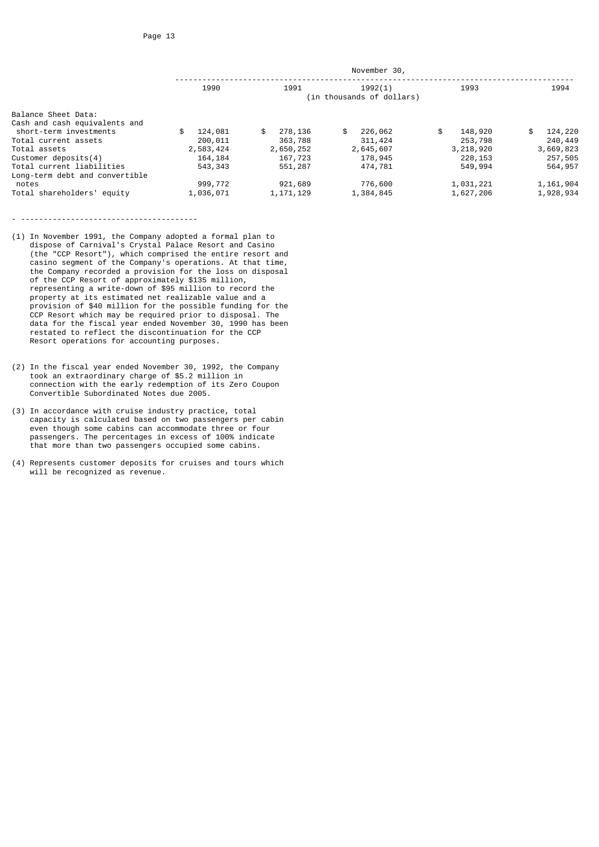| 1990          | 1991          | 1992(1)       | 1993                                      | 1994          |  |
|---------------|---------------|---------------|-------------------------------------------|---------------|--|
|               |               |               |                                           |               |  |
|               |               |               |                                           |               |  |
| \$<br>124,081 | \$<br>278,136 | \$<br>226,062 | \$<br>148,920                             | \$<br>124,220 |  |
| 200,011       | 363,788       | 311,424       | 253,798                                   | 240,449       |  |
| 2,583,424     | 2,650,252     | 2,645,607     | 3,218,920                                 | 3,669,823     |  |
| 164, 184      | 167,723       | 178,945       | 228, 153                                  | 257,505       |  |
| 543, 343      | 551,287       | 474,781       | 549,994                                   | 564,957       |  |
|               |               |               |                                           |               |  |
| 999,772       | 921,689       | 776,600       | 1,031,221                                 | 1, 161, 904   |  |
| 1,036,071     | 1, 171, 129   | 1,384,845     | 1,627,206                                 | 1,928,934     |  |
|               |               |               | November 30,<br>(in thousands of dollars) |               |  |

- (1) In November 1991, the Company adopted a formal plan to dispose of Carnival's Crystal Palace Resort and Casino (the "CCP Resort"), which comprised the entire resort and casino segment of the Company's operations. At that time, the Company recorded a provision for the loss on disposal of the CCP Resort of approximately \$135 million, representing a write-down of \$95 million to record the property at its estimated net realizable value and a provision of \$40 million for the possible funding for the CCP Resort which may be required prior to disposal. The data for the fiscal year ended November 30, 1990 has been restated to reflect the discontinuation for the CCP Resort operations for accounting purposes.
- (2) In the fiscal year ended November 30, 1992, the Company took an extraordinary charge of \$5.2 million in connection with the early redemption of its Zero Coupon Convertible Subordinated Notes due 2005.
- (3) In accordance with cruise industry practice, total capacity is calculated based on two passengers per cabin even though some cabins can accommodate three or four passengers. The percentages in excess of 100% indicate that more than two passengers occupied some cabins.
- (4) Represents customer deposits for cruises and tours which will be recognized as revenue.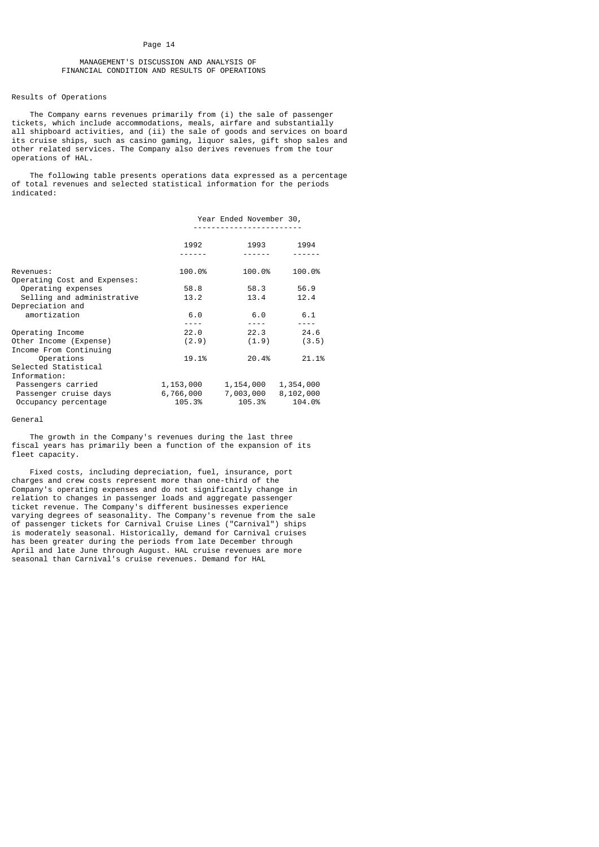# MANAGEMENT'S DISCUSSION AND ANALYSIS OF FINANCIAL CONDITION AND RESULTS OF OPERATIONS

# Results of Operations

 The Company earns revenues primarily from (i) the sale of passenger tickets, which include accommodations, meals, airfare and substantially all shipboard activities, and (ii) the sale of goods and services on board its cruise ships, such as casino gaming, liquor sales, gift shop sales and other related services. The Company also derives revenues from the tour operations of HAL.

 The following table presents operations data expressed as a percentage of total revenues and selected statistical information for the periods indicated:

|                                                                                     | Year Ended November 30,          |                                  |                                  |
|-------------------------------------------------------------------------------------|----------------------------------|----------------------------------|----------------------------------|
|                                                                                     | 1992                             | 1993                             | 1994                             |
|                                                                                     |                                  |                                  |                                  |
| Revenues:<br>Operating Cost and Expenses:                                           | 100.0%                           | 100.0%                           | 100.0%                           |
| Operating expenses                                                                  | 58.8                             | 58.3                             | 56.9                             |
| Selling and administrative                                                          | 13.2                             | 13.4                             | 12.4                             |
| Depreciation and                                                                    |                                  |                                  |                                  |
| amortization                                                                        | 6.0                              | 6.0                              | 6.1                              |
|                                                                                     |                                  | $- - - -$                        |                                  |
| Operating Income                                                                    | 22.0                             | 22.3                             | 24.6                             |
| Other Income (Expense)<br>Income From Continuing                                    | (2.9)                            | (1.9)                            | (3.5)                            |
| Operations                                                                          | 19.1%                            | 20.4%                            | 21.1%                            |
| Selected Statistical                                                                |                                  |                                  |                                  |
| Information:<br>Passengers carried<br>Passenger cruise days<br>Occupancy percentage | 1,153,000<br>6,766,000<br>105.3% | 1,154,000<br>7,003,000<br>105.3% | 1,354,000<br>8,102,000<br>104.0% |

#### General

 The growth in the Company's revenues during the last three fiscal years has primarily been a function of the expansion of its fleet capacity.

 Fixed costs, including depreciation, fuel, insurance, port charges and crew costs represent more than one-third of the Company's operating expenses and do not significantly change in relation to changes in passenger loads and aggregate passenger ticket revenue. The Company's different businesses experience varying degrees of seasonality. The Company's revenue from the sale of passenger tickets for Carnival Cruise Lines ("Carnival") ships is moderately seasonal. Historically, demand for Carnival cruises has been greater during the periods from late December through April and late June through August. HAL cruise revenues are more seasonal than Carnival's cruise revenues. Demand for HAL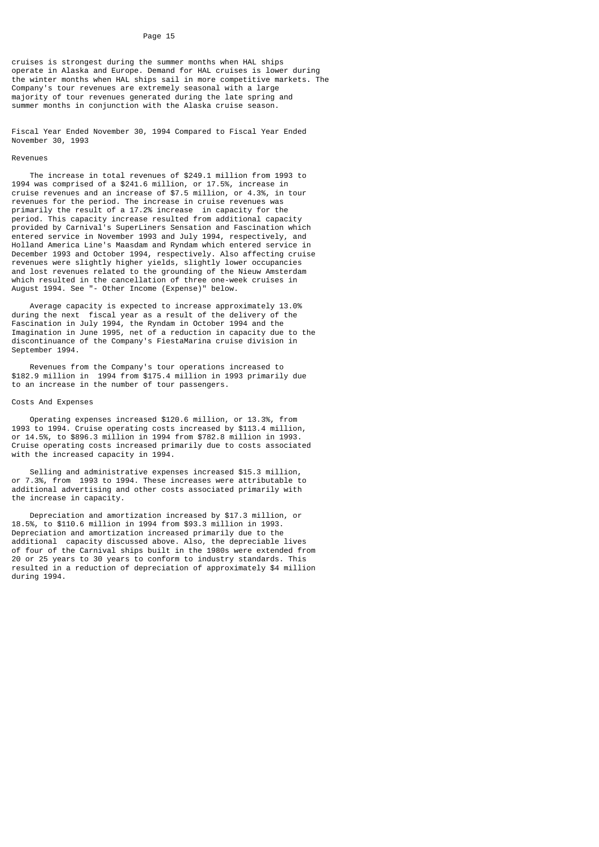cruises is strongest during the summer months when HAL ships operate in Alaska and Europe. Demand for HAL cruises is lower during the winter months when HAL ships sail in more competitive markets. The Company's tour revenues are extremely seasonal with a large majority of tour revenues generated during the late spring and summer months in conjunction with the Alaska cruise season.

Fiscal Year Ended November 30, 1994 Compared to Fiscal Year Ended November 30, 1993

# Revenues

 The increase in total revenues of \$249.1 million from 1993 to 1994 was comprised of a \$241.6 million, or 17.5%, increase in cruise revenues and an increase of \$7.5 million, or 4.3%, in tour revenues for the period. The increase in cruise revenues was primarily the result of a 17.2% increase in capacity for the period. This capacity increase resulted from additional capacity provided by Carnival's SuperLiners Sensation and Fascination which entered service in November 1993 and July 1994, respectively, and Holland America Line's Maasdam and Ryndam which entered service in December 1993 and October 1994, respectively. Also affecting cruise revenues were slightly higher yields, slightly lower occupancies and lost revenues related to the grounding of the Nieuw Amsterdam which resulted in the cancellation of three one-week cruises in August 1994. See "- Other Income (Expense)" below.

 Average capacity is expected to increase approximately 13.0% during the next fiscal year as a result of the delivery of the Fascination in July 1994, the Ryndam in October 1994 and the Imagination in June 1995, net of a reduction in capacity due to the discontinuance of the Company's FiestaMarina cruise division in September 1994.

 Revenues from the Company's tour operations increased to \$182.9 million in 1994 from \$175.4 million in 1993 primarily due to an increase in the number of tour passengers.

#### Costs And Expenses

 Operating expenses increased \$120.6 million, or 13.3%, from 1993 to 1994. Cruise operating costs increased by \$113.4 million, or 14.5%, to \$896.3 million in 1994 from \$782.8 million in 1993. Cruise operating costs increased primarily due to costs associated with the increased capacity in 1994.

 Selling and administrative expenses increased \$15.3 million, or 7.3%, from 1993 to 1994. These increases were attributable to additional advertising and other costs associated primarily with the increase in capacity.

 Depreciation and amortization increased by \$17.3 million, or 18.5%, to \$110.6 million in 1994 from \$93.3 million in 1993. Depreciation and amortization increased primarily due to the additional capacity discussed above. Also, the depreciable lives of four of the Carnival ships built in the 1980s were extended from 20 or 25 years to 30 years to conform to industry standards. This resulted in a reduction of depreciation of approximately \$4 million during 1994.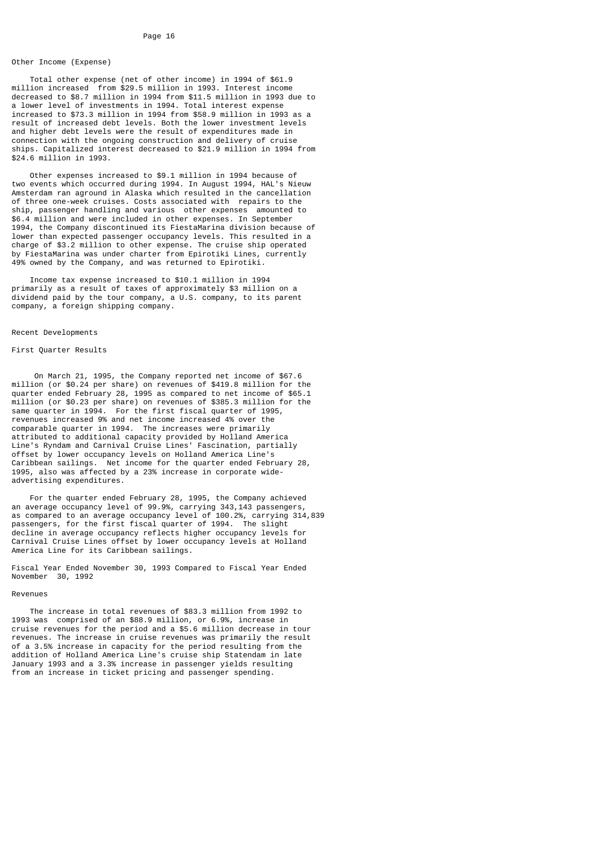# Other Income (Expense)

 Total other expense (net of other income) in 1994 of \$61.9 million increased from \$29.5 million in 1993. Interest income decreased to \$8.7 million in 1994 from \$11.5 million in 1993 due to a lower level of investments in 1994. Total interest expense increased to \$73.3 million in 1994 from \$58.9 million in 1993 as a result of increased debt levels. Both the lower investment levels and higher debt levels were the result of expenditures made in connection with the ongoing construction and delivery of cruise ships. Capitalized interest decreased to \$21.9 million in 1994 from \$24.6 million in 1993.

 Other expenses increased to \$9.1 million in 1994 because of two events which occurred during 1994. In August 1994, HAL's Nieuw Amsterdam ran aground in Alaska which resulted in the cancellation of three one-week cruises. Costs associated with repairs to the ship, passenger handling and various other expenses amounted to \$6.4 million and were included in other expenses. In September 1994, the Company discontinued its FiestaMarina division because of lower than expected passenger occupancy levels. This resulted in a charge of \$3.2 million to other expense. The cruise ship operated by FiestaMarina was under charter from Epirotiki Lines, currently 49% owned by the Company, and was returned to Epirotiki.

 Income tax expense increased to \$10.1 million in 1994 primarily as a result of taxes of approximately \$3 million on a dividend paid by the tour company, a U.S. company, to its parent company, a foreign shipping company.

#### Recent Developments

# First Quarter Results

 On March 21, 1995, the Company reported net income of \$67.6 million (or \$0.24 per share) on revenues of \$419.8 million for the quarter ended February 28, 1995 as compared to net income of \$65.1 million (or \$0.23 per share) on revenues of \$385.3 million for the same quarter in 1994. For the first fiscal quarter of 1995, revenues increased 9% and net income increased 4% over the comparable quarter in 1994. The increases were primarily attributed to additional capacity provided by Holland America Line's Ryndam and Carnival Cruise Lines' Fascination, partially offset by lower occupancy levels on Holland America Line's Caribbean sailings. Net income for the quarter ended February 28, 1995, also was affected by a 23% increase in corporate wideadvertising expenditures.

 For the quarter ended February 28, 1995, the Company achieved an average occupancy level of 99.9%, carrying 343,143 passengers, as compared to an average occupancy level of 100.2%, carrying 314,839 passengers, for the first fiscal quarter of 1994. The slight decline in average occupancy reflects higher occupancy levels for Carnival Cruise Lines offset by lower occupancy levels at Holland America Line for its Caribbean sailings.

Fiscal Year Ended November 30, 1993 Compared to Fiscal Year Ended November 30, 1992

#### Revenues

 The increase in total revenues of \$83.3 million from 1992 to 1993 was comprised of an \$88.9 million, or 6.9%, increase in cruise revenues for the period and a \$5.6 million decrease in tour revenues. The increase in cruise revenues was primarily the result of a 3.5% increase in capacity for the period resulting from the addition of Holland America Line's cruise ship Statendam in late January 1993 and a 3.3% increase in passenger yields resulting from an increase in ticket pricing and passenger spending.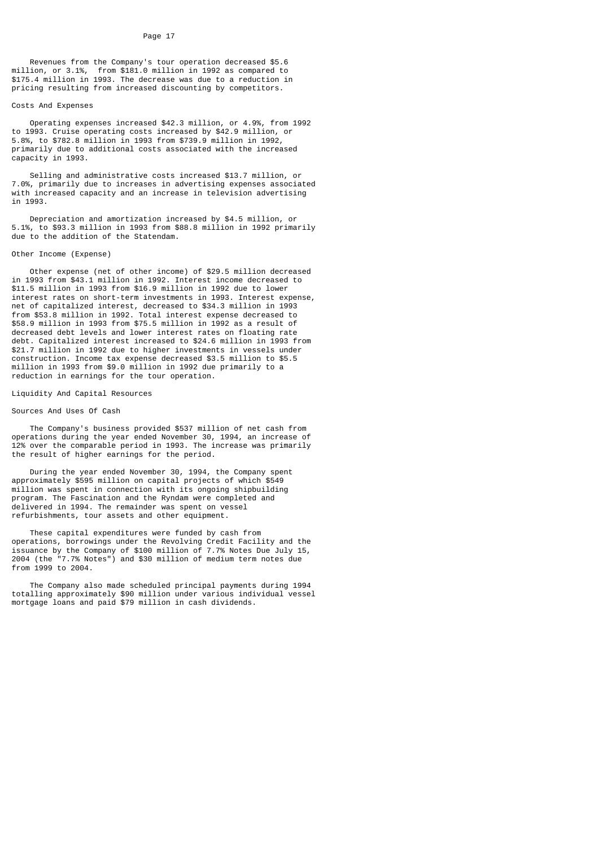Revenues from the Company's tour operation decreased \$5.6 million, or 3.1%, from \$181.0 million in 1992 as compared to \$175.4 million in 1993. The decrease was due to a reduction in pricing resulting from increased discounting by competitors.

# Costs And Expenses

 Operating expenses increased \$42.3 million, or 4.9%, from 1992 to 1993. Cruise operating costs increased by \$42.9 million, or 5.8%, to \$782.8 million in 1993 from \$739.9 million in 1992, primarily due to additional costs associated with the increased capacity in 1993.

 Selling and administrative costs increased \$13.7 million, or 7.0%, primarily due to increases in advertising expenses associated with increased capacity and an increase in television advertising in 1993.

 Depreciation and amortization increased by \$4.5 million, or 5.1%, to \$93.3 million in 1993 from \$88.8 million in 1992 primarily due to the addition of the Statendam.

#### Other Income (Expense)

 Other expense (net of other income) of \$29.5 million decreased in 1993 from \$43.1 million in 1992. Interest income decreased to \$11.5 million in 1993 from \$16.9 million in 1992 due to lower interest rates on short-term investments in 1993. Interest expense, net of capitalized interest, decreased to \$34.3 million in 1993 from \$53.8 million in 1992. Total interest expense decreased to \$58.9 million in 1993 from \$75.5 million in 1992 as a result of decreased debt levels and lower interest rates on floating rate debt. Capitalized interest increased to \$24.6 million in 1993 from \$21.7 million in 1992 due to higher investments in vessels under construction. Income tax expense decreased \$3.5 million to \$5.5 million in 1993 from \$9.0 million in 1992 due primarily to a reduction in earnings for the tour operation.

# Liquidity And Capital Resources

# Sources And Uses Of Cash

 The Company's business provided \$537 million of net cash from operations during the year ended November 30, 1994, an increase of 12% over the comparable period in 1993. The increase was primarily the result of higher earnings for the period.

 During the year ended November 30, 1994, the Company spent approximately \$595 million on capital projects of which \$549 million was spent in connection with its ongoing shipbuilding program. The Fascination and the Ryndam were completed and delivered in 1994. The remainder was spent on vessel refurbishments, tour assets and other equipment.

 These capital expenditures were funded by cash from operations, borrowings under the Revolving Credit Facility and the issuance by the Company of \$100 million of 7.7% Notes Due July 15, 2004 (the "7.7% Notes") and \$30 million of medium term notes due from 1999 to 2004.

 The Company also made scheduled principal payments during 1994 totalling approximately \$90 million under various individual vessel mortgage loans and paid \$79 million in cash dividends.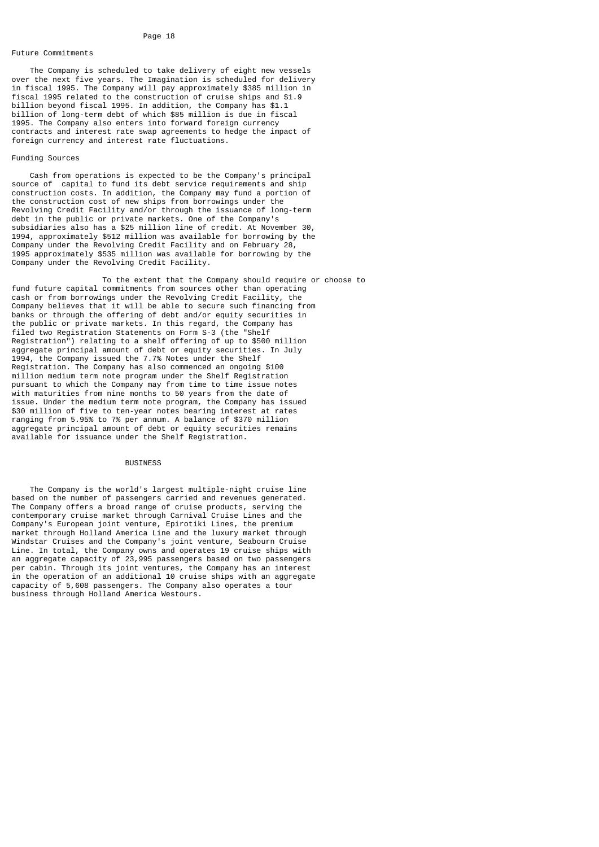# Future Commitments

 The Company is scheduled to take delivery of eight new vessels over the next five years. The Imagination is scheduled for delivery in fiscal 1995. The Company will pay approximately \$385 million in fiscal 1995 related to the construction of cruise ships and \$1.9 billion beyond fiscal 1995. In addition, the Company has \$1.1 billion of long-term debt of which \$85 million is due in fiscal 1995. The Company also enters into forward foreign currency contracts and interest rate swap agreements to hedge the impact of foreign currency and interest rate fluctuations.

# Funding Sources

 Cash from operations is expected to be the Company's principal source of capital to fund its debt service requirements and ship construction costs. In addition, the Company may fund a portion of the construction cost of new ships from borrowings under the Revolving Credit Facility and/or through the issuance of long-term debt in the public or private markets. One of the Company's subsidiaries also has a \$25 million line of credit. At November 30, 1994, approximately \$512 million was available for borrowing by the Company under the Revolving Credit Facility and on February 28, 1995 approximately \$535 million was available for borrowing by the Company under the Revolving Credit Facility.

 To the extent that the Company should require or choose to fund future capital commitments from sources other than operating cash or from borrowings under the Revolving Credit Facility, the Company believes that it will be able to secure such financing from banks or through the offering of debt and/or equity securities in the public or private markets. In this regard, the Company has filed two Registration Statements on Form S-3 (the "Shelf Registration") relating to a shelf offering of up to \$500 million aggregate principal amount of debt or equity securities. In July 1994, the Company issued the 7.7% Notes under the Shelf Registration. The Company has also commenced an ongoing \$100 million medium term note program under the Shelf Registration pursuant to which the Company may from time to time issue notes with maturities from nine months to 50 years from the date of issue. Under the medium term note program, the Company has issued \$30 million of five to ten-year notes bearing interest at rates ranging from 5.95% to 7% per annum. A balance of \$370 million aggregate principal amount of debt or equity securities remains available for issuance under the Shelf Registration.

# **BUSTNESS**

 The Company is the world's largest multiple-night cruise line based on the number of passengers carried and revenues generated. The Company offers a broad range of cruise products, serving the contemporary cruise market through Carnival Cruise Lines and the Company's European joint venture, Epirotiki Lines, the premium market through Holland America Line and the luxury market through Windstar Cruises and the Company's joint venture, Seabourn Cruise Line. In total, the Company owns and operates 19 cruise ships with an aggregate capacity of 23,995 passengers based on two passengers per cabin. Through its joint ventures, the Company has an interest in the operation of an additional 10 cruise ships with an aggregate capacity of 5,608 passengers. The Company also operates a tour business through Holland America Westours.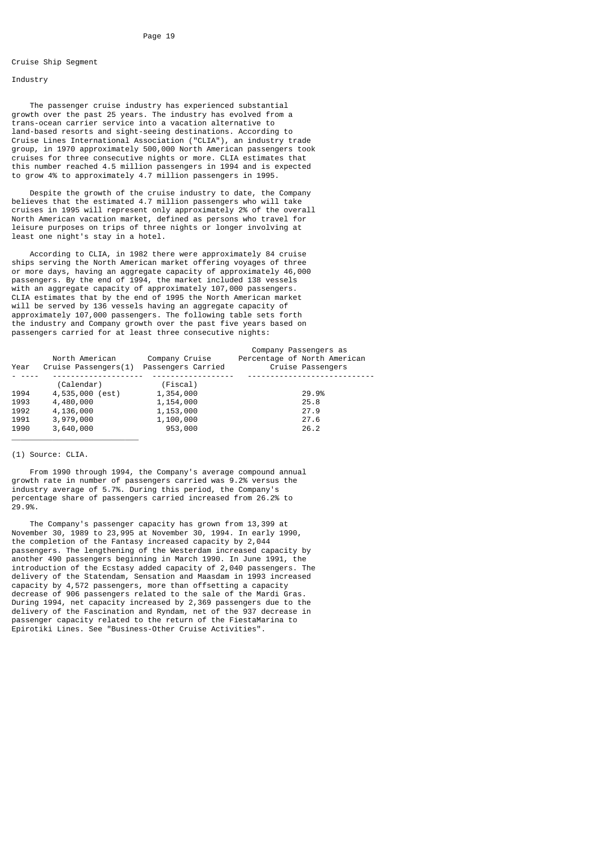# Cruise Ship Segment

#### Industry

 The passenger cruise industry has experienced substantial growth over the past 25 years. The industry has evolved from a trans-ocean carrier service into a vacation alternative to land-based resorts and sight-seeing destinations. According to Cruise Lines International Association ("CLIA"), an industry trade group, in 1970 approximately 500,000 North American passengers took cruises for three consecutive nights or more. CLIA estimates that this number reached 4.5 million passengers in 1994 and is expected to grow 4% to approximately 4.7 million passengers in 1995.

 Despite the growth of the cruise industry to date, the Company believes that the estimated 4.7 million passengers who will take cruises in 1995 will represent only approximately 2% of the overall North American vacation market, defined as persons who travel for leisure purposes on trips of three nights or longer involving at least one night's stay in a hotel.

 According to CLIA, in 1982 there were approximately 84 cruise ships serving the North American market offering voyages of three or more days, having an aggregate capacity of approximately 46,000 passengers. By the end of 1994, the market included 138 vessels with an aggregate capacity of approximately 107,000 passengers. CLIA estimates that by the end of 1995 the North American market will be served by 136 vessels having an aggregate capacity of approximately 107,000 passengers. The following table sets forth the industry and Company growth over the past five years based on passengers carried for at least three consecutive nights:

|      |                      |                    | Company Passengers as        |
|------|----------------------|--------------------|------------------------------|
|      | North American       | Company Cruise     | Percentage of North American |
| Year | Cruise Passengers(1) | Passengers Carried | Cruise Passengers            |
|      |                      |                    |                              |
|      | (Calendar)           | (Fiscal)           |                              |
| 1994 | 4,535,000 (est)      | 1,354,000          | 29.9%                        |
| 1993 | 4,480,000            | 1,154,000          | 25.8                         |
| 1992 | 4,136,000            | 1,153,000          | 27.9                         |
| 1991 | 3,979,000            | 1,100,000          | 27.6                         |
| 1990 | 3,640,000            | 953,000            | 26.2                         |

# (1) Source: CLIA.

\_\_\_\_\_\_\_\_\_\_\_\_\_\_\_\_\_\_\_\_\_\_\_\_\_\_\_\_

 From 1990 through 1994, the Company's average compound annual growth rate in number of passengers carried was 9.2% versus the industry average of 5.7%. During this period, the Company's percentage share of passengers carried increased from 26.2% to 29.9%.

 The Company's passenger capacity has grown from 13,399 at November 30, 1989 to 23,995 at November 30, 1994. In early 1990, the completion of the Fantasy increased capacity by 2,044 passengers. The lengthening of the Westerdam increased capacity by another 490 passengers beginning in March 1990. In June 1991, the introduction of the Ecstasy added capacity of 2,040 passengers. The delivery of the Statendam, Sensation and Maasdam in 1993 increased capacity by 4,572 passengers, more than offsetting a capacity decrease of 906 passengers related to the sale of the Mardi Gras. During 1994, net capacity increased by 2,369 passengers due to the delivery of the Fascination and Ryndam, net of the 937 decrease in passenger capacity related to the return of the FiestaMarina to Epirotiki Lines. See "Business-Other Cruise Activities".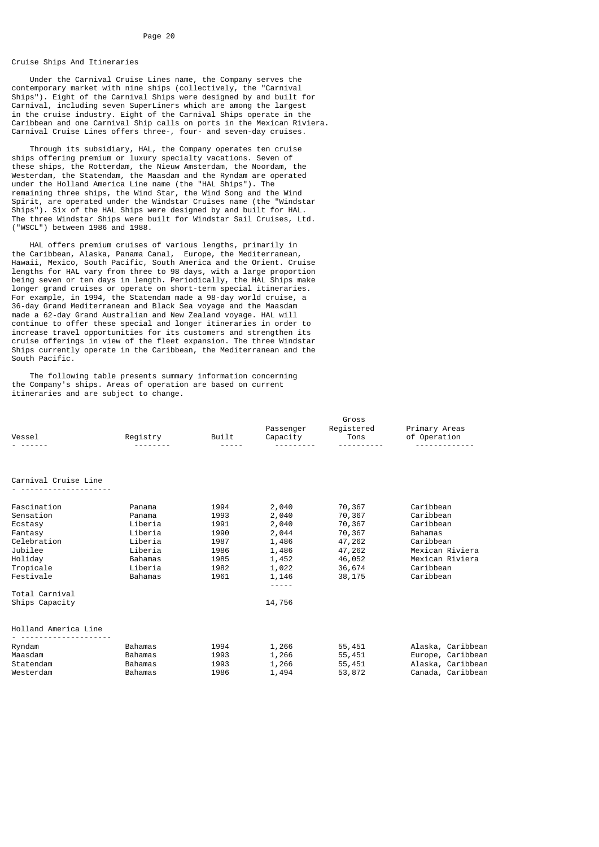# Cruise Ships And Itineraries

 Under the Carnival Cruise Lines name, the Company serves the contemporary market with nine ships (collectively, the "Carnival Ships"). Eight of the Carnival Ships were designed by and built for Carnival, including seven SuperLiners which are among the largest in the cruise industry. Eight of the Carnival Ships operate in the Caribbean and one Carnival Ship calls on ports in the Mexican Riviera. Carnival Cruise Lines offers three-, four- and seven-day cruises.

 Through its subsidiary, HAL, the Company operates ten cruise ships offering premium or luxury specialty vacations. Seven of these ships, the Rotterdam, the Nieuw Amsterdam, the Noordam, the Westerdam, the Statendam, the Maasdam and the Ryndam are operated under the Holland America Line name (the "HAL Ships"). The remaining three ships, the Wind Star, the Wind Song and the Wind Spirit, are operated under the Windstar Cruises name (the "Windstar Ships"). Six of the HAL Ships were designed by and built for HAL. The three Windstar Ships were built for Windstar Sail Cruises, Ltd. ("WSCL") between 1986 and 1988.

 HAL offers premium cruises of various lengths, primarily in the Caribbean, Alaska, Panama Canal, Europe, the Mediterranean, Hawaii, Mexico, South Pacific, South America and the Orient. Cruise lengths for HAL vary from three to 98 days, with a large proportion being seven or ten days in length. Periodically, the HAL Ships make longer grand cruises or operate on short-term special itineraries. For example, in 1994, the Statendam made a 98-day world cruise, a 36-day Grand Mediterranean and Black Sea voyage and the Maasdam made a 62-day Grand Australian and New Zealand voyage. HAL will continue to offer these special and longer itineraries in order to increase travel opportunities for its customers and strengthen its cruise offerings in view of the fleet expansion. The three Windstar Ships currently operate in the Caribbean, the Mediterranean and the South Pacific.

 The following table presents summary information concerning the Company's ships. Areas of operation are based on current itineraries and are subject to change.

|                      |          |       |           | Gross      |                   |
|----------------------|----------|-------|-----------|------------|-------------------|
|                      |          |       | Passenger | Registered | Primary Areas     |
| Vessel               | Registry | Built | Capacity  | Tons       | of Operation      |
|                      |          |       |           |            |                   |
|                      |          |       |           |            |                   |
| Carnival Cruise Line |          |       |           |            |                   |
|                      |          |       |           |            |                   |
| Fascination          | Panama   | 1994  | 2,040     | 70,367     | Caribbean         |
| Sensation            | Panama   | 1993  | 2,040     | 70,367     | Caribbean         |
| Ecstasy              | Liberia  | 1991  | 2,040     | 70,367     | Caribbean         |
| Fantasv              | Liberia  | 1990  | 2,044     | 70,367     | Bahamas           |
| Celebration          | Liberia  | 1987  | 1,486     | 47,262     | Caribbean         |
| Jubilee              | Liberia  | 1986  | 1,486     | 47,262     | Mexican Riviera   |
| Holidav              | Bahamas  | 1985  | 1,452     | 46,052     | Mexican Riviera   |
| Tropicale            | Liberia  | 1982  | 1,022     | 36,674     | Caribbean         |
| Festivale            | Bahamas  | 1961  | 1,146     | 38,175     | Caribbean         |
|                      |          |       |           |            |                   |
| Total Carnival       |          |       |           |            |                   |
| Ships Capacity       |          |       | 14,756    |            |                   |
| Holland America Line |          |       |           |            |                   |
|                      |          |       |           |            |                   |
| Ryndam               | Bahamas  | 1994  | 1,266     | 55,451     | Alaska, Caribbean |
| Maasdam              | Bahamas  | 1993  | 1,266     | 55,451     | Europe, Caribbean |
| Statendam            | Bahamas  | 1993  | 1,266     | 55,451     | Alaska, Caribbean |
| Westerdam            | Bahamas  | 1986  | 1,494     | 53,872     | Canada, Caribbean |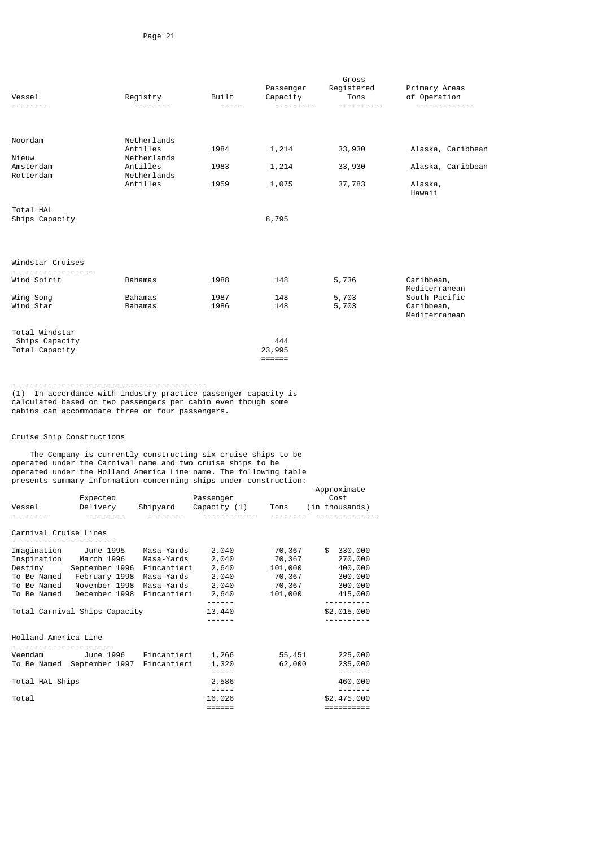| Vessel                                                                                                                           |                                     | Registry                            | Built<br>$\frac{1}{2} \frac{1}{2} \frac{1}{2} \frac{1}{2} \frac{1}{2} \frac{1}{2} \frac{1}{2} \frac{1}{2}$                        | Passenger<br>Capacity<br>. <u>.</u> | Gross<br>Registered<br>Tons<br><u>.</u> | Primary Areas<br>of Operation<br><u></u> |
|----------------------------------------------------------------------------------------------------------------------------------|-------------------------------------|-------------------------------------|-----------------------------------------------------------------------------------------------------------------------------------|-------------------------------------|-----------------------------------------|------------------------------------------|
|                                                                                                                                  |                                     |                                     |                                                                                                                                   |                                     |                                         |                                          |
| Noordam                                                                                                                          |                                     | Netherlands                         |                                                                                                                                   |                                     |                                         |                                          |
| Nieuw<br>Amsterdam                                                                                                               |                                     | Antilles<br>Netherlands<br>Antilles | 1984<br>1983                                                                                                                      | 1,214                               | 33,930                                  | Alaska, Caribbean                        |
| Rotterdam                                                                                                                        |                                     | Netherlands<br>Antilles             | 1959                                                                                                                              | 1,214<br>1,075                      | 33,930<br>37,783                        | Alaska, Caribbean<br>Alaska,             |
|                                                                                                                                  |                                     |                                     |                                                                                                                                   |                                     |                                         | Hawaii                                   |
| Total HAL<br>Ships Capacity                                                                                                      |                                     |                                     |                                                                                                                                   | 8,795                               |                                         |                                          |
|                                                                                                                                  |                                     |                                     |                                                                                                                                   |                                     |                                         |                                          |
| Windstar Cruises                                                                                                                 |                                     |                                     |                                                                                                                                   |                                     |                                         |                                          |
| <u>.</u><br>Wind Spirit                                                                                                          |                                     | Bahamas                             | 1988                                                                                                                              | 148                                 | 5,736                                   | Caribbean,                               |
| Wing Song                                                                                                                        |                                     | Bahamas                             | 1987                                                                                                                              | 148                                 | 5,703                                   | Mediterranean<br>South Pacific           |
| Wind Star                                                                                                                        |                                     | Bahamas                             | 1986                                                                                                                              | 148                                 | 5,703                                   | Caribbean,<br>Mediterranean              |
| Total Windstar                                                                                                                   |                                     |                                     |                                                                                                                                   | 444                                 |                                         |                                          |
| Ships Capacity<br>Total Capacity                                                                                                 |                                     |                                     |                                                                                                                                   | 23,995                              |                                         |                                          |
|                                                                                                                                  |                                     |                                     |                                                                                                                                   |                                     |                                         |                                          |
| cabins can accommodate three or four passengers.                                                                                 |                                     |                                     | (1) In accordance with industry practice passenger capacity is<br>calculated based on two passengers per cabin even though some   |                                     |                                         |                                          |
| Cruise Ship Constructions                                                                                                        |                                     |                                     |                                                                                                                                   |                                     |                                         |                                          |
| operated under the Carnival name and two cruise ships to be<br>operated under the Holland America Line name. The following table |                                     |                                     | The Company is currently constructing six cruise ships to be<br>presents summary information concerning ships under construction: |                                     |                                         |                                          |
|                                                                                                                                  | Expected                            |                                     | Passenger                                                                                                                         |                                     | Approximate<br>Cost                     |                                          |
| Vessel                                                                                                                           | Delivery<br><u> - - - - - - - -</u> | Shipyard<br><u>.</u>                | Capacity (1)                                                                                                                      | Tons<br>---------                   | (in thousands)                          |                                          |
|                                                                                                                                  |                                     |                                     |                                                                                                                                   |                                     |                                         |                                          |

# Carnival Cruise Lines

| Imagination          | June 1995                     | Masa-Yards  | 2,040     | 70,367  | 330,000<br>\$ |
|----------------------|-------------------------------|-------------|-----------|---------|---------------|
| Inspiration          | March 1996                    | Masa-Yards  | 2,040     | 70,367  | 270,000       |
| Destinv              | September 1996                | Fincantieri | 2,640     | 101,000 | 400,000       |
| To Be Named          | February 1998                 | Masa-Yards  | 2,040     | 70,367  | 300,000       |
| To Be Named          | November 1998                 | Masa-Yards  | 2,040     | 70,367  | 300,000       |
| To Be Named          | December 1998                 | Fincantieri | 2,640     | 101,000 | 415,000       |
|                      |                               |             | ------    |         |               |
|                      | Total Carnival Ships Capacity |             | 13,440    |         | \$2,015,000   |
|                      |                               |             |           |         |               |
|                      |                               |             |           |         |               |
| Holland America Line |                               |             |           |         |               |
|                      |                               |             |           |         |               |
| Veendam              | June 1996                     | Fincantieri | 1,266     | 55,451  | 225,000       |
| To Be Named          | September 1997 Fincantieri    |             | 1,320     | 62,000  | 235,000       |
|                      |                               |             | - - - - - |         | - - - - - - - |
| Total HAL Ships      |                               |             | 2,586     |         | 460,000       |
|                      |                               |             | -----     |         |               |
| Total                |                               |             | 16,026    |         | \$2,475,000   |
|                      |                               |             |           |         |               |
|                      |                               |             |           |         |               |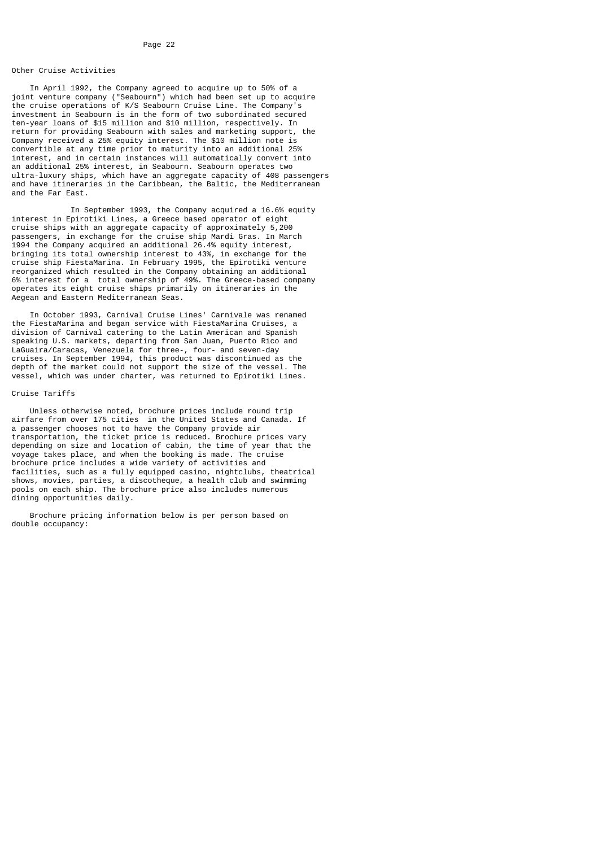# Other Cruise Activities

 In April 1992, the Company agreed to acquire up to 50% of a joint venture company ("Seabourn") which had been set up to acquire the cruise operations of K/S Seabourn Cruise Line. The Company's investment in Seabourn is in the form of two subordinated secured ten-year loans of \$15 million and \$10 million, respectively. In return for providing Seabourn with sales and marketing support, the Company received a 25% equity interest. The \$10 million note is convertible at any time prior to maturity into an additional 25% interest, and in certain instances will automatically convert into an additional 25% interest, in Seabourn. Seabourn operates two ultra-luxury ships, which have an aggregate capacity of 408 passengers and have itineraries in the Caribbean, the Baltic, the Mediterranean and the Far East.

 In September 1993, the Company acquired a 16.6% equity interest in Epirotiki Lines, a Greece based operator of eight cruise ships with an aggregate capacity of approximately 5,200 passengers, in exchange for the cruise ship Mardi Gras. In March 1994 the Company acquired an additional 26.4% equity interest, bringing its total ownership interest to 43%, in exchange for the cruise ship FiestaMarina. In February 1995, the Epirotiki venture reorganized which resulted in the Company obtaining an additional 6% interest for a total ownership of 49%. The Greece-based company operates its eight cruise ships primarily on itineraries in the Aegean and Eastern Mediterranean Seas.

 In October 1993, Carnival Cruise Lines' Carnivale was renamed the FiestaMarina and began service with FiestaMarina Cruises, a division of Carnival catering to the Latin American and Spanish speaking U.S. markets, departing from San Juan, Puerto Rico and LaGuaira/Caracas, Venezuela for three-, four- and seven-day cruises. In September 1994, this product was discontinued as the depth of the market could not support the size of the vessel. The vessel, which was under charter, was returned to Epirotiki Lines.

# Cruise Tariffs

 Unless otherwise noted, brochure prices include round trip airfare from over 175 cities in the United States and Canada. If a passenger chooses not to have the Company provide air transportation, the ticket price is reduced. Brochure prices vary depending on size and location of cabin, the time of year that the voyage takes place, and when the booking is made. The cruise brochure price includes a wide variety of activities and facilities, such as a fully equipped casino, nightclubs, theatrical shows, movies, parties, a discotheque, a health club and swimming pools on each ship. The brochure price also includes numerous dining opportunities daily.

 Brochure pricing information below is per person based on double occupancy: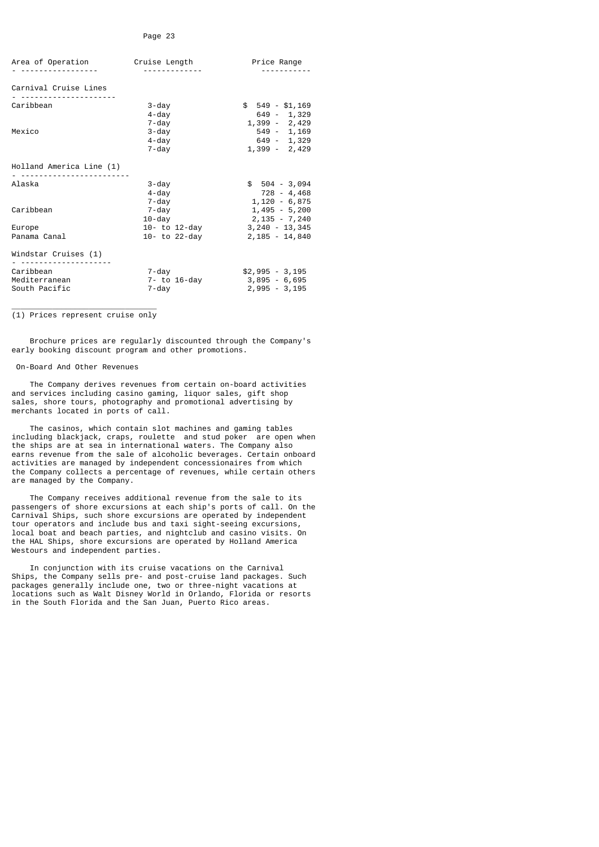| Area of Operation                           | Cruise Length                       | Price Range                                            |
|---------------------------------------------|-------------------------------------|--------------------------------------------------------|
| Carnival Cruise Lines                       |                                     |                                                        |
| Caribbean                                   | $3 - day$<br>$4 - day$<br>7-day     | $$549 - $1,169$<br>649 - 1,329<br>1,399 - 2,429        |
| Mexico                                      | $3 - day$<br>$4 - day$<br>$7 - day$ | $549 - 1,169$<br>649 - 1,329<br>1,399 - 2,429          |
| Holland America Line (1)                    |                                     |                                                        |
| Alaska                                      | $3 - day$<br>4-day<br>7-day         | $$504 - 3,094$<br>728 - 4,468<br>$1,120 - 6,875$       |
| Caribbean                                   | 7-day<br>$10$ -dav                  | $1,495 - 5,200$<br>$2,135 - 7,240$                     |
| Europe<br>Panama Canal                      | 10- to 12-day<br>10- to 22-day      | $3,240 - 13,345$<br>2,185 - 14,840                     |
| Windstar Cruises (1)                        |                                     |                                                        |
| Caribbean<br>Mediterranean<br>South Pacific | 7-day<br>7- to 16-day<br>7-day      | $$2,995 - 3,195$<br>$3,895 - 6,695$<br>$2,995 - 3,195$ |

\_\_\_\_\_\_\_\_\_\_\_\_\_\_\_\_\_\_\_\_\_\_\_\_\_\_\_\_\_\_\_\_ (1) Prices represent cruise only

 Brochure prices are regularly discounted through the Company's early booking discount program and other promotions.

# On-Board And Other Revenues

 The Company derives revenues from certain on-board activities and services including casino gaming, liquor sales, gift shop sales, shore tours, photography and promotional advertising by merchants located in ports of call.

 The casinos, which contain slot machines and gaming tables including blackjack, craps, roulette and stud poker are open when the ships are at sea in international waters. The Company also earns revenue from the sale of alcoholic beverages. Certain onboard activities are managed by independent concessionaires from which the Company collects a percentage of revenues, while certain others are managed by the Company.

 The Company receives additional revenue from the sale to its passengers of shore excursions at each ship's ports of call. On the Carnival Ships, such shore excursions are operated by independent tour operators and include bus and taxi sight-seeing excursions, local boat and beach parties, and nightclub and casino visits. On the HAL Ships, shore excursions are operated by Holland America Westours and independent parties.

 In conjunction with its cruise vacations on the Carnival Ships, the Company sells pre- and post-cruise land packages. Such packages generally include one, two or three-night vacations at locations such as Walt Disney World in Orlando, Florida or resorts in the South Florida and the San Juan, Puerto Rico areas.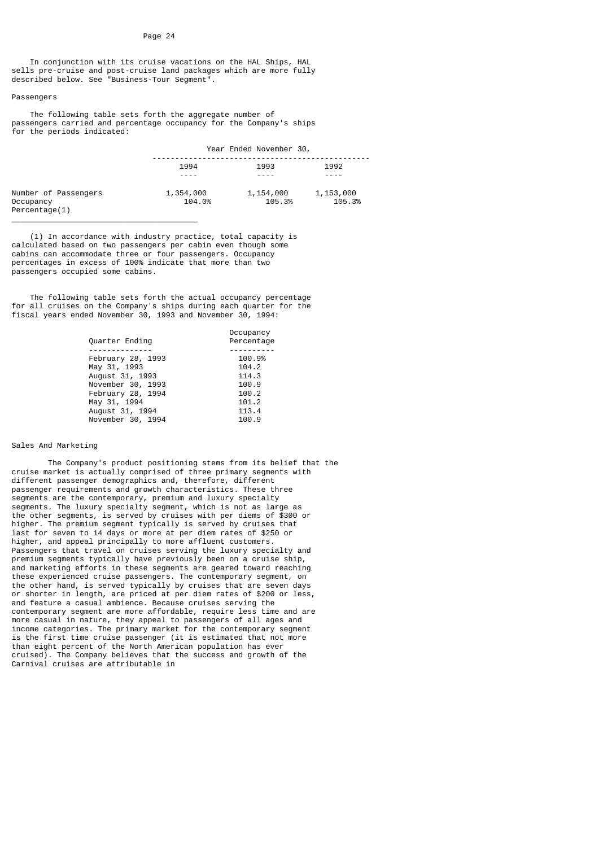In conjunction with its cruise vacations on the HAL Ships, HAL sells pre-cruise and post-cruise land packages which are more fully described below. See "Business-Tour Segment".

## Passengers

 The following table sets forth the aggregate number of passengers carried and percentage occupancy for the Company's ships for the periods indicated:

|                                                    | Year Ended November 30, |                     |                     |  |
|----------------------------------------------------|-------------------------|---------------------|---------------------|--|
|                                                    | 1994                    | 1993                | 1992                |  |
|                                                    |                         |                     |                     |  |
| Number of Passengers<br>Occupancy<br>Percentage(1) | 1,354,000<br>104.0%     | 1,154,000<br>105.3% | 1,153,000<br>105.3% |  |

 (1) In accordance with industry practice, total capacity is calculated based on two passengers per cabin even though some cabins can accommodate three or four passengers. Occupancy percentages in excess of 100% indicate that more than two passengers occupied some cabins.

 $\overline{\phantom{a}}$  , and the contract of the contract of the contract of the contract of the contract of the contract of the contract of the contract of the contract of the contract of the contract of the contract of the contrac

 The following table sets forth the actual occupancy percentage for all cruises on the Company's ships during each quarter for the fiscal years ended November 30, 1993 and November 30, 1994:

| Quarter Ending    | Occupancy<br>Percentage |
|-------------------|-------------------------|
|                   |                         |
| February 28, 1993 | 100.9%                  |
| May 31, 1993      | 104.2                   |
| August 31, 1993   | 114.3                   |
| November 30, 1993 | 100.9                   |
| February 28, 1994 | 100.2                   |
| May 31, 1994      | 101.2                   |
| August 31, 1994   | 113.4                   |
| November 30, 1994 | 100.9                   |
|                   |                         |

# Sales And Marketing

 The Company's product positioning stems from its belief that the cruise market is actually comprised of three primary segments with different passenger demographics and, therefore, different passenger requirements and growth characteristics. These three segments are the contemporary, premium and luxury specialty segments. The luxury specialty segment, which is not as large as the other segments, is served by cruises with per diems of \$300 or higher. The premium segment typically is served by cruises that last for seven to 14 days or more at per diem rates of \$250 or higher, and appeal principally to more affluent customers. Passengers that travel on cruises serving the luxury specialty and premium segments typically have previously been on a cruise ship, and marketing efforts in these segments are geared toward reaching these experienced cruise passengers. The contemporary segment, on the other hand, is served typically by cruises that are seven days or shorter in length, are priced at per diem rates of \$200 or less, and feature a casual ambience. Because cruises serving the contemporary segment are more affordable, require less time and are more casual in nature, they appeal to passengers of all ages and income categories. The primary market for the contemporary segment is the first time cruise passenger (it is estimated that not more than eight percent of the North American population has ever cruised). The Company believes that the success and growth of the Carnival cruises are attributable in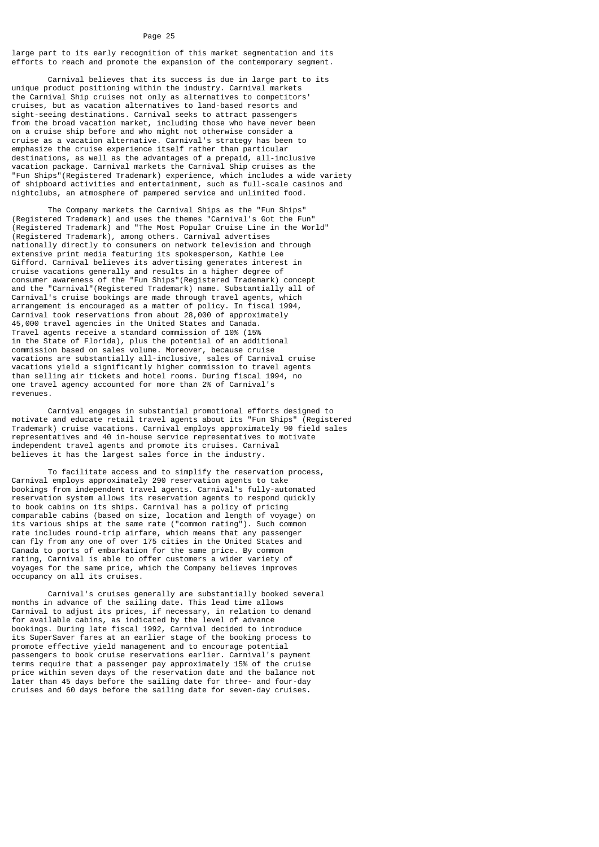large part to its early recognition of this market segmentation and its efforts to reach and promote the expansion of the contemporary segment.

 Carnival believes that its success is due in large part to its unique product positioning within the industry. Carnival markets the Carnival Ship cruises not only as alternatives to competitors' cruises, but as vacation alternatives to land-based resorts and sight-seeing destinations. Carnival seeks to attract passengers from the broad vacation market, including those who have never been on a cruise ship before and who might not otherwise consider a cruise as a vacation alternative. Carnival's strategy has been to emphasize the cruise experience itself rather than particular destinations, as well as the advantages of a prepaid, all-inclusive vacation package. Carnival markets the Carnival Ship cruises as the "Fun Ships"(Registered Trademark) experience, which includes a wide variety of shipboard activities and entertainment, such as full-scale casinos and nightclubs, an atmosphere of pampered service and unlimited food.

 The Company markets the Carnival Ships as the "Fun Ships" (Registered Trademark) and uses the themes "Carnival's Got the Fun" (Registered Trademark) and "The Most Popular Cruise Line in the World" (Registered Trademark), among others. Carnival advertises nationally directly to consumers on network television and through extensive print media featuring its spokesperson, Kathie Lee Gifford. Carnival believes its advertising generates interest in cruise vacations generally and results in a higher degree of consumer awareness of the "Fun Ships"(Registered Trademark) concept and the "Carnival"(Registered Trademark) name. Substantially all of Carnival's cruise bookings are made through travel agents, which arrangement is encouraged as a matter of policy. In fiscal 1994, Carnival took reservations from about 28,000 of approximately 45,000 travel agencies in the United States and Canada. Travel agents receive a standard commission of 10% (15% in the State of Florida), plus the potential of an additional commission based on sales volume. Moreover, because cruise vacations are substantially all-inclusive, sales of Carnival cruise vacations yield a significantly higher commission to travel agents than selling air tickets and hotel rooms. During fiscal 1994, no one travel agency accounted for more than 2% of Carnival's revenues.

 Carnival engages in substantial promotional efforts designed to motivate and educate retail travel agents about its "Fun Ships" (Registered Trademark) cruise vacations. Carnival employs approximately 90 field sales representatives and 40 in-house service representatives to motivate independent travel agents and promote its cruises. Carnival believes it has the largest sales force in the industry.

 To facilitate access and to simplify the reservation process, Carnival employs approximately 290 reservation agents to take bookings from independent travel agents. Carnival's fully-automated reservation system allows its reservation agents to respond quickly to book cabins on its ships. Carnival has a policy of pricing comparable cabins (based on size, location and length of voyage) on its various ships at the same rate ("common rating"). Such common rate includes round-trip airfare, which means that any passenger can fly from any one of over 175 cities in the United States and Canada to ports of embarkation for the same price. By common rating, Carnival is able to offer customers a wider variety of voyages for the same price, which the Company believes improves occupancy on all its cruises.

 Carnival's cruises generally are substantially booked several months in advance of the sailing date. This lead time allows Carnival to adjust its prices, if necessary, in relation to demand for available cabins, as indicated by the level of advance bookings. During late fiscal 1992, Carnival decided to introduce its SuperSaver fares at an earlier stage of the booking process to promote effective yield management and to encourage potential passengers to book cruise reservations earlier. Carnival's payment terms require that a passenger pay approximately 15% of the cruise price within seven days of the reservation date and the balance not later than 45 days before the sailing date for three- and four-day cruises and 60 days before the sailing date for seven-day cruises.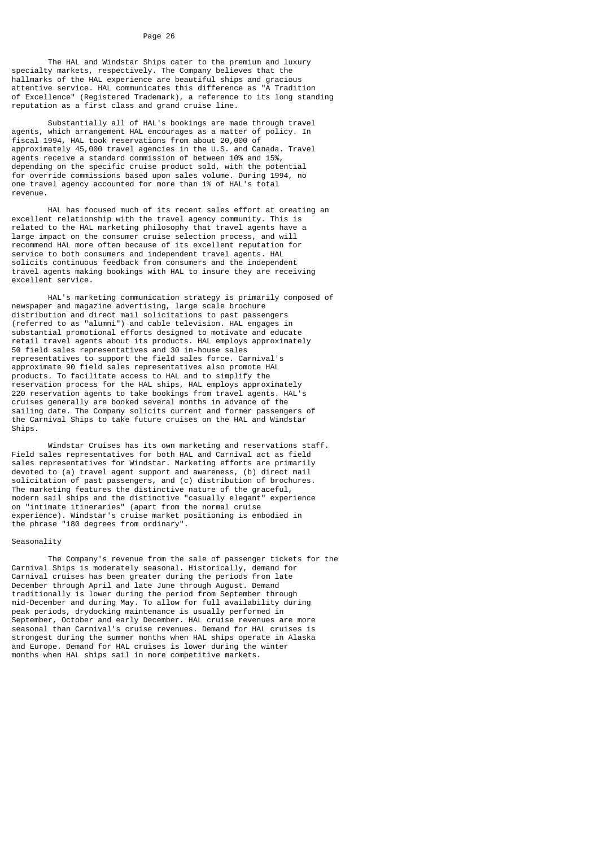The HAL and Windstar Ships cater to the premium and luxury specialty markets, respectively. The Company believes that the hallmarks of the HAL experience are beautiful ships and gracious attentive service. HAL communicates this difference as "A Tradition of Excellence" (Registered Trademark), a reference to its long standing reputation as a first class and grand cruise line.

 Substantially all of HAL's bookings are made through travel agents, which arrangement HAL encourages as a matter of policy. In fiscal 1994, HAL took reservations from about 20,000 of approximately 45,000 travel agencies in the U.S. and Canada. Travel agents receive a standard commission of between 10% and 15%, depending on the specific cruise product sold, with the potential for override commissions based upon sales volume. During 1994, no one travel agency accounted for more than 1% of HAL's total revenue.

 HAL has focused much of its recent sales effort at creating an excellent relationship with the travel agency community. This is related to the HAL marketing philosophy that travel agents have a large impact on the consumer cruise selection process, and will recommend HAL more often because of its excellent reputation for service to both consumers and independent travel agents. HAL solicits continuous feedback from consumers and the independent travel agents making bookings with HAL to insure they are receiving excellent service.

 HAL's marketing communication strategy is primarily composed of newspaper and magazine advertising, large scale brochure distribution and direct mail solicitations to past passengers (referred to as "alumni") and cable television. HAL engages in substantial promotional efforts designed to motivate and educate retail travel agents about its products. HAL employs approximately 50 field sales representatives and 30 in-house sales representatives to support the field sales force. Carnival's approximate 90 field sales representatives also promote HAL products. To facilitate access to HAL and to simplify the reservation process for the HAL ships, HAL employs approximately 220 reservation agents to take bookings from travel agents. HAL's cruises generally are booked several months in advance of the sailing date. The Company solicits current and former passengers of the Carnival Ships to take future cruises on the HAL and Windstar Ships.

 Windstar Cruises has its own marketing and reservations staff. Field sales representatives for both HAL and Carnival act as field sales representatives for Windstar. Marketing efforts are primarily devoted to (a) travel agent support and awareness, (b) direct mail solicitation of past passengers, and (c) distribution of brochures. The marketing features the distinctive nature of the graceful, modern sail ships and the distinctive "casually elegant" experience on "intimate itineraries" (apart from the normal cruise experience). Windstar's cruise market positioning is embodied in the phrase "180 degrees from ordinary".

#### Seasonality

 The Company's revenue from the sale of passenger tickets for the Carnival Ships is moderately seasonal. Historically, demand for Carnival cruises has been greater during the periods from late December through April and late June through August. Demand traditionally is lower during the period from September through mid-December and during May. To allow for full availability during peak periods, drydocking maintenance is usually performed in September, October and early December. HAL cruise revenues are more seasonal than Carnival's cruise revenues. Demand for HAL cruises is strongest during the summer months when HAL ships operate in Alaska and Europe. Demand for HAL cruises is lower during the winter months when HAL ships sail in more competitive markets.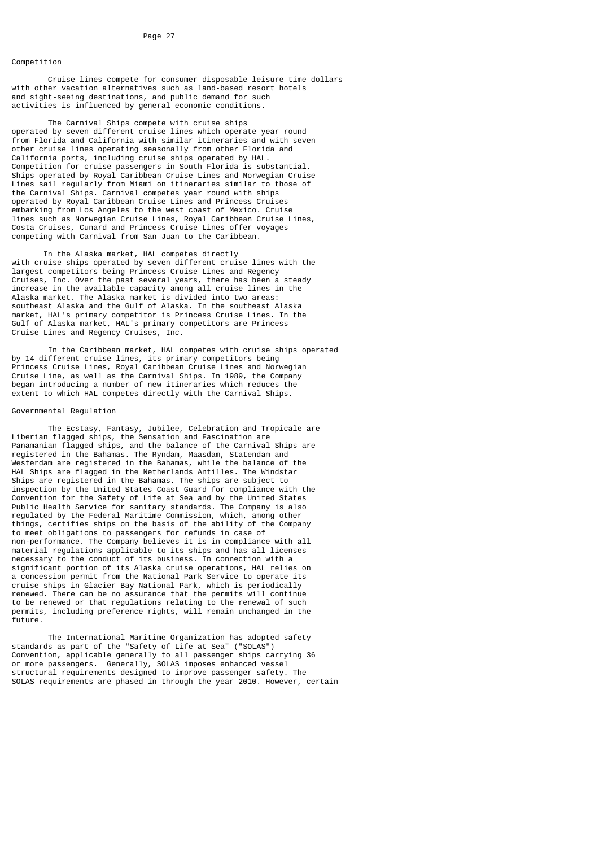# Competition

 Cruise lines compete for consumer disposable leisure time dollars with other vacation alternatives such as land-based resort hotels and sight-seeing destinations, and public demand for such activities is influenced by general economic conditions.

 The Carnival Ships compete with cruise ships operated by seven different cruise lines which operate year round from Florida and California with similar itineraries and with seven other cruise lines operating seasonally from other Florida and California ports, including cruise ships operated by HAL. Competition for cruise passengers in South Florida is substantial. Ships operated by Royal Caribbean Cruise Lines and Norwegian Cruise Lines sail regularly from Miami on itineraries similar to those of the Carnival Ships. Carnival competes year round with ships operated by Royal Caribbean Cruise Lines and Princess Cruises embarking from Los Angeles to the west coast of Mexico. Cruise lines such as Norwegian Cruise Lines, Royal Caribbean Cruise Lines, Costa Cruises, Cunard and Princess Cruise Lines offer voyages competing with Carnival from San Juan to the Caribbean.

 In the Alaska market, HAL competes directly with cruise ships operated by seven different cruise lines with the largest competitors being Princess Cruise Lines and Regency Cruises, Inc. Over the past several years, there has been a steady increase in the available capacity among all cruise lines in the Alaska market. The Alaska market is divided into two areas: southeast Alaska and the Gulf of Alaska. In the southeast Alaska market, HAL's primary competitor is Princess Cruise Lines. In the Gulf of Alaska market, HAL's primary competitors are Princess Cruise Lines and Regency Cruises, Inc.

 In the Caribbean market, HAL competes with cruise ships operated by 14 different cruise lines, its primary competitors being Princess Cruise Lines, Royal Caribbean Cruise Lines and Norwegian Cruise Line, as well as the Carnival Ships. In 1989, the Company began introducing a number of new itineraries which reduces the extent to which HAL competes directly with the Carnival Ships.

#### Governmental Regulation

 The Ecstasy, Fantasy, Jubilee, Celebration and Tropicale are Liberian flagged ships, the Sensation and Fascination are Panamanian flagged ships, and the balance of the Carnival Ships are registered in the Bahamas. The Ryndam, Maasdam, Statendam and Westerdam are registered in the Bahamas, while the balance of the HAL Ships are flagged in the Netherlands Antilles. The Windstar Ships are registered in the Bahamas. The ships are subject to inspection by the United States Coast Guard for compliance with the Convention for the Safety of Life at Sea and by the United States Public Health Service for sanitary standards. The Company is also regulated by the Federal Maritime Commission, which, among other things, certifies ships on the basis of the ability of the Company to meet obligations to passengers for refunds in case of non-performance. The Company believes it is in compliance with all material regulations applicable to its ships and has all licenses necessary to the conduct of its business. In connection with a significant portion of its Alaska cruise operations, HAL relies on a concession permit from the National Park Service to operate its cruise ships in Glacier Bay National Park, which is periodically renewed. There can be no assurance that the permits will continue to be renewed or that regulations relating to the renewal of such permits, including preference rights, will remain unchanged in the future.

 The International Maritime Organization has adopted safety standards as part of the "Safety of Life at Sea" ("SOLAS") Convention, applicable generally to all passenger ships carrying 36 or more passengers. Generally, SOLAS imposes enhanced vessel structural requirements designed to improve passenger safety. The SOLAS requirements are phased in through the year 2010. However, certain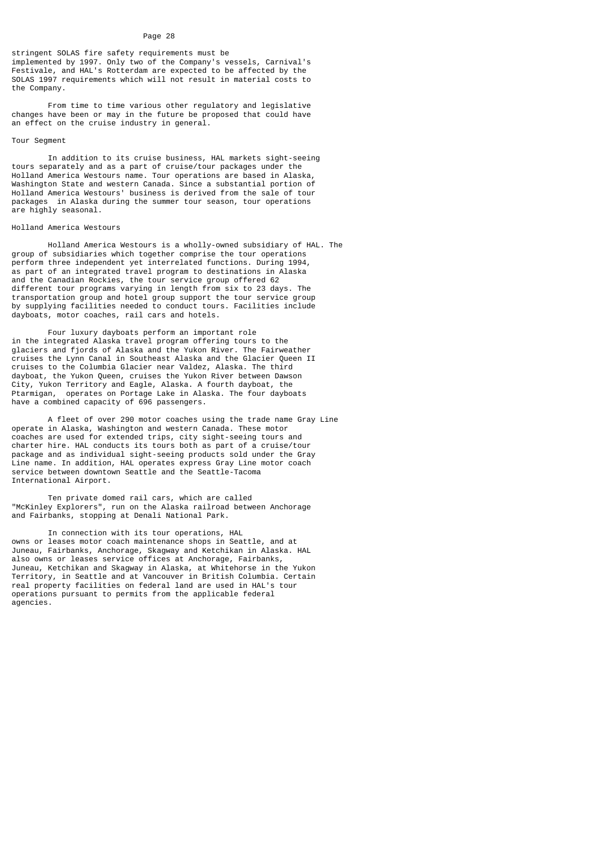stringent SOLAS fire safety requirements must be implemented by 1997. Only two of the Company's vessels, Carnival's Festivale, and HAL's Rotterdam are expected to be affected by the SOLAS 1997 requirements which will not result in material costs to the Company.

 From time to time various other regulatory and legislative changes have been or may in the future be proposed that could have an effect on the cruise industry in general.

# Tour Segment

 In addition to its cruise business, HAL markets sight-seeing tours separately and as a part of cruise/tour packages under the Holland America Westours name. Tour operations are based in Alaska, Washington State and western Canada. Since a substantial portion of Holland America Westours' business is derived from the sale of tour packages in Alaska during the summer tour season, tour operations are highly seasonal.

#### Holland America Westours

 Holland America Westours is a wholly-owned subsidiary of HAL. The group of subsidiaries which together comprise the tour operations perform three independent yet interrelated functions. During 1994, as part of an integrated travel program to destinations in Alaska and the Canadian Rockies, the tour service group offered 62 different tour programs varying in length from six to 23 days. The transportation group and hotel group support the tour service group by supplying facilities needed to conduct tours. Facilities include dayboats, motor coaches, rail cars and hotels.

 Four luxury dayboats perform an important role in the integrated Alaska travel program offering tours to the glaciers and fjords of Alaska and the Yukon River. The Fairweather cruises the Lynn Canal in Southeast Alaska and the Glacier Queen II cruises to the Columbia Glacier near Valdez, Alaska. The third dayboat, the Yukon Queen, cruises the Yukon River between Dawson City, Yukon Territory and Eagle, Alaska. A fourth dayboat, the Ptarmigan, operates on Portage Lake in Alaska. The four dayboats have a combined capacity of 696 passengers.

 A fleet of over 290 motor coaches using the trade name Gray Line operate in Alaska, Washington and western Canada. These motor coaches are used for extended trips, city sight-seeing tours and charter hire. HAL conducts its tours both as part of a cruise/tour package and as individual sight-seeing products sold under the Gray Line name. In addition, HAL operates express Gray Line motor coach service between downtown Seattle and the Seattle-Tacoma International Airport.

 Ten private domed rail cars, which are called "McKinley Explorers", run on the Alaska railroad between Anchorage and Fairbanks, stopping at Denali National Park.

 In connection with its tour operations, HAL owns or leases motor coach maintenance shops in Seattle, and at Juneau, Fairbanks, Anchorage, Skagway and Ketchikan in Alaska. HAL also owns or leases service offices at Anchorage, Fairbanks, Juneau, Ketchikan and Skagway in Alaska, at Whitehorse in the Yukon Territory, in Seattle and at Vancouver in British Columbia. Certain real property facilities on federal land are used in HAL's tour operations pursuant to permits from the applicable federal agencies.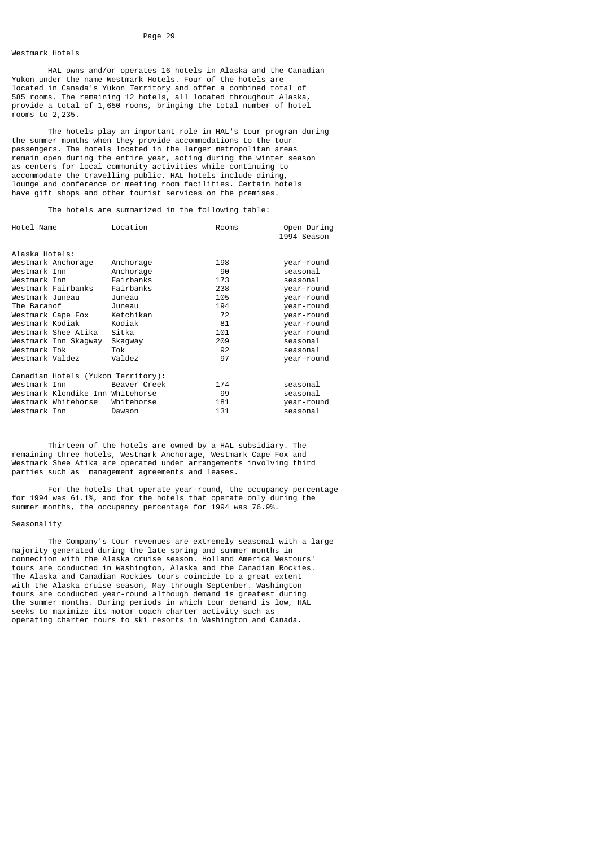# Westmark Hotels

 HAL owns and/or operates 16 hotels in Alaska and the Canadian Yukon under the name Westmark Hotels. Four of the hotels are located in Canada's Yukon Territory and offer a combined total of 585 rooms. The remaining 12 hotels, all located throughout Alaska, provide a total of 1,650 rooms, bringing the total number of hotel rooms to 2,235.

 The hotels play an important role in HAL's tour program during the summer months when they provide accommodations to the tour passengers. The hotels located in the larger metropolitan areas remain open during the entire year, acting during the winter season as centers for local community activities while continuing to accommodate the travelling public. HAL hotels include dining, lounge and conference or meeting room facilities. Certain hotels have gift shops and other tourist services on the premises.

The hotels are summarized in the following table:

| Hotel Name         |                                    | Location     | Rooms | Open During<br>1994 Season |
|--------------------|------------------------------------|--------------|-------|----------------------------|
| Alaska Hotels:     |                                    |              |       |                            |
| Westmark Anchorage |                                    | Anchorage    | 198   | year-round                 |
| Westmark Inn       |                                    | Anchorage    | 90    | seasonal                   |
| Westmark Inn       |                                    | Fairbanks    | 173   | seasonal                   |
| Westmark Fairbanks |                                    | Fairbanks    | 238   | year-round                 |
| Westmark Juneau    |                                    | Juneau       | 105   | year-round                 |
| The Baranof        |                                    | Juneau       | 194   | year-round                 |
| Westmark Cape Fox  |                                    | Ketchikan    | 72    | year-round                 |
| Westmark Kodiak    |                                    | Kodiak       | 81    | year-round                 |
|                    | Westmark Shee Atika                | Sitka        | 101   | year-round                 |
|                    | Westmark Inn Skagway               | Skagway      | 209   | seasonal                   |
| Westmark Tok       |                                    | Tok          | 92    | seasonal                   |
| Westmark Valdez    |                                    | Valdez       | 97    | year-round                 |
|                    | Canadian Hotels (Yukon Territory): |              |       |                            |
| Westmark Inn       |                                    | Beaver Creek | 174   | seasonal                   |
|                    | Westmark Klondike Inn Whitehorse   |              | 99    | seasonal                   |
|                    | Westmark Whitehorse                | Whitehorse   | 181   | year-round                 |
| Westmark Inn       |                                    | Dawson       | 131   | seasonal                   |

 Thirteen of the hotels are owned by a HAL subsidiary. The remaining three hotels, Westmark Anchorage, Westmark Cape Fox and Westmark Shee Atika are operated under arrangements involving third parties such as management agreements and leases.

 For the hotels that operate year-round, the occupancy percentage for 1994 was 61.1%, and for the hotels that operate only during the summer months, the occupancy percentage for 1994 was 76.9%.

# Seasonality

 The Company's tour revenues are extremely seasonal with a large majority generated during the late spring and summer months in connection with the Alaska cruise season. Holland America Westours' tours are conducted in Washington, Alaska and the Canadian Rockies. The Alaska and Canadian Rockies tours coincide to a great extent with the Alaska cruise season, May through September. Washington tours are conducted year-round although demand is greatest during the summer months. During periods in which tour demand is low, HAL seeks to maximize its motor coach charter activity such as operating charter tours to ski resorts in Washington and Canada.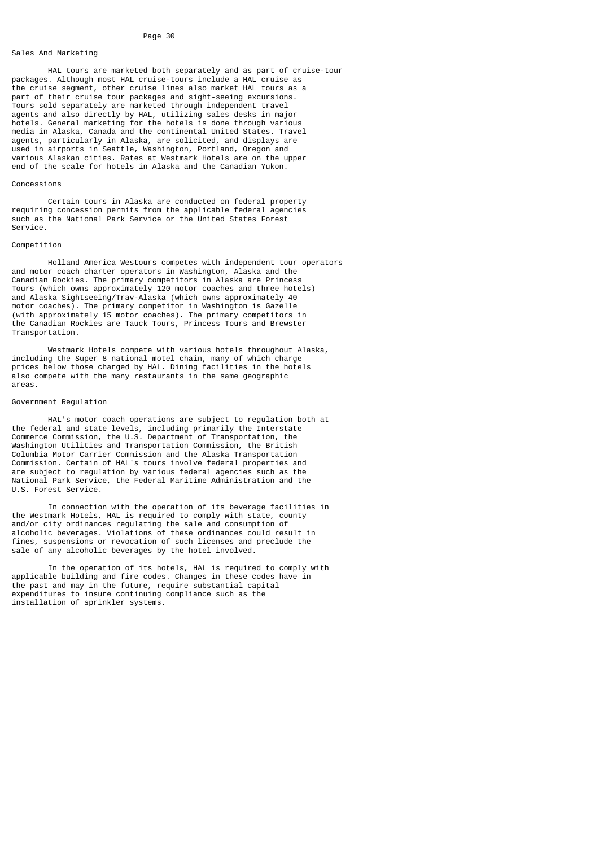# Sales And Marketing

 HAL tours are marketed both separately and as part of cruise-tour packages. Although most HAL cruise-tours include a HAL cruise as the cruise segment, other cruise lines also market HAL tours as a part of their cruise tour packages and sight-seeing excursions. Tours sold separately are marketed through independent travel agents and also directly by HAL, utilizing sales desks in major hotels. General marketing for the hotels is done through various media in Alaska, Canada and the continental United States. Travel agents, particularly in Alaska, are solicited, and displays are used in airports in Seattle, Washington, Portland, Oregon and various Alaskan cities. Rates at Westmark Hotels are on the upper end of the scale for hotels in Alaska and the Canadian Yukon.

### Concessions

 Certain tours in Alaska are conducted on federal property requiring concession permits from the applicable federal agencies such as the National Park Service or the United States Forest Service.

#### Competition

 Holland America Westours competes with independent tour operators and motor coach charter operators in Washington, Alaska and the Canadian Rockies. The primary competitors in Alaska are Princess Tours (which owns approximately 120 motor coaches and three hotels) and Alaska Sightseeing/Trav-Alaska (which owns approximately 40 motor coaches). The primary competitor in Washington is Gazelle (with approximately 15 motor coaches). The primary competitors in the Canadian Rockies are Tauck Tours, Princess Tours and Brewster Transportation.

 Westmark Hotels compete with various hotels throughout Alaska, including the Super 8 national motel chain, many of which charge prices below those charged by HAL. Dining facilities in the hotels also compete with the many restaurants in the same geographic areas.

# Government Regulation

 HAL's motor coach operations are subject to regulation both at the federal and state levels, including primarily the Interstate Commerce Commission, the U.S. Department of Transportation, the Washington Utilities and Transportation Commission, the British Columbia Motor Carrier Commission and the Alaska Transportation Commission. Certain of HAL's tours involve federal properties and are subject to regulation by various federal agencies such as the National Park Service, the Federal Maritime Administration and the U.S. Forest Service.

 In connection with the operation of its beverage facilities in the Westmark Hotels, HAL is required to comply with state, county and/or city ordinances regulating the sale and consumption of alcoholic beverages. Violations of these ordinances could result in fines, suspensions or revocation of such licenses and preclude the sale of any alcoholic beverages by the hotel involved.

 In the operation of its hotels, HAL is required to comply with applicable building and fire codes. Changes in these codes have in the past and may in the future, require substantial capital expenditures to insure continuing compliance such as the installation of sprinkler systems.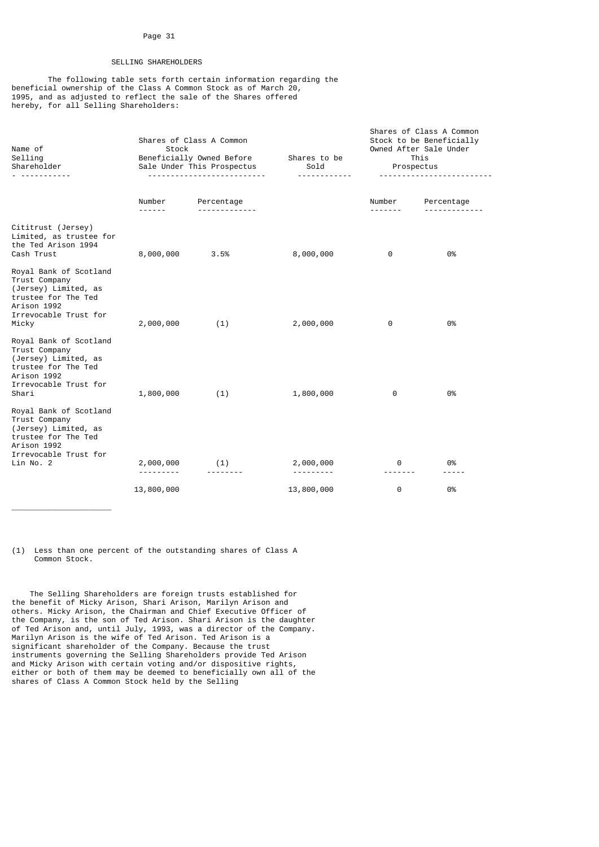# SELLING SHAREHOLDERS

 The following table sets forth certain information regarding the beneficial ownership of the Class A Common Stock as of March 20, 1995, and as adjusted to reflect the sale of the Shares offered hereby, for all Selling Shareholders:

| Name of<br>Selling<br>Shareholder<br>. <u>.</u>                                                                                             | Shares of Class A Common<br>Stock<br>Beneficially Owned Before Shares to be<br>Sale Under This Prospectus<br>--------------------------- |            | Sold<br><u>.</u> | Shares of Class A Common<br>Stock to be Beneficially<br>Owned After Sale Under<br>This<br>Prospectus<br><u>.</u> |            |
|---------------------------------------------------------------------------------------------------------------------------------------------|------------------------------------------------------------------------------------------------------------------------------------------|------------|------------------|------------------------------------------------------------------------------------------------------------------|------------|
|                                                                                                                                             | Number<br>------                                                                                                                         | Percentage |                  | Number                                                                                                           | Percentage |
| Cititrust (Jersey)<br>Limited, as trustee for<br>the Ted Arison 1994<br>Cash Trust                                                          | 8,000,000                                                                                                                                | 3.5%       | 8,000,000        | 0                                                                                                                | 0%         |
| Royal Bank of Scotland<br>Trust Company<br>(Jersey) Limited, as<br>trustee for The Ted<br>Arison 1992<br>Irrevocable Trust for<br>Micky     | 2,000,000                                                                                                                                | (1)        | 2,000,000        | 0                                                                                                                | 0%         |
| Royal Bank of Scotland<br>Trust Company<br>(Jersey) Limited, as<br>trustee for The Ted<br>Arison 1992<br>Irrevocable Trust for<br>Shari     | 1,800,000                                                                                                                                | (1)        | 1,800,000        | 0                                                                                                                | 0%         |
| Royal Bank of Scotland<br>Trust Company<br>(Jersey) Limited, as<br>trustee for The Ted<br>Arison 1992<br>Irrevocable Trust for<br>Lin No. 2 | 2,000,000                                                                                                                                | (1)        | 2,000,000        | 0                                                                                                                | 0%         |
|                                                                                                                                             | 13,800,000                                                                                                                               |            | 13,800,000       | 0                                                                                                                | 0%         |

(1) Less than one percent of the outstanding shares of Class A Common Stock.

\_\_\_\_\_\_\_\_\_\_\_\_\_\_\_\_\_\_\_\_\_\_

 The Selling Shareholders are foreign trusts established for the benefit of Micky Arison, Shari Arison, Marilyn Arison and others. Micky Arison, the Chairman and Chief Executive Officer of the Company, is the son of Ted Arison. Shari Arison is the daughter of Ted Arison and, until July, 1993, was a director of the Company. Marilyn Arison is the wife of Ted Arison. Ted Arison is a significant shareholder of the Company. Because the trust instruments governing the Selling Shareholders provide Ted Arison and Micky Arison with certain voting and/or dispositive rights, either or both of them may be deemed to beneficially own all of the shares of Class A Common Stock held by the Selling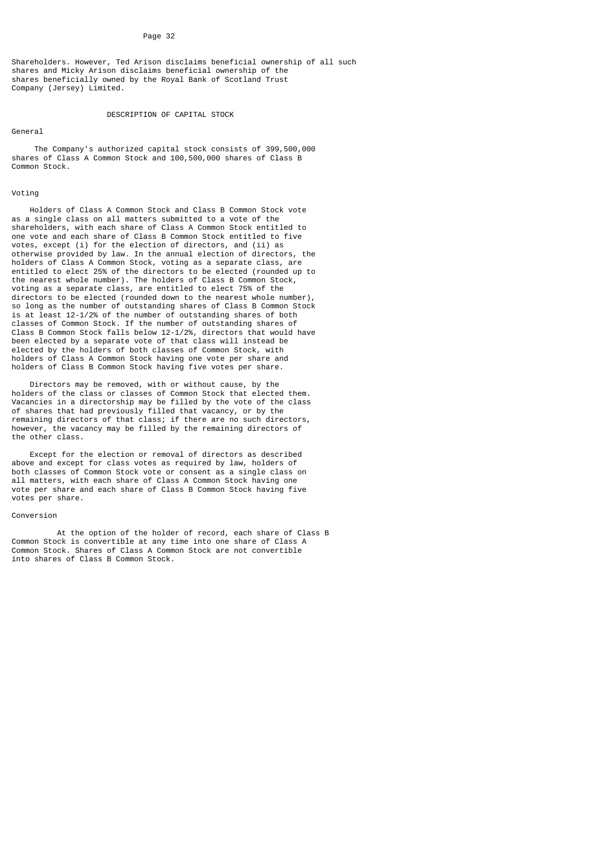Shareholders. However, Ted Arison disclaims beneficial ownership of all such shares and Micky Arison disclaims beneficial ownership of the shares beneficially owned by the Royal Bank of Scotland Trust Company (Jersey) Limited.

# DESCRIPTION OF CAPITAL STOCK

### General

 The Company's authorized capital stock consists of 399,500,000 shares of Class A Common Stock and 100,500,000 shares of Class B Common Stock.

# Voting

 Holders of Class A Common Stock and Class B Common Stock vote as a single class on all matters submitted to a vote of the shareholders, with each share of Class A Common Stock entitled to one vote and each share of Class B Common Stock entitled to five votes, except (i) for the election of directors, and (ii) as otherwise provided by law. In the annual election of directors, the holders of Class A Common Stock, voting as a separate class, are entitled to elect 25% of the directors to be elected (rounded up to the nearest whole number). The holders of Class B Common Stock, voting as a separate class, are entitled to elect 75% of the directors to be elected (rounded down to the nearest whole number), so long as the number of outstanding shares of Class B Common Stock is at least 12-1/2% of the number of outstanding shares of both classes of Common Stock. If the number of outstanding shares of Class B Common Stock falls below 12-1/2%, directors that would have been elected by a separate vote of that class will instead be elected by the holders of both classes of Common Stock, with holders of Class A Common Stock having one vote per share and holders of Class B Common Stock having five votes per share.

 Directors may be removed, with or without cause, by the holders of the class or classes of Common Stock that elected them. Vacancies in a directorship may be filled by the vote of the class of shares that had previously filled that vacancy, or by the remaining directors of that class; if there are no such directors, however, the vacancy may be filled by the remaining directors of the other class.

 Except for the election or removal of directors as described above and except for class votes as required by law, holders of both classes of Common Stock vote or consent as a single class on all matters, with each share of Class A Common Stock having one vote per share and each share of Class B Common Stock having five votes per share.

#### Conversion

 At the option of the holder of record, each share of Class B Common Stock is convertible at any time into one share of Class A Common Stock. Shares of Class A Common Stock are not convertible into shares of Class B Common Stock.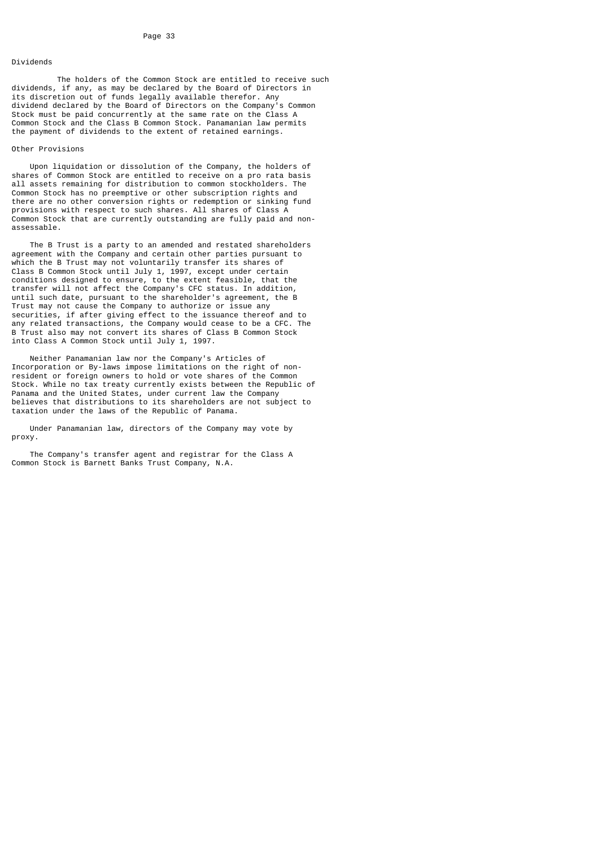# Dividends

 The holders of the Common Stock are entitled to receive such dividends, if any, as may be declared by the Board of Directors in its discretion out of funds legally available therefor. Any dividend declared by the Board of Directors on the Company's Common Stock must be paid concurrently at the same rate on the Class A Common Stock and the Class B Common Stock. Panamanian law permits the payment of dividends to the extent of retained earnings.

# Other Provisions

 Upon liquidation or dissolution of the Company, the holders of shares of Common Stock are entitled to receive on a pro rata basis all assets remaining for distribution to common stockholders. The Common Stock has no preemptive or other subscription rights and there are no other conversion rights or redemption or sinking fund provisions with respect to such shares. All shares of Class A Common Stock that are currently outstanding are fully paid and nonassessable.

 The B Trust is a party to an amended and restated shareholders agreement with the Company and certain other parties pursuant to which the B Trust may not voluntarily transfer its shares of Class B Common Stock until July 1, 1997, except under certain conditions designed to ensure, to the extent feasible, that the transfer will not affect the Company's CFC status. In addition, until such date, pursuant to the shareholder's agreement, the B Trust may not cause the Company to authorize or issue any securities, if after giving effect to the issuance thereof and to any related transactions, the Company would cease to be a CFC. The B Trust also may not convert its shares of Class B Common Stock into Class A Common Stock until July 1, 1997.

 Neither Panamanian law nor the Company's Articles of Incorporation or By-laws impose limitations on the right of nonresident or foreign owners to hold or vote shares of the Common Stock. While no tax treaty currently exists between the Republic of Panama and the United States, under current law the Company believes that distributions to its shareholders are not subject to taxation under the laws of the Republic of Panama.

 Under Panamanian law, directors of the Company may vote by proxy.

 The Company's transfer agent and registrar for the Class A Common Stock is Barnett Banks Trust Company, N.A.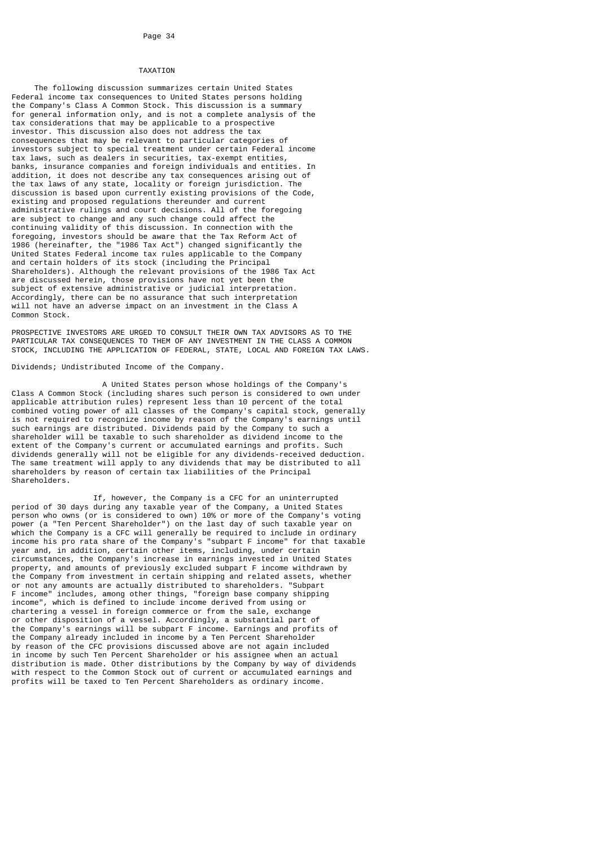#### TAXATION

 The following discussion summarizes certain United States Federal income tax consequences to United States persons holding the Company's Class A Common Stock. This discussion is a summary for general information only, and is not a complete analysis of the tax considerations that may be applicable to a prospective investor. This discussion also does not address the tax consequences that may be relevant to particular categories of investors subject to special treatment under certain Federal income tax laws, such as dealers in securities, tax-exempt entities, banks, insurance companies and foreign individuals and entities. In addition, it does not describe any tax consequences arising out of the tax laws of any state, locality or foreign jurisdiction. The discussion is based upon currently existing provisions of the Code, existing and proposed regulations thereunder and current administrative rulings and court decisions. All of the foregoing are subject to change and any such change could affect the continuing validity of this discussion. In connection with the foregoing, investors should be aware that the Tax Reform Act of 1986 (hereinafter, the "1986 Tax Act") changed significantly the United States Federal income tax rules applicable to the Company and certain holders of its stock (including the Principal Shareholders). Although the relevant provisions of the 1986 Tax Act are discussed herein, those provisions have not yet been the subject of extensive administrative or judicial interpretation. Accordingly, there can be no assurance that such interpretation will not have an adverse impact on an investment in the Class A Common Stock.

PROSPECTIVE INVESTORS ARE URGED TO CONSULT THEIR OWN TAX ADVISORS AS TO THE PARTICULAR TAX CONSEQUENCES TO THEM OF ANY INVESTMENT IN THE CLASS A COMMON STOCK, INCLUDING THE APPLICATION OF FEDERAL, STATE, LOCAL AND FOREIGN TAX LAWS.

Dividends; Undistributed Income of the Company.

 A United States person whose holdings of the Company's Class A Common Stock (including shares such person is considered to own under applicable attribution rules) represent less than 10 percent of the total combined voting power of all classes of the Company's capital stock, generally is not required to recognize income by reason of the Company's earnings until such earnings are distributed. Dividends paid by the Company to such a shareholder will be taxable to such shareholder as dividend income to the extent of the Company's current or accumulated earnings and profits. Such dividends generally will not be eligible for any dividends-received deduction. The same treatment will apply to any dividends that may be distributed to all shareholders by reason of certain tax liabilities of the Principal Shareholders.

 If, however, the Company is a CFC for an uninterrupted period of 30 days during any taxable year of the Company, a United States person who owns (or is considered to own) 10% or more of the Company's voting power (a "Ten Percent Shareholder") on the last day of such taxable year on which the Company is a CFC will generally be required to include in ordinary income his pro rata share of the Company's "subpart F income" for that taxable year and, in addition, certain other items, including, under certain circumstances, the Company's increase in earnings invested in United States property, and amounts of previously excluded subpart F income withdrawn by the Company from investment in certain shipping and related assets, whether or not any amounts are actually distributed to shareholders. "Subpart F income" includes, among other things, "foreign base company shipping income", which is defined to include income derived from using or chartering a vessel in foreign commerce or from the sale, exchange or other disposition of a vessel. Accordingly, a substantial part of the Company's earnings will be subpart F income. Earnings and profits of the Company already included in income by a Ten Percent Shareholder by reason of the CFC provisions discussed above are not again included in income by such Ten Percent Shareholder or his assignee when an actual distribution is made. Other distributions by the Company by way of dividends with respect to the Common Stock out of current or accumulated earnings and profits will be taxed to Ten Percent Shareholders as ordinary income.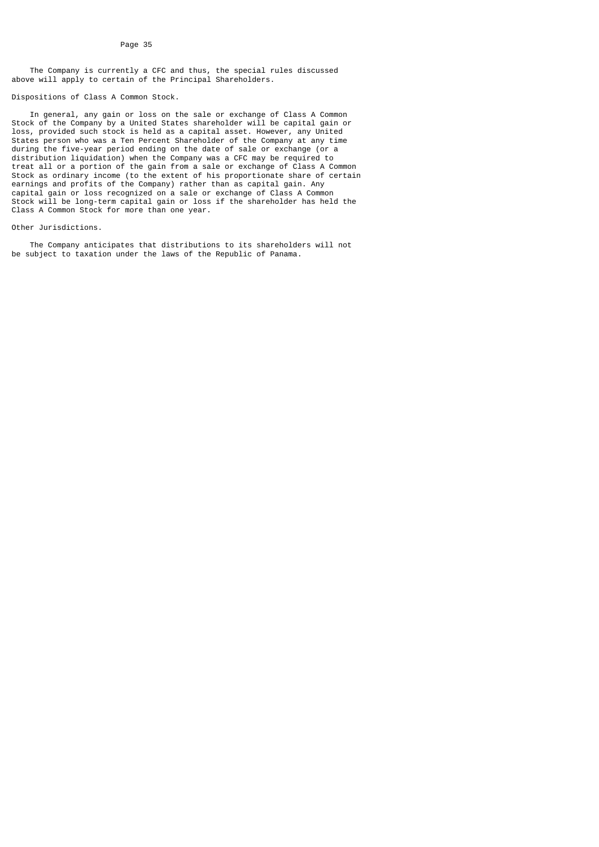The Company is currently a CFC and thus, the special rules discussed above will apply to certain of the Principal Shareholders.

#### Dispositions of Class A Common Stock.

 In general, any gain or loss on the sale or exchange of Class A Common Stock of the Company by a United States shareholder will be capital gain or loss, provided such stock is held as a capital asset. However, any United States person who was a Ten Percent Shareholder of the Company at any time during the five-year period ending on the date of sale or exchange (or a distribution liquidation) when the Company was a CFC may be required to treat all or a portion of the gain from a sale or exchange of Class A Common Stock as ordinary income (to the extent of his proportionate share of certain earnings and profits of the Company) rather than as capital gain. Any capital gain or loss recognized on a sale or exchange of Class A Common Stock will be long-term capital gain or loss if the shareholder has held the Class A Common Stock for more than one year.

#### Other Jurisdictions.

 The Company anticipates that distributions to its shareholders will not be subject to taxation under the laws of the Republic of Panama.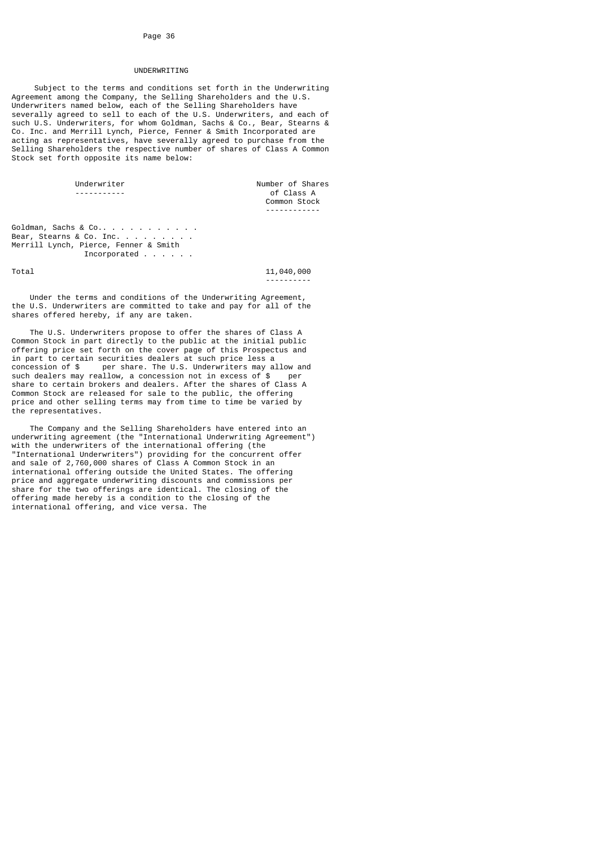# UNDERWRITING

 Subject to the terms and conditions set forth in the Underwriting Agreement among the Company, the Selling Shareholders and the U.S. Underwriters named below, each of the Selling Shareholders have severally agreed to sell to each of the U.S. Underwriters, and each of such U.S. Underwriters, for whom Goldman, Sachs & Co., Bear, Stearns & Co. Inc. and Merrill Lynch, Pierce, Fenner & Smith Incorporated are acting as representatives, have severally agreed to purchase from the Selling Shareholders the respective number of shares of Class A Common Stock set forth opposite its name below:

Underwriter **Number of Shares**  ----------- of Class A Common Stock ------------

Goldman, Sachs & Co.. . . . . . . . . . Bear, Stearns & Co. Inc. . . . Merrill Lynch, Pierce, Fenner & Smith Incorporated . . . . . .

Total 11,040,000 ----------

 Under the terms and conditions of the Underwriting Agreement, the U.S. Underwriters are committed to take and pay for all of the shares offered hereby, if any are taken.

 The U.S. Underwriters propose to offer the shares of Class A Common Stock in part directly to the public at the initial public offering price set forth on the cover page of this Prospectus and in part to certain securities dealers at such price less a concession of \$ per share. The U.S. Underwriters may a per share. The U.S. Underwriters may allow and such dealers may reallow, a concession not in excess of \$ per share to certain brokers and dealers. After the shares of Class A Common Stock are released for sale to the public, the offering price and other selling terms may from time to time be varied by the representatives.

 The Company and the Selling Shareholders have entered into an underwriting agreement (the "International Underwriting Agreement") with the underwriters of the international offering (the "International Underwriters") providing for the concurrent offer and sale of 2,760,000 shares of Class A Common Stock in an international offering outside the United States. The offering price and aggregate underwriting discounts and commissions per share for the two offerings are identical. The closing of the offering made hereby is a condition to the closing of the international offering, and vice versa. The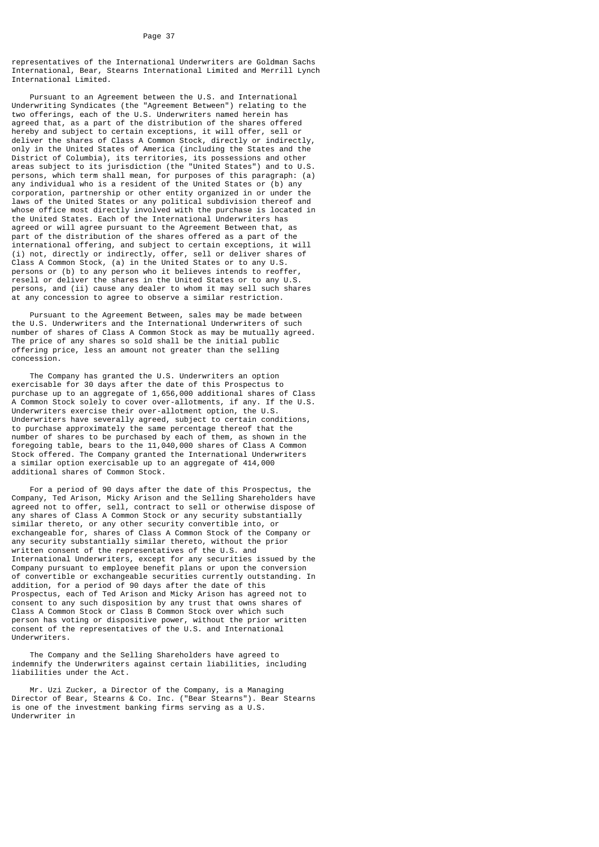representatives of the International Underwriters are Goldman Sachs International, Bear, Stearns International Limited and Merrill Lynch International Limited.

 Pursuant to an Agreement between the U.S. and International Underwriting Syndicates (the "Agreement Between") relating to the two offerings, each of the U.S. Underwriters named herein has agreed that, as a part of the distribution of the shares offered hereby and subject to certain exceptions, it will offer, sell or deliver the shares of Class A Common Stock, directly or indirectly, only in the United States of America (including the States and the District of Columbia), its territories, its possessions and other areas subject to its jurisdiction (the "United States") and to U.S. persons, which term shall mean, for purposes of this paragraph: (a) any individual who is a resident of the United States or (b) any corporation, partnership or other entity organized in or under the laws of the United States or any political subdivision thereof and whose office most directly involved with the purchase is located in the United States. Each of the International Underwriters has agreed or will agree pursuant to the Agreement Between that, as part of the distribution of the shares offered as a part of the international offering, and subject to certain exceptions, it will (i) not, directly or indirectly, offer, sell or deliver shares of Class A Common Stock, (a) in the United States or to any U.S. persons or (b) to any person who it believes intends to reoffer, resell or deliver the shares in the United States or to any U.S. persons, and (ii) cause any dealer to whom it may sell such shares at any concession to agree to observe a similar restriction.

 Pursuant to the Agreement Between, sales may be made between the U.S. Underwriters and the International Underwriters of such number of shares of Class A Common Stock as may be mutually agreed. The price of any shares so sold shall be the initial public offering price, less an amount not greater than the selling concession.

 The Company has granted the U.S. Underwriters an option exercisable for 30 days after the date of this Prospectus to purchase up to an aggregate of 1,656,000 additional shares of Class A Common Stock solely to cover over-allotments, if any. If the U.S. Underwriters exercise their over-allotment option, the U.S. Underwriters have severally agreed, subject to certain conditions, to purchase approximately the same percentage thereof that the number of shares to be purchased by each of them, as shown in the foregoing table, bears to the 11,040,000 shares of Class A Common Stock offered. The Company granted the International Underwriters a similar option exercisable up to an aggregate of 414,000 additional shares of Common Stock.

 For a period of 90 days after the date of this Prospectus, the Company, Ted Arison, Micky Arison and the Selling Shareholders have agreed not to offer, sell, contract to sell or otherwise dispose of any shares of Class A Common Stock or any security substantially similar thereto, or any other security convertible into, or exchangeable for, shares of Class A Common Stock of the Company or any security substantially similar thereto, without the prior written consent of the representatives of the U.S. and International Underwriters, except for any securities issued by the Company pursuant to employee benefit plans or upon the conversion of convertible or exchangeable securities currently outstanding. In addition, for a period of 90 days after the date of this Prospectus, each of Ted Arison and Micky Arison has agreed not to consent to any such disposition by any trust that owns shares of Class A Common Stock or Class B Common Stock over which such person has voting or dispositive power, without the prior written consent of the representatives of the U.S. and International Underwriters.

 The Company and the Selling Shareholders have agreed to indemnify the Underwriters against certain liabilities, including liabilities under the Act.

 Mr. Uzi Zucker, a Director of the Company, is a Managing Director of Bear, Stearns & Co. Inc. ("Bear Stearns"). Bear Stearns is one of the investment banking firms serving as a U.S. Underwriter in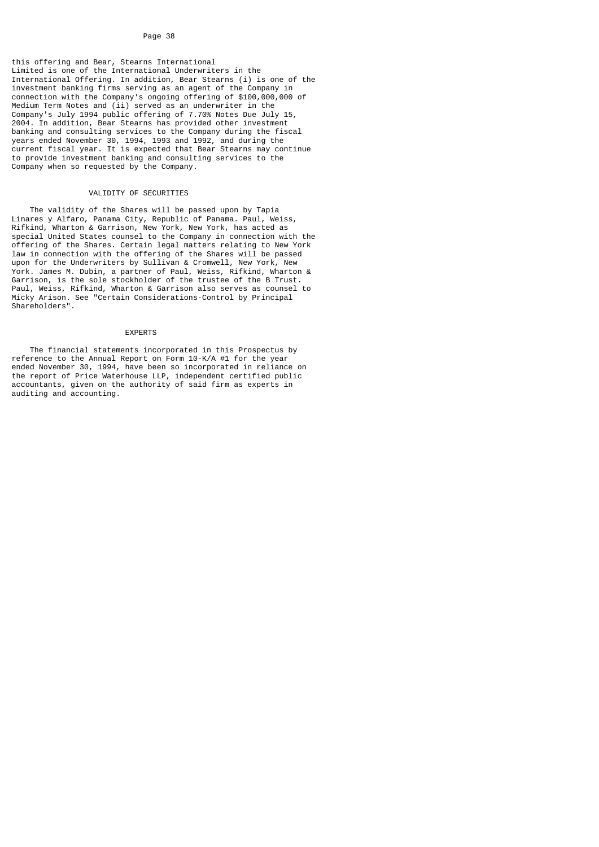this offering and Bear, Stearns International Limited is one of the International Underwriters in the International Offering. In addition, Bear Stearns (i) is one of the investment banking firms serving as an agent of the Company in connection with the Company's ongoing offering of \$100,000,000 of Medium Term Notes and (ii) served as an underwriter in the Company's July 1994 public offering of 7.70% Notes Due July 15, 2004. In addition, Bear Stearns has provided other investment banking and consulting services to the Company during the fiscal years ended November 30, 1994, 1993 and 1992, and during the current fiscal year. It is expected that Bear Stearns may continue to provide investment banking and consulting services to the Company when so requested by the Company.

# VALIDITY OF SECURITIES

 The validity of the Shares will be passed upon by Tapia Linares y Alfaro, Panama City, Republic of Panama. Paul, Weiss, Rifkind, Wharton & Garrison, New York, New York, has acted as special United States counsel to the Company in connection with the offering of the Shares. Certain legal matters relating to New York law in connection with the offering of the Shares will be passed upon for the Underwriters by Sullivan & Cromwell, New York, New York. James M. Dubin, a partner of Paul, Weiss, Rifkind, Wharton & Garrison, is the sole stockholder of the trustee of the B Trust. Paul, Weiss, Rifkind, Wharton & Garrison also serves as counsel to Micky Arison. See "Certain Considerations-Control by Principal Shareholders".

#### EXPERTS

 The financial statements incorporated in this Prospectus by reference to the Annual Report on Form 10-K/A #1 for the year ended November 30, 1994, have been so incorporated in reliance on the report of Price Waterhouse LLP, independent certified public accountants, given on the authority of said firm as experts in auditing and accounting.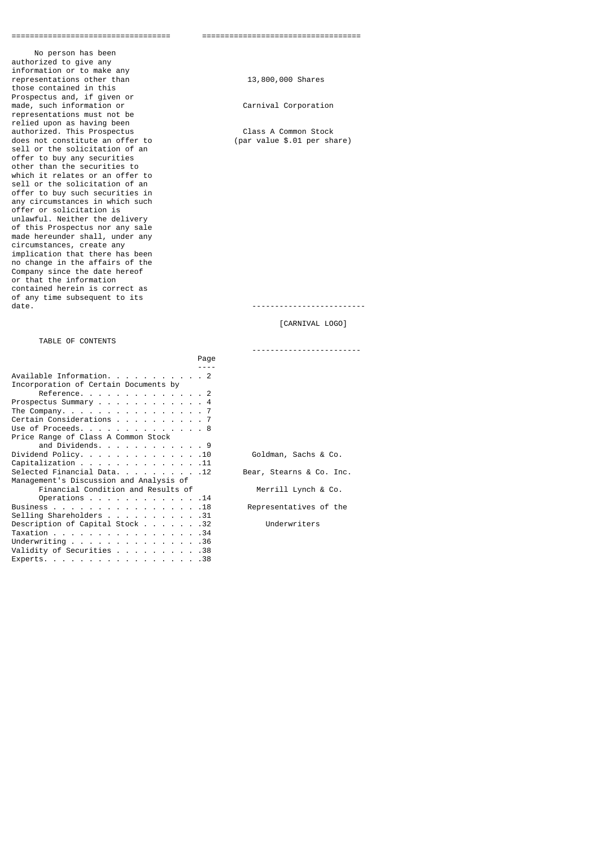No person has been authorized to give any information or to make any representations other than 13,800,000 Shares those contained in this Prospectus and, if given or made, such information or Carnival Corporation representations must not be relied upon as having been authorized. This Prospectus Class A Common Stock does not constitute an offer to sell or the solicitation of an offer to buy any securities other than the securities to which it relates or an offer to sell or the solicitation of an offer to buy such securities in any circumstances in which such offer or solicitation is unlawful. Neither the delivery of this Prospectus nor any sale made hereunder shall, under any circumstances, create any implication that there has been no change in the affairs of the Company since the date hereof or that the information contained herein is correct as of any time subsequent to its<br>date.

# TABLE OF CONTENTS

|                                                                      | Page |                          |
|----------------------------------------------------------------------|------|--------------------------|
|                                                                      |      |                          |
| Available Information. 2                                             |      |                          |
| Incorporation of Certain Documents by                                |      |                          |
| Reference. 2                                                         |      |                          |
| Prospectus Summary 4                                                 |      |                          |
| The Company. $\ldots$ $\ldots$ $\ldots$ $\ldots$ $\ldots$ $\ldots$ 7 |      |                          |
| Certain Considerations 7                                             |      |                          |
| Use of Proceeds. 8                                                   |      |                          |
| Price Range of Class A Common Stock                                  |      |                          |
| and Dividends. 9                                                     |      |                          |
| Dividend Policy. 10                                                  |      | Goldman, Sachs & Co.     |
| Capitalization 11                                                    |      |                          |
| Selected Financial Data. 12                                          |      | Bear, Stearns & Co. Inc. |
| Management's Discussion and Analysis of                              |      |                          |
| Financial Condition and Results of                                   |      | Merrill Lynch & Co.      |
| Operations $\ldots$ $\ldots$ $\ldots$ $\ldots$ $\ldots$              |      |                          |
| Business 18                                                          |      | Representatives of the   |
| Selling Shareholders 31                                              |      |                          |
| Description of Capital Stock 32                                      |      | Underwriters             |
| Taxation 34                                                          |      |                          |
| Underwriting $\ldots$ $\ldots$ $\ldots$ $\ldots$ $\ldots$ 36         |      |                          |
| Validity of Securities 38                                            |      |                          |
| Experts. 38                                                          |      |                          |

=================================== ===================================

date. -------------------------

[CARNIVAL LOGO]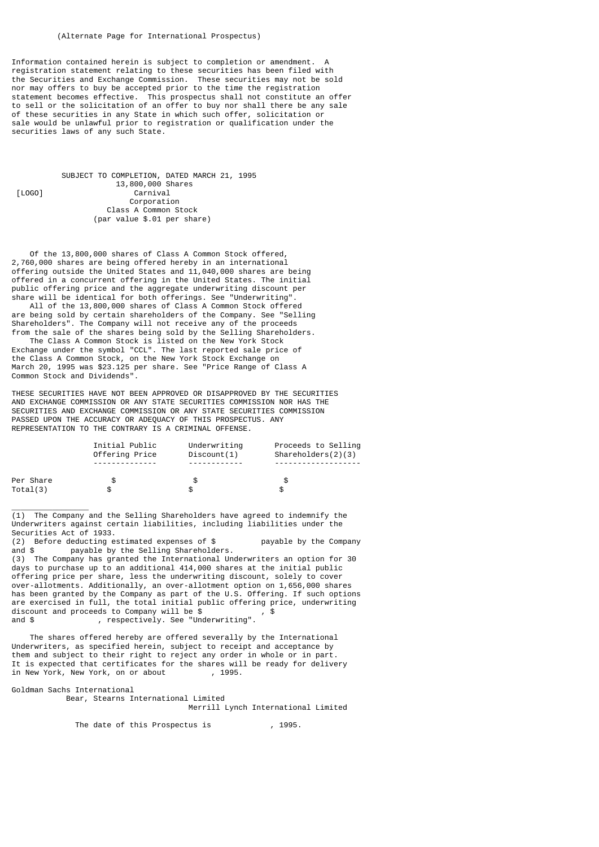Information contained herein is subject to completion or amendment. registration statement relating to these securities has been filed with the Securities and Exchange Commission. These securities may not be sold nor may offers to buy be accepted prior to the time the registration statement becomes effective. This prospectus shall not constitute an offer to sell or the solicitation of an offer to buy nor shall there be any sale of these securities in any State in which such offer, solicitation or sale would be unlawful prior to registration or qualification under the securities laws of any such State.

 SUBJECT TO COMPLETION, DATED MARCH 21, 1995 13,800,000 Shares<br>
[L0G0] 13,800,000 Shares<br>
carnival  $Carnival$  Corporation Class A Common Stock (par value \$.01 per share)

 Of the 13,800,000 shares of Class A Common Stock offered, 2,760,000 shares are being offered hereby in an international offering outside the United States and 11,040,000 shares are being offered in a concurrent offering in the United States. The initial public offering price and the aggregate underwriting discount per share will be identical for both offerings. See "Underwriting".

 All of the 13,800,000 shares of Class A Common Stock offered are being sold by certain shareholders of the Company. See "Selling Shareholders". The Company will not receive any of the proceeds from the sale of the shares being sold by the Selling Shareholders.

 The Class A Common Stock is listed on the New York Stock Exchange under the symbol "CCL". The last reported sale price of the Class A Common Stock, on the New York Stock Exchange on March 20, 1995 was \$23.125 per share. See "Price Range of Class A Common Stock and Dividends".

THESE SECURITIES HAVE NOT BEEN APPROVED OR DISAPPROVED BY THE SECURITIES AND EXCHANGE COMMISSION OR ANY STATE SECURITIES COMMISSION NOR HAS THE SECURITIES AND EXCHANGE COMMISSION OR ANY STATE SECURITIES COMMISSION PASSED UPON THE ACCURACY OR ADEQUACY OF THIS PROSPECTUS. ANY REPRESENTATION TO THE CONTRARY IS A CRIMINAL OFFENSE.

|           | Initial Public<br>Offering Price | Underwriting<br>Discount(1) | Proceeds to Selling<br>Shareholders(2)(3) |
|-----------|----------------------------------|-----------------------------|-------------------------------------------|
|           |                                  |                             |                                           |
| Per Share |                                  |                             |                                           |
| Total(3)  |                                  |                             |                                           |

(1) The Company and the Selling Shareholders have agreed to indemnify the Underwriters against certain liabilities, including liabilities under the Securities Act of 1933.

(2) Before deducting estimated expenses of  $\$$  payable by the Company and  $\$$  payable by the Selling Shareholders. payable by the Selling Shareholders.

(3) The Company has granted the International Underwriters an option for 30 days to purchase up to an additional 414,000 shares at the initial public offering price per share, less the underwriting discount, solely to cover over-allotments. Additionally, an over-allotment option on 1,656,000 shares has been granted by the Company as part of the U.S. Offering. If such options are exercised in full, the total initial public offering price, underwriting discount and proceeds to Company will be \$ , \$ quiscount and proceeds to Company will be \$ , \$ and \$ , respectively. See "Underwriting".

 The shares offered hereby are offered severally by the International Underwriters, as specified herein, subject to receipt and acceptance by them and subject to their right to reject any order in whole or in part. It is expected that certificates for the shares will be ready for delivery<br>in New York, New York, on or about , 1995. in New York, New York, on or about

Goldman Sachs International

\_\_\_\_\_\_\_\_\_\_\_\_\_\_\_\_\_

 Bear, Stearns International Limited Merrill Lynch International Limited

The date of this Prospectus is  $(1995)$ .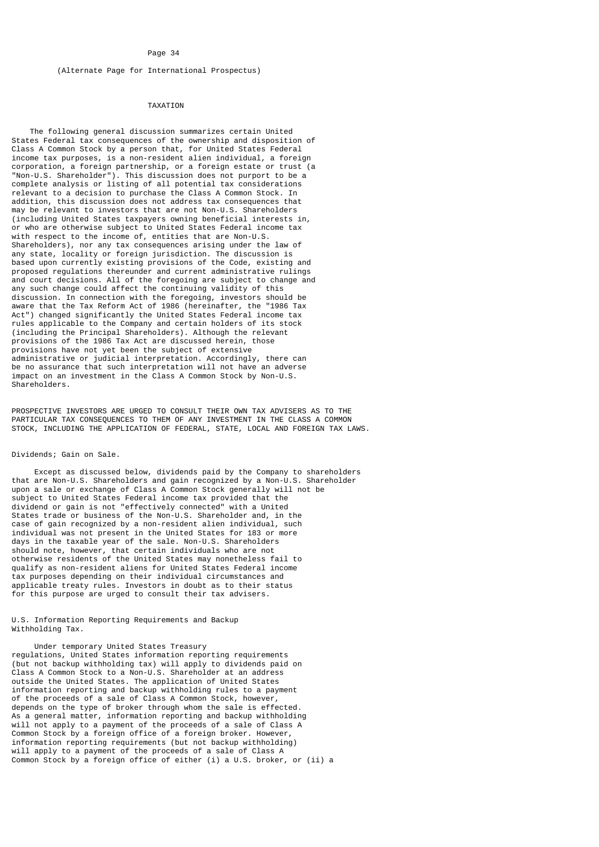# (Alternate Page for International Prospectus)

# TAXATION

 The following general discussion summarizes certain United States Federal tax consequences of the ownership and disposition of Class A Common Stock by a person that, for United States Federal income tax purposes, is a non-resident alien individual, a foreign corporation, a foreign partnership, or a foreign estate or trust (a "Non-U.S. Shareholder"). This discussion does not purport to be a complete analysis or listing of all potential tax considerations relevant to a decision to purchase the Class A Common Stock. In addition, this discussion does not address tax consequences that may be relevant to investors that are not Non-U.S. Shareholders (including United States taxpayers owning beneficial interests in, or who are otherwise subject to United States Federal income tax with respect to the income of, entities that are Non-U.S. Shareholders), nor any tax consequences arising under the law of any state, locality or foreign jurisdiction. The discussion is based upon currently existing provisions of the Code, existing and proposed regulations thereunder and current administrative rulings and court decisions. All of the foregoing are subject to change and any such change could affect the continuing validity of this discussion. In connection with the foregoing, investors should be aware that the Tax Reform Act of 1986 (hereinafter, the "1986 Tax Act") changed significantly the United States Federal income tax rules applicable to the Company and certain holders of its stock (including the Principal Shareholders). Although the relevant provisions of the 1986 Tax Act are discussed herein, those provisions have not yet been the subject of extensive administrative or judicial interpretation. Accordingly, there can be no assurance that such interpretation will not have an adverse impact on an investment in the Class A Common Stock by Non-U.S. Shareholders.

PROSPECTIVE INVESTORS ARE URGED TO CONSULT THEIR OWN TAX ADVISERS AS TO THE PARTICULAR TAX CONSEQUENCES TO THEM OF ANY INVESTMENT IN THE CLASS A COMMON STOCK, INCLUDING THE APPLICATION OF FEDERAL, STATE, LOCAL AND FOREIGN TAX LAWS.

# Dividends; Gain on Sale.

 Except as discussed below, dividends paid by the Company to shareholders that are Non-U.S. Shareholders and gain recognized by a Non-U.S. Shareholder upon a sale or exchange of Class A Common Stock generally will not be subject to United States Federal income tax provided that the dividend or gain is not "effectively connected" with a United States trade or business of the Non-U.S. Shareholder and, in the case of gain recognized by a non-resident alien individual, such individual was not present in the United States for 183 or more days in the taxable year of the sale. Non-U.S. Shareholders should note, however, that certain individuals who are not otherwise residents of the United States may nonetheless fail to qualify as non-resident aliens for United States Federal income tax purposes depending on their individual circumstances and applicable treaty rules. Investors in doubt as to their status for this purpose are urged to consult their tax advisers.

U.S. Information Reporting Requirements and Backup Withholding Tax.

 Under temporary United States Treasury regulations, United States information reporting requirements (but not backup withholding tax) will apply to dividends paid on Class A Common Stock to a Non-U.S. Shareholder at an address outside the United States. The application of United States information reporting and backup withholding rules to a payment of the proceeds of a sale of Class A Common Stock, however, depends on the type of broker through whom the sale is effected. As a general matter, information reporting and backup withholding will not apply to a payment of the proceeds of a sale of Class A Common Stock by a foreign office of a foreign broker. However, information reporting requirements (but not backup withholding) will apply to a payment of the proceeds of a sale of Class A Common Stock by a foreign office of either (i) a U.S. broker, or (ii) a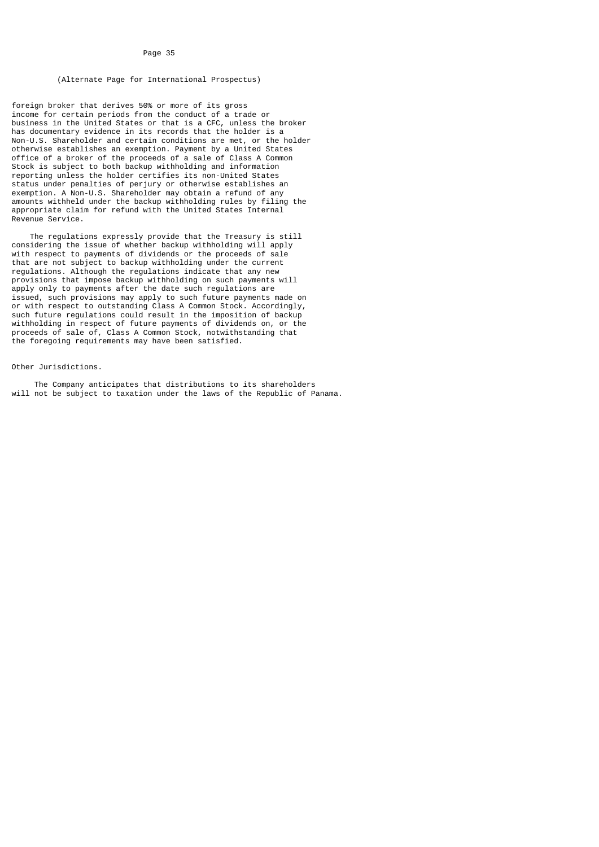# (Alternate Page for International Prospectus)

foreign broker that derives 50% or more of its gross income for certain periods from the conduct of a trade or business in the United States or that is a CFC, unless the broker has documentary evidence in its records that the holder is a Non-U.S. Shareholder and certain conditions are met, or the holder otherwise establishes an exemption. Payment by a United States office of a broker of the proceeds of a sale of Class A Common Stock is subject to both backup withholding and information reporting unless the holder certifies its non-United States status under penalties of perjury or otherwise establishes an exemption. A Non-U.S. Shareholder may obtain a refund of any amounts withheld under the backup withholding rules by filing the appropriate claim for refund with the United States Internal Revenue Service.

 The regulations expressly provide that the Treasury is still considering the issue of whether backup withholding will apply with respect to payments of dividends or the proceeds of sale that are not subject to backup withholding under the current regulations. Although the regulations indicate that any new provisions that impose backup withholding on such payments will apply only to payments after the date such regulations are issued, such provisions may apply to such future payments made on or with respect to outstanding Class A Common Stock. Accordingly, such future regulations could result in the imposition of backup withholding in respect of future payments of dividends on, or the proceeds of sale of, Class A Common Stock, notwithstanding that the foregoing requirements may have been satisfied.

#### Other Jurisdictions.

 The Company anticipates that distributions to its shareholders will not be subject to taxation under the laws of the Republic of Panama.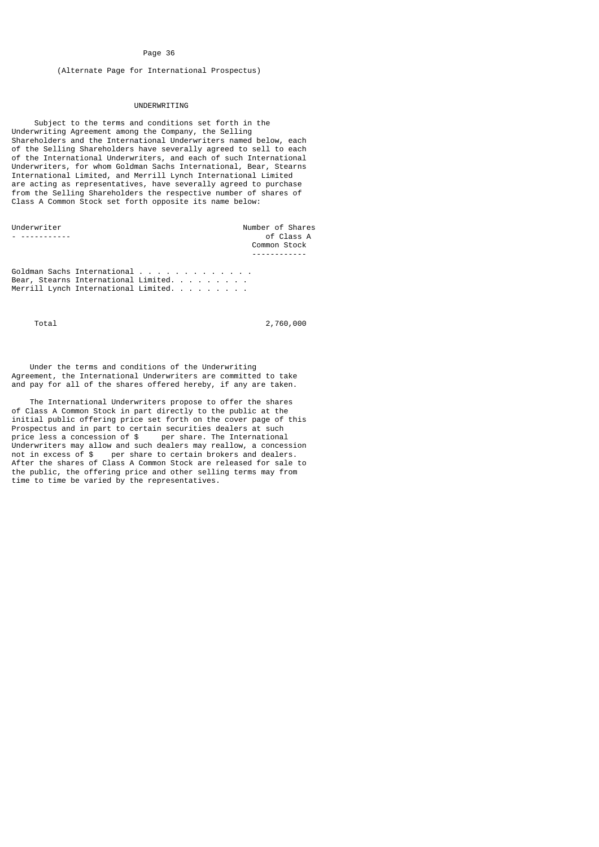(Alternate Page for International Prospectus)

# UNDERWRITING

 Subject to the terms and conditions set forth in the Underwriting Agreement among the Company, the Selling Shareholders and the International Underwriters named below, each of the Selling Shareholders have severally agreed to sell to each of the International Underwriters, and each of such International Underwriters, for whom Goldman Sachs International, Bear, Stearns International Limited, and Merrill Lynch International Limited are acting as representatives, have severally agreed to purchase from the Selling Shareholders the respective number of shares of Class A Common Stock set forth opposite its name below:

| Underwriter | Number of Shares |
|-------------|------------------|
|             | of Class A       |
|             | Common Stock     |
|             |                  |

Goldman Sachs International . . . . . . . . . . . . . Bear, Stearns International Limited. . . . . . . . . Merrill Lynch International Limited. . . . . . . . .

Total 2,760,000

 Under the terms and conditions of the Underwriting Agreement, the International Underwriters are committed to take and pay for all of the shares offered hereby, if any are taken.

 The International Underwriters propose to offer the shares of Class A Common Stock in part directly to the public at the initial public offering price set forth on the cover page of this Prospectus and in part to certain securities dealers at such<br>price less a concession of \$ per share. The International per share. The International Underwriters may allow and such dealers may reallow, a concession not in excess of \$ per share to certain brokers and dealers. After the shares of Class A Common Stock are released for sale to the public, the offering price and other selling terms may from time to time be varied by the representatives.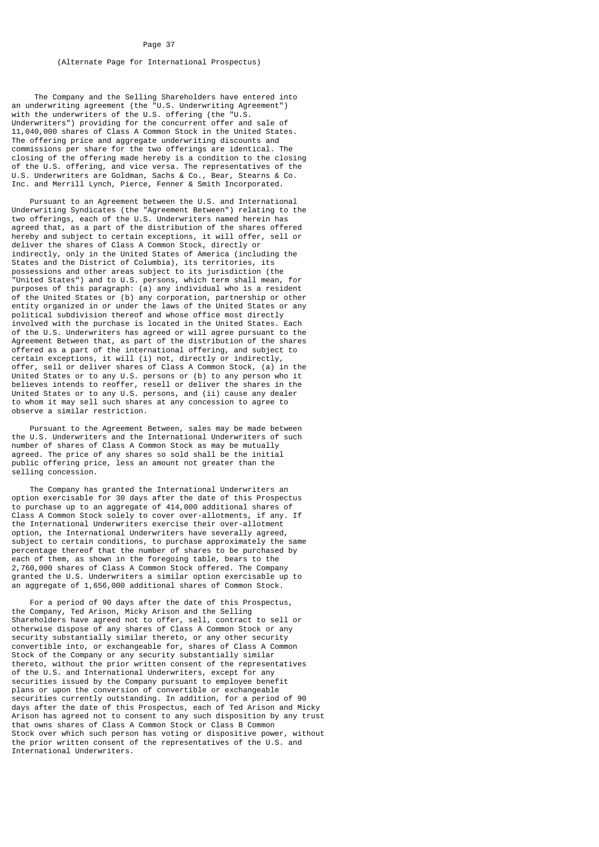# (Alternate Page for International Prospectus)

 The Company and the Selling Shareholders have entered into an underwriting agreement (the "U.S. Underwriting Agreement") with the underwriters of the U.S. offering (the "U.S. Underwriters") providing for the concurrent offer and sale of 11,040,000 shares of Class A Common Stock in the United States. The offering price and aggregate underwriting discounts and commissions per share for the two offerings are identical. The closing of the offering made hereby is a condition to the closing of the U.S. offering, and vice versa. The representatives of the U.S. Underwriters are Goldman, Sachs & Co., Bear, Stearns & Co. Inc. and Merrill Lynch, Pierce, Fenner & Smith Incorporated.

 Pursuant to an Agreement between the U.S. and International Underwriting Syndicates (the "Agreement Between") relating to the two offerings, each of the U.S. Underwriters named herein has agreed that, as a part of the distribution of the shares offered hereby and subject to certain exceptions, it will offer, sell or deliver the shares of Class A Common Stock, directly or indirectly, only in the United States of America (including the States and the District of Columbia), its territories, its possessions and other areas subject to its jurisdiction (the "United States") and to U.S. persons, which term shall mean, for purposes of this paragraph: (a) any individual who is a resident of the United States or (b) any corporation, partnership or other entity organized in or under the laws of the United States or any political subdivision thereof and whose office most directly involved with the purchase is located in the United States. Each of the U.S. Underwriters has agreed or will agree pursuant to the Agreement Between that, as part of the distribution of the shares offered as a part of the international offering, and subject to certain exceptions, it will (i) not, directly or indirectly, offer, sell or deliver shares of Class A Common Stock, (a) in the United States or to any U.S. persons or (b) to any person who it believes intends to reoffer, resell or deliver the shares in the United States or to any U.S. persons, and (ii) cause any dealer to whom it may sell such shares at any concession to agree to observe a similar restriction.

 Pursuant to the Agreement Between, sales may be made between the U.S. Underwriters and the International Underwriters of such number of shares of Class A Common Stock as may be mutually agreed. The price of any shares so sold shall be the initial public offering price, less an amount not greater than the selling concession.

 The Company has granted the International Underwriters an option exercisable for 30 days after the date of this Prospectus to purchase up to an aggregate of 414,000 additional shares of Class A Common Stock solely to cover over-allotments, if any. If the International Underwriters exercise their over-allotment option, the International Underwriters have severally agreed, subject to certain conditions, to purchase approximately the same percentage thereof that the number of shares to be purchased by each of them, as shown in the foregoing table, bears to the 2,760,000 shares of Class A Common Stock offered. The Company granted the U.S. Underwriters a similar option exercisable up to an aggregate of 1,656,000 additional shares of Common Stock.

 For a period of 90 days after the date of this Prospectus, the Company, Ted Arison, Micky Arison and the Selling Shareholders have agreed not to offer, sell, contract to sell or otherwise dispose of any shares of Class A Common Stock or any security substantially similar thereto, or any other security convertible into, or exchangeable for, shares of Class A Common Stock of the Company or any security substantially similar thereto, without the prior written consent of the representatives of the U.S. and International Underwriters, except for any securities issued by the Company pursuant to employee benefit plans or upon the conversion of convertible or exchangeable securities currently outstanding. In addition, for a period of 90 days after the date of this Prospectus, each of Ted Arison and Micky Arison has agreed not to consent to any such disposition by any trust that owns shares of Class A Common Stock or Class B Common Stock over which such person has voting or dispositive power, without the prior written consent of the representatives of the U.S. and International Underwriters.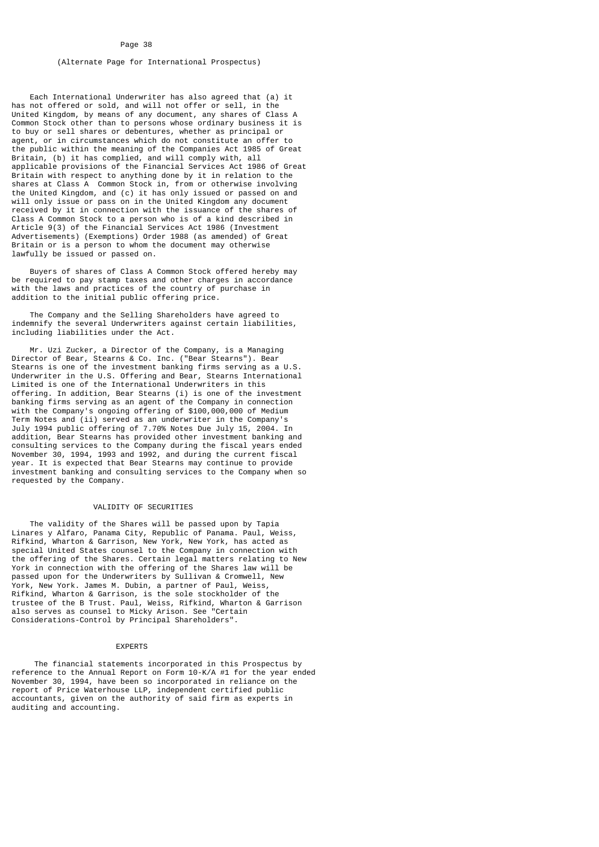# (Alternate Page for International Prospectus)

 Each International Underwriter has also agreed that (a) it has not offered or sold, and will not offer or sell, in the United Kingdom, by means of any document, any shares of Class A Common Stock other than to persons whose ordinary business it is to buy or sell shares or debentures, whether as principal or agent, or in circumstances which do not constitute an offer to the public within the meaning of the Companies Act 1985 of Great Britain, (b) it has complied, and will comply with, all applicable provisions of the Financial Services Act 1986 of Great Britain with respect to anything done by it in relation to the shares at Class A Common Stock in, from or otherwise involving the United Kingdom, and (c) it has only issued or passed on and will only issue or pass on in the United Kingdom any document received by it in connection with the issuance of the shares of Class A Common Stock to a person who is of a kind described in Article 9(3) of the Financial Services Act 1986 (Investment Advertisements) (Exemptions) Order 1988 (as amended) of Great Britain or is a person to whom the document may otherwise lawfully be issued or passed on.

 Buyers of shares of Class A Common Stock offered hereby may be required to pay stamp taxes and other charges in accordance with the laws and practices of the country of purchase in addition to the initial public offering price.

 The Company and the Selling Shareholders have agreed to indemnify the several Underwriters against certain liabilities, including liabilities under the Act.

 Mr. Uzi Zucker, a Director of the Company, is a Managing Director of Bear, Stearns & Co. Inc. ("Bear Stearns"). Bear Stearns is one of the investment banking firms serving as a U.S. Underwriter in the U.S. Offering and Bear, Stearns International Limited is one of the International Underwriters in this offering. In addition, Bear Stearns (i) is one of the investment banking firms serving as an agent of the Company in connection with the Company's ongoing offering of \$100,000,000 of Medium Term Notes and (ii) served as an underwriter in the Company's July 1994 public offering of 7.70% Notes Due July 15, 2004. In addition, Bear Stearns has provided other investment banking and consulting services to the Company during the fiscal years ended November 30, 1994, 1993 and 1992, and during the current fiscal year. It is expected that Bear Stearns may continue to provide investment banking and consulting services to the Company when so requested by the Company.

# VALIDITY OF SECURITIES

 The validity of the Shares will be passed upon by Tapia Linares y Alfaro, Panama City, Republic of Panama. Paul, Weiss, Rifkind, Wharton & Garrison, New York, New York, has acted as special United States counsel to the Company in connection with the offering of the Shares. Certain legal matters relating to New York in connection with the offering of the Shares law will be passed upon for the Underwriters by Sullivan & Cromwell, New York, New York. James M. Dubin, a partner of Paul, Weiss, Rifkind, Wharton & Garrison, is the sole stockholder of the trustee of the B Trust. Paul, Weiss, Rifkind, Wharton & Garrison also serves as counsel to Micky Arison. See "Certain Considerations-Control by Principal Shareholders".

#### EXPERTS

 The financial statements incorporated in this Prospectus by reference to the Annual Report on Form 10-K/A #1 for the year ended November 30, 1994, have been so incorporated in reliance on the report of Price Waterhouse LLP, independent certified public accountants, given on the authority of said firm as experts in auditing and accounting.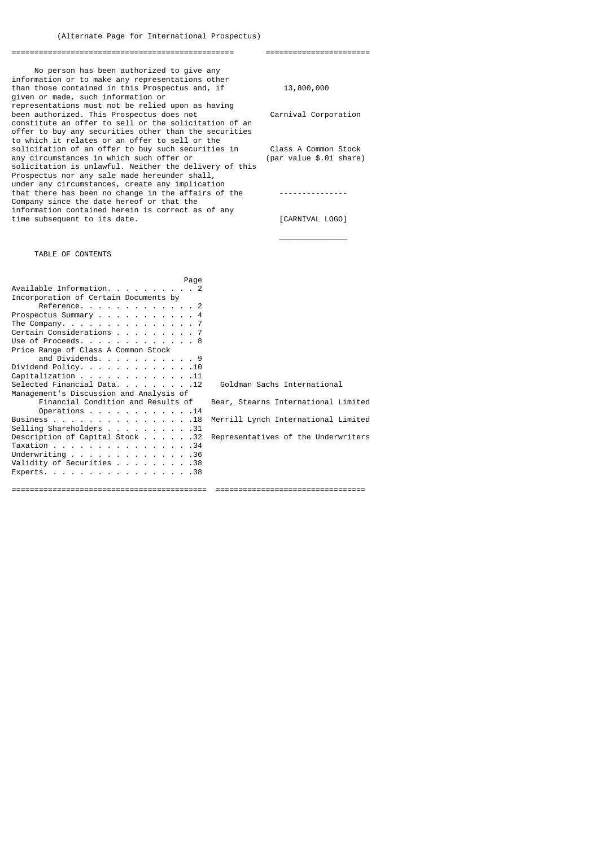================================================= =======================

 No person has been authorized to give any information or to make any representations other than those contained in this Prospectus and, if 13,800,000 given or made, such information or representations must not be relied upon as having been authorized. This Prospectus does not Carnival Corporation constitute an offer to sell or the solicitation of an offer to buy any securities other than the securities to which it relates or an offer to sell or the solicitation of an offer to buy such securities in Class A Common Stock<br>any circumstances in which such offer or (par value \$.01 share) any circumstances in which such offer or solicitation is unlawful. Neither the delivery of this Prospectus nor any sale made hereunder shall, under any circumstances, create any implication that there has been no change in the affairs of the  $\cdots$ Company since the date hereof or that the information contained herein is correct as of any time subsequent to its date.  $[CARNIVAL]$  LOGO]

# TABLE OF CONTENTS

| Page                                                             |                                     |
|------------------------------------------------------------------|-------------------------------------|
| Available Information. 2                                         |                                     |
| Incorporation of Certain Documents by                            |                                     |
| Reference. 2                                                     |                                     |
| Prospectus Summary 4                                             |                                     |
| The Company. $\ldots$ $\ldots$ $\ldots$ $\ldots$ $\ldots$ 7      |                                     |
| Certain Considerations 7                                         |                                     |
| Use of Proceeds. 8                                               |                                     |
| Price Range of Class A Common Stock                              |                                     |
| and Dividends. 9                                                 |                                     |
| Dividend Policy. 10                                              |                                     |
| Capitalization 11                                                |                                     |
| Selected Financial Data. 12                                      | Goldman Sachs International         |
| Management's Discussion and Analysis of                          |                                     |
| Financial Condition and Results of                               | Bear, Stearns International Limited |
| Operations $\ldots$ $\ldots$ $\ldots$ $\ldots$ $\ldots$ $\ldots$ |                                     |
| Business 18                                                      | Merrill Lynch International Limited |
| Selling Shareholders 31                                          |                                     |
| Description of Capital Stock32                                   | Representatives of the Underwriters |
| Taxation 34                                                      |                                     |
| Underwriting 36                                                  |                                     |
| Validity of Securities 38                                        |                                     |
| Experts. 38                                                      |                                     |
|                                                                  |                                     |
|                                                                  |                                     |

 $\overline{\phantom{a}}$  , and the contract of the contract of the contract of the contract of the contract of the contract of the contract of the contract of the contract of the contract of the contract of the contract of the contrac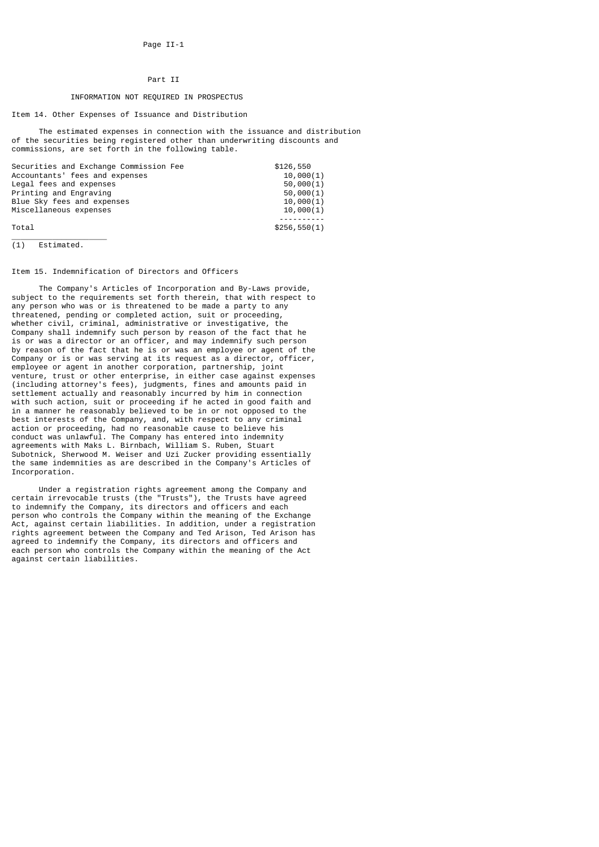# Part II

# INFORMATION NOT REQUIRED IN PROSPECTUS

# Item 14. Other Expenses of Issuance and Distribution

 The estimated expenses in connection with the issuance and distribution of the securities being registered other than underwriting discounts and commissions, are set forth in the following table.

| Securities and Exchange Commission Fee | \$126,550     |
|----------------------------------------|---------------|
| Accountants' fees and expenses         | 10.000(1)     |
| Legal fees and expenses                | 50,000(1)     |
| Printing and Engraving                 | 50,000(1)     |
| Blue Sky fees and expenses             | 10,000(1)     |
| Miscellaneous expenses                 | 10,000(1)     |
|                                        |               |
| Total                                  | \$256, 550(1) |
|                                        |               |

(1) Estimated.

# Item 15. Indemnification of Directors and Officers

 The Company's Articles of Incorporation and By-Laws provide, subject to the requirements set forth therein, that with respect to any person who was or is threatened to be made a party to any threatened, pending or completed action, suit or proceeding, whether civil, criminal, administrative or investigative, the Company shall indemnify such person by reason of the fact that he is or was a director or an officer, and may indemnify such person by reason of the fact that he is or was an employee or agent of the Company or is or was serving at its request as a director, officer, employee or agent in another corporation, partnership, joint venture, trust or other enterprise, in either case against expenses (including attorney's fees), judgments, fines and amounts paid in settlement actually and reasonably incurred by him in connection with such action, suit or proceeding if he acted in good faith and in a manner he reasonably believed to be in or not opposed to the best interests of the Company, and, with respect to any criminal action or proceeding, had no reasonable cause to believe his conduct was unlawful. The Company has entered into indemnity agreements with Maks L. Birnbach, William S. Ruben, Stuart Subotnick, Sherwood M. Weiser and Uzi Zucker providing essentially the same indemnities as are described in the Company's Articles of Incorporation.

 Under a registration rights agreement among the Company and certain irrevocable trusts (the "Trusts"), the Trusts have agreed to indemnify the Company, its directors and officers and each person who controls the Company within the meaning of the Exchange Act, against certain liabilities. In addition, under a registration rights agreement between the Company and Ted Arison, Ted Arison has agreed to indemnify the Company, its directors and officers and each person who controls the Company within the meaning of the Act against certain liabilities.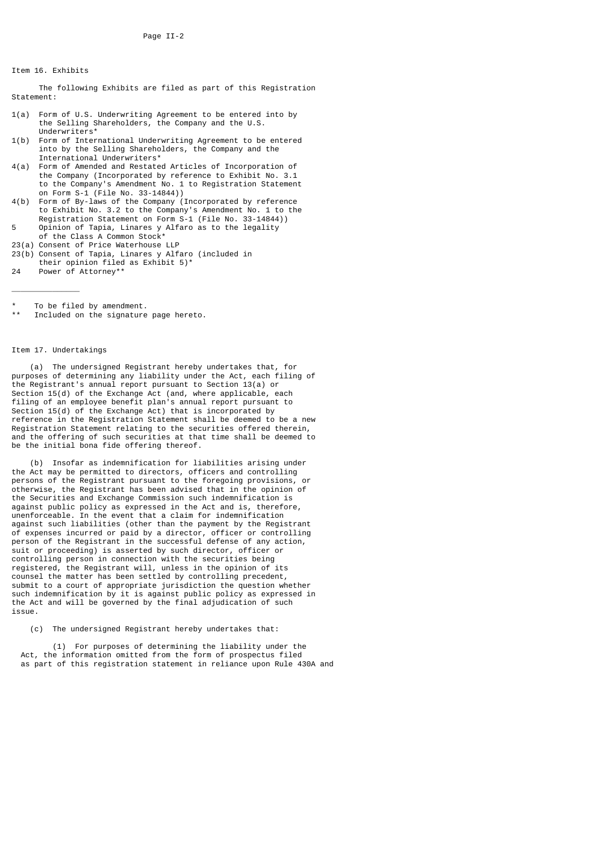# Item 16. Exhibits

 The following Exhibits are filed as part of this Registration Statement:

- 1(a) Form of U.S. Underwriting Agreement to be entered into by the Selling Shareholders, the Company and the U.S. Underwriters\*
- 1(b) Form of International Underwriting Agreement to be entered into by the Selling Shareholders, the Company and the International Underwriters\*<br>4(a) Form of Amended and Restate
- Form of Amended and Restated Articles of Incorporation of the Company (Incorporated by reference to Exhibit No. 3.1 to the Company's Amendment No. 1 to Registration Statement on Form S-1 (File No. 33-14844))<br>4(b) Form of By-laws of the Company (
- Form of By-laws of the Company (Incorporated by reference to Exhibit No. 3.2 to the Company's Amendment No. 1 to the Registration Statement on Form S-1 (File No. 33-14844)) Opinion of Tapia, Linares y Alfaro as to the legality
- of the Class A Common Stock\*
- 23(a) Consent of Price Waterhouse LLP
- 23(b) Consent of Tapia, Linares y Alfaro (included in their opinion filed as Exhibit 5)\*<br>24 Power of Attornev\*\*
- Power of Attorney\*
- To be filed by amendment
- Included on the signature page hereto.

### Item 17. Undertakings

\_\_\_\_\_\_\_\_\_\_\_\_\_\_\_

 (a) The undersigned Registrant hereby undertakes that, for purposes of determining any liability under the Act, each filing of the Registrant's annual report pursuant to Section 13(a) or Section 15(d) of the Exchange Act (and, where applicable, each filing of an employee benefit plan's annual report pursuant to Section 15(d) of the Exchange Act) that is incorporated by reference in the Registration Statement shall be deemed to be a new Registration Statement relating to the securities offered therein, and the offering of such securities at that time shall be deemed to be the initial bona fide offering thereof.

 (b) Insofar as indemnification for liabilities arising under the Act may be permitted to directors, officers and controlling persons of the Registrant pursuant to the foregoing provisions, or otherwise, the Registrant has been advised that in the opinion of the Securities and Exchange Commission such indemnification is against public policy as expressed in the Act and is, therefore, unenforceable. In the event that a claim for indemnification against such liabilities (other than the payment by the Registrant of expenses incurred or paid by a director, officer or controlling person of the Registrant in the successful defense of any action, suit or proceeding) is asserted by such director, officer or controlling person in connection with the securities being registered, the Registrant will, unless in the opinion of its counsel the matter has been settled by controlling precedent, submit to a court of appropriate jurisdiction the question whether such indemnification by it is against public policy as expressed in the Act and will be governed by the final adjudication of such issue.

(c) The undersigned Registrant hereby undertakes that:

 (1) For purposes of determining the liability under the Act, the information omitted from the form of prospectus filed as part of this registration statement in reliance upon Rule 430A and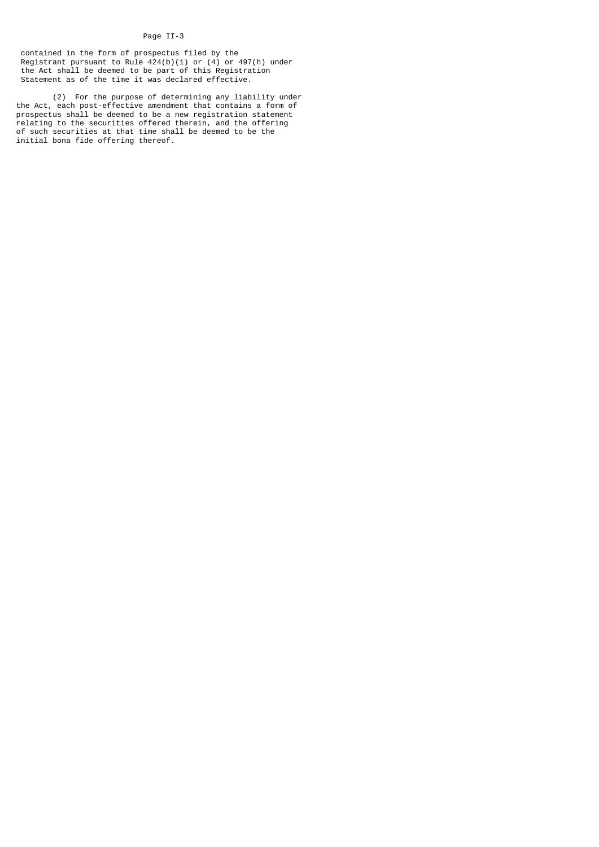# Page II-3

 contained in the form of prospectus filed by the Registrant pursuant to Rule 424(b)(1) or (4) or 497(h) under the Act shall be deemed to be part of this Registration Statement as of the time it was declared effective.

 (2) For the purpose of determining any liability under the Act, each post-effective amendment that contains a form of prospectus shall be deemed to be a new registration statement relating to the securities offered therein, and the offering of such securities at that time shall be deemed to be the initial bona fide offering thereof.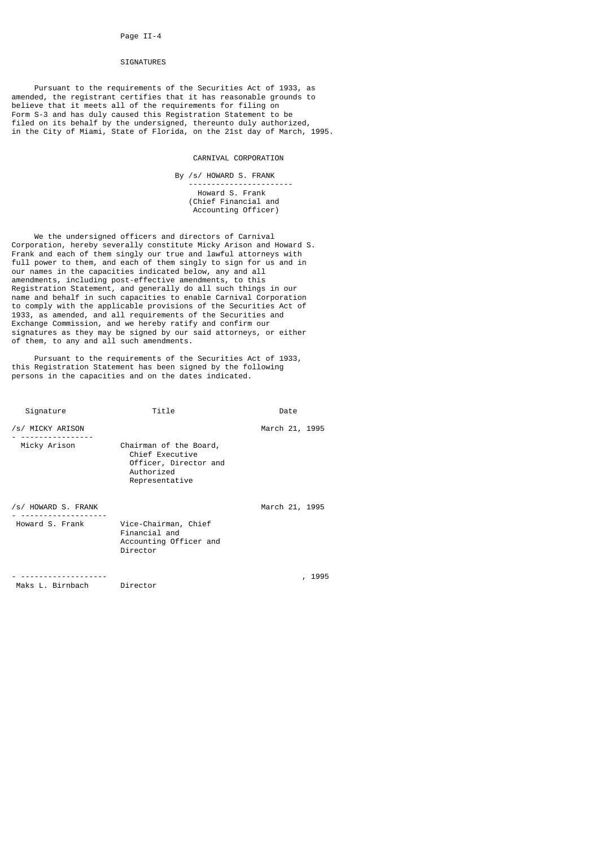# SIGNATURES

 Pursuant to the requirements of the Securities Act of 1933, as amended, the registrant certifies that it has reasonable grounds to believe that it meets all of the requirements for filing on Form S-3 and has duly caused this Registration Statement to be filed on its behalf by the undersigned, thereunto duly authorized, in the City of Miami, State of Florida, on the 21st day of March, 1995.

# CARNIVAL CORPORATION

By /s/ HOWARD S. FRANK

 ----------------------- Howard S. Frank (Chief Financial and Accounting Officer)

 We the undersigned officers and directors of Carnival Corporation, hereby severally constitute Micky Arison and Howard S. Frank and each of them singly our true and lawful attorneys with full power to them, and each of them singly to sign for us and in our names in the capacities indicated below, any and all amendments, including post-effective amendments, to this Registration Statement, and generally do all such things in our name and behalf in such capacities to enable Carnival Corporation to comply with the applicable provisions of the Securities Act of 1933, as amended, and all requirements of the Securities and Exchange Commission, and we hereby ratify and confirm our signatures as they may be signed by our said attorneys, or either of them, to any and all such amendments.

 Pursuant to the requirements of the Securities Act of 1933, this Registration Statement has been signed by the following persons in the capacities and on the dates indicated.

| Signature           | Title                                                                                              | Date                 |
|---------------------|----------------------------------------------------------------------------------------------------|----------------------|
| /s/ MICKY ARISON    |                                                                                                    | March 21, 1995       |
| Micky Arison        | Chairman of the Board,<br>Chief Executive<br>Officer, Director and<br>Authorized<br>Representative |                      |
| /s/ HOWARD S. FRANK |                                                                                                    | March 21, 1995       |
| Howard S. Frank     | Vice-Chairman, Chief<br>Financial and<br>Accounting Officer and<br>Director                        |                      |
|                     |                                                                                                    | 1995<br>$\mathbf{r}$ |

Maks L. Birnbach Director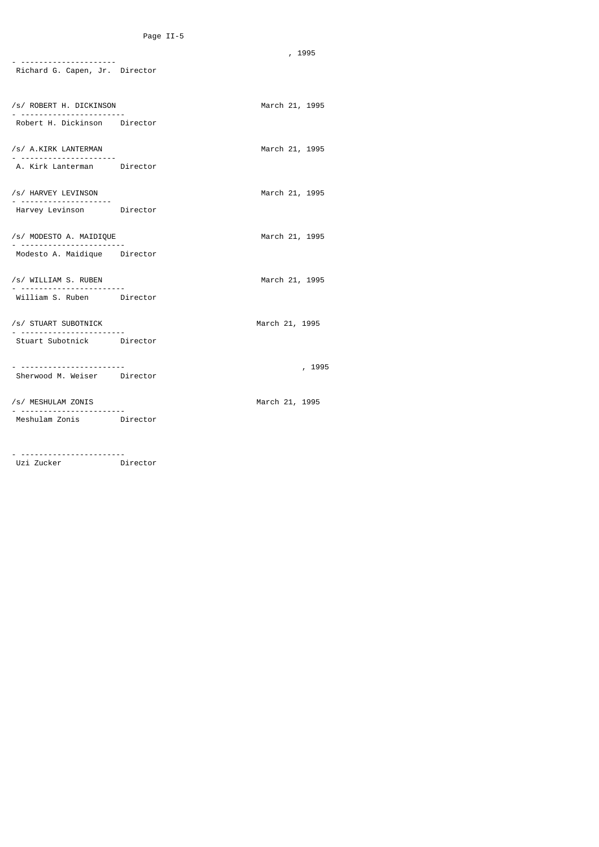, 1995

| - ----------------------                 |                |
|------------------------------------------|----------------|
| Richard G. Capen, Jr. Director           |                |
| /s/ ROBERT H. DICKINSON                  | March 21, 1995 |
| Robert H. Dickinson Director             |                |
| /s/ A.KIRK LANTERMAN<br>.                | March 21, 1995 |
| A. Kirk Lanterman     Director           |                |
| /s/ HARVEY LEVINSON<br>.                 | March 21, 1995 |
| Harvey Levinson Director                 |                |
| /s/ MODESTO A. MAIDIQUE<br><u>.</u>      | March 21, 1995 |
| Modesto A. Maidique Director             |                |
| /s/ WILLIAM S. RUBEN                     | March 21, 1995 |
| William S. Ruben Director                |                |
| /s/ STUART SUBOTNICK                     | March 21, 1995 |
|                                          |                |
| <u>. </u><br>Sherwood M. Weiser Director | , 1995         |
|                                          |                |
| /s/ MESHULAM ZONIS                       | March 21, 1995 |
| Meshulam Zonis Director                  |                |
|                                          |                |

- -----------------------

Uzi Zucker Director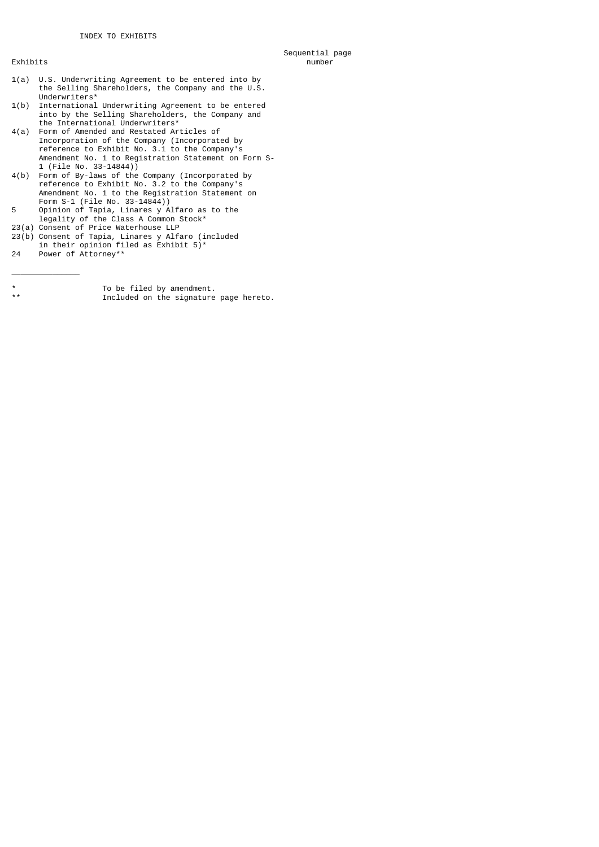Sequential page<br>Rxhibits and the sequential page of the sequential page of the sequential page of the sequential page of the sequence of the sequence of the sequence of the sequence of the sequence of the sequence of the s Exhibits number

- 1(a) U.S. Underwriting Agreement to be entered into by the Selling Shareholders, the Company and the U.S. Underwriters\*
- 1(b) International Underwriting Agreement to be entered into by the Selling Shareholders, the Company and the International Underwriters\*
- 4(a) Form of Amended and Restated Articles of Incorporation of the Company (Incorporated by reference to Exhibit No. 3.1 to the Company's Amendment No. 1 to Registration Statement on Form S- 1 (File No. 33-14844))
- 4(b) Form of By-laws of the Company (Incorporated by reference to Exhibit No. 3.2 to the Company's Amendment No. 1 to the Registration Statement on Form S-1 (File No. 33-14844))
- 5 Opinion of Tapia, Linares y Alfaro as to the legality of the Class A Common Stock\*
- 23(a) Consent of Price Waterhouse LLP
- 23(b) Consent of Tapia, Linares y Alfaro (included in their opinion filed as Exhibit 5)\*
- 24 Power of Attorney\*\*

\_\_\_\_\_\_\_\_\_\_\_\_\_\_\_

\* To be filed by amendment. Included on the signature page hereto.